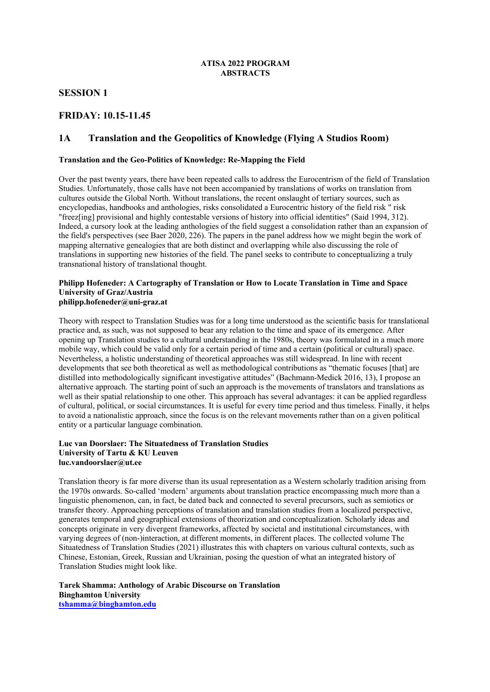### **ATISA 2022 PROGRAM ABSTRACTS**

## **SESSION 1**

## **FRIDAY: 10.15-11.45**

## **1A Translation and the Geopolitics of Knowledge (Flying A Studios Room)**

### **Translation and the Geo-Politics of Knowledge: Re-Mapping the Field**

Over the past twenty years, there have been repeated calls to address the Eurocentrism of the field of Translation Studies. Unfortunately, those calls have not been accompanied by translations of works on translation from cultures outside the Global North. Without translations, the recent onslaught of tertiary sources, such as encyclopedias, handbooks and anthologies, risks consolidated a Eurocentric history of the field risk " risk "freez[ing] provisional and highly contestable versions of history into official identities" (Said 1994, 312). Indeed, a cursory look at the leading anthologies of the field suggest a consolidation rather than an expansion of the field's perspectives (see Baer 2020, 226). The papers in the panel address how we might begin the work of mapping alternative genealogies that are both distinct and overlapping while also discussing the role of translations in supporting new histories of the field. The panel seeks to contribute to conceptualizing a truly transnational history of translational thought.

#### **Philipp Hofeneder: A Cartography of Translation or How to Locate Translation in Time and Space University of Graz/Austria philipp.hofeneder@uni-graz.at**

Theory with respect to Translation Studies was for a long time understood as the scientific basis for translational practice and, as such, was not supposed to bear any relation to the time and space of its emergence. After opening up Translation studies to a cultural understanding in the 1980s, theory was formulated in a much more mobile way, which could be valid only for a certain period of time and a certain (political or cultural) space. Nevertheless, a holistic understanding of theoretical approaches was still widespread. In line with recent developments that see both theoretical as well as methodological contributions as "thematic focuses [that] are distilled into methodologically significant investigative attitudes" (Bachmann-Medick 2016, 13), I propose an alternative approach. The starting point of such an approach is the movements of translators and translations as well as their spatial relationship to one other. This approach has several advantages: it can be applied regardless of cultural, political, or social circumstances. It is useful for every time period and thus timeless. Finally, it helps to avoid a nationalistic approach, since the focus is on the relevant movements rather than on a given political entity or a particular language combination.

### **Luc van Doorslaer: The Situatedness of Translation Studies University of Tartu & KU Leuven luc.vandoorslaer@ut.ee**

Translation theory is far more diverse than its usual representation as a Western scholarly tradition arising from the 1970s onwards. So-called 'modern' arguments about translation practice encompassing much more than a linguistic phenomenon, can, in fact, be dated back and connected to several precursors, such as semiotics or transfer theory. Approaching perceptions of translation and translation studies from a localized perspective, generates temporal and geographical extensions of theorization and conceptualization. Scholarly ideas and concepts originate in very divergent frameworks, affected by societal and institutional circumstances, with varying degrees of (non-)interaction, at different moments, in different places. The collected volume The Situatedness of Translation Studies (2021) illustrates this with chapters on various cultural contexts, such as Chinese, Estonian, Greek, Russian and Ukrainian, posing the question of what an integrated history of Translation Studies might look like.

**Tarek Shamma: Anthology of Arabic Discourse on Translation Binghamton University tshamma@binghamton.edu**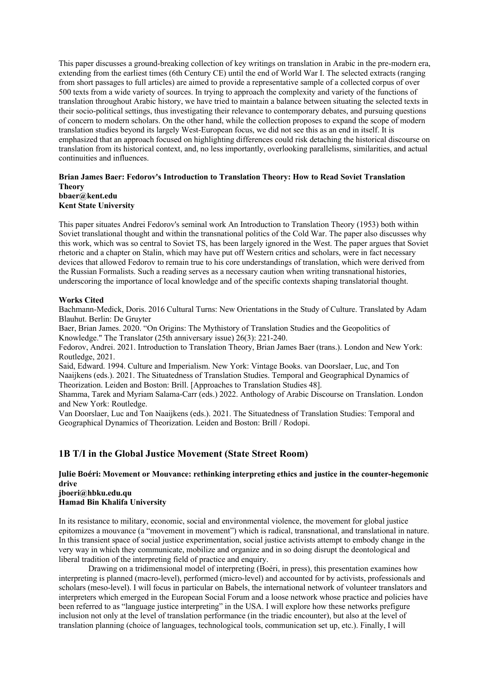This paper discusses a ground-breaking collection of key writings on translation in Arabic in the pre-modern era, extending from the earliest times (6th Century CE) until the end of World War I. The selected extracts (ranging from short passages to full articles) are aimed to provide a representative sample of a collected corpus of over 500 texts from a wide variety of sources. In trying to approach the complexity and variety of the functions of translation throughout Arabic history, we have tried to maintain a balance between situating the selected texts in their socio-political settings, thus investigating their relevance to contemporary debates, and pursuing questions of concern to modern scholars. On the other hand, while the collection proposes to expand the scope of modern translation studies beyond its largely West-European focus, we did not see this as an end in itself. It is emphasized that an approach focused on highlighting differences could risk detaching the historical discourse on translation from its historical context, and, no less importantly, overlooking parallelisms, similarities, and actual continuities and influences.

#### **Brian James Baer: Fedorov's Introduction to Translation Theory: How to Read Soviet Translation Theory bbaer@kent.edu Kent State University**

This paper situates Andrei Fedorov's seminal work An Introduction to Translation Theory (1953) both within Soviet translational thought and within the transnational politics of the Cold War. The paper also discusses why this work, which was so central to Soviet TS, has been largely ignored in the West. The paper argues that Soviet rhetoric and a chapter on Stalin, which may have put off Western critics and scholars, were in fact necessary devices that allowed Fedorov to remain true to his core understandings of translation, which were derived from the Russian Formalists. Such a reading serves as a necessary caution when writing transnational histories, underscoring the importance of local knowledge and of the specific contexts shaping translatorial thought.

### **Works Cited**

Bachmann-Medick, Doris. 2016 Cultural Turns: New Orientations in the Study of Culture. Translated by Adam Blauhut. Berlin: De Gruyter

Baer, Brian James. 2020. "On Origins: The Mythistory of Translation Studies and the Geopolitics of Knowledge." The Translator (25th anniversary issue) 26(3): 221-240.

Fedorov, Andrei. 2021. Introduction to Translation Theory, Brian James Baer (trans.). London and New York: Routledge, 2021.

Said, Edward. 1994. Culture and Imperialism. New York: Vintage Books. van Doorslaer, Luc, and Ton Naaijkens (eds.). 2021. The Situatedness of Translation Studies. Temporal and Geographical Dynamics of Theorization. Leiden and Boston: Brill. [Approaches to Translation Studies 48].

Shamma, Tarek and Myriam Salama-Carr (eds.) 2022. Anthology of Arabic Discourse on Translation. London and New York: Routledge.

Van Doorslaer, Luc and Ton Naaijkens (eds.). 2021. The Situatedness of Translation Studies: Temporal and Geographical Dynamics of Theorization. Leiden and Boston: Brill / Rodopi.

## **1B T/I in the Global Justice Movement (State Street Room)**

## **Julie Boéri: Movement or Mouvance: rethinking interpreting ethics and justice in the counter-hegemonic drive**

#### **jboeri@hbku.edu.qu Hamad Bin Khalifa University**

In its resistance to military, economic, social and environmental violence, the movement for global justice epitomizes a mouvance (a "movement in movement") which is radical, transnational, and translational in nature. In this transient space of social justice experimentation, social justice activists attempt to embody change in the very way in which they communicate, mobilize and organize and in so doing disrupt the deontological and liberal tradition of the interpreting field of practice and enquiry.

Drawing on a tridimensional model of interpreting (Boéri, in press), this presentation examines how interpreting is planned (macro-level), performed (micro-level) and accounted for by activists, professionals and scholars (meso-level). I will focus in particular on Babels, the international network of volunteer translators and interpreters which emerged in the European Social Forum and a loose network whose practice and policies have been referred to as "language justice interpreting" in the USA. I will explore how these networks prefigure inclusion not only at the level of translation performance (in the triadic encounter), but also at the level of translation planning (choice of languages, technological tools, communication set up, etc.). Finally, I will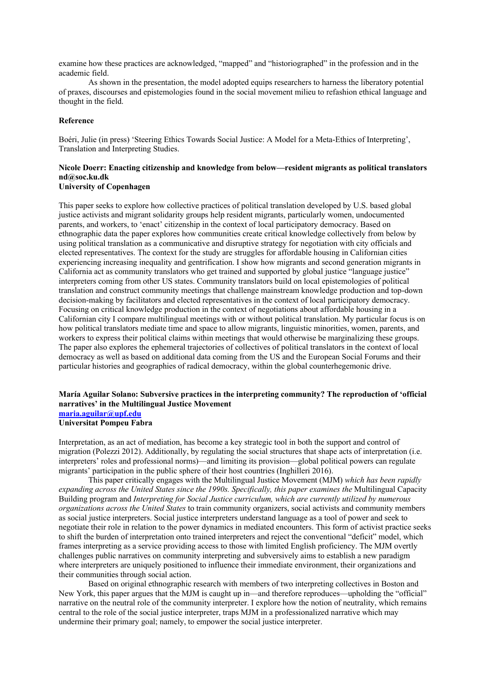examine how these practices are acknowledged, "mapped" and "historiographed" in the profession and in the academic field.

As shown in the presentation, the model adopted equips researchers to harness the liberatory potential of praxes, discourses and epistemologies found in the social movement milieu to refashion ethical language and thought in the field.

### **Reference**

Boéri, Julie (in press) 'Steering Ethics Towards Social Justice: A Model for a Meta-Ethics of Interpreting', Translation and Interpreting Studies.

### **Nicole Doerr: Enacting citizenship and knowledge from below—resident migrants as political translators nd@soc.ku.dk University of Copenhagen**

This paper seeks to explore how collective practices of political translation developed by U.S. based global justice activists and migrant solidarity groups help resident migrants, particularly women, undocumented parents, and workers, to 'enact' citizenship in the context of local participatory democracy. Based on ethnographic data the paper explores how communities create critical knowledge collectively from below by using political translation as a communicative and disruptive strategy for negotiation with city officials and elected representatives. The context for the study are struggles for affordable housing in Californian cities experiencing increasing inequality and gentrification. I show how migrants and second generation migrants in California act as community translators who get trained and supported by global justice "language justice" interpreters coming from other US states. Community translators build on local epistemologies of political translation and construct community meetings that challenge mainstream knowledge production and top-down decision-making by facilitators and elected representatives in the context of local participatory democracy. Focusing on critical knowledge production in the context of negotiations about affordable housing in a Californian city I compare multilingual meetings with or without political translation. My particular focus is on how political translators mediate time and space to allow migrants, linguistic minorities, women, parents, and workers to express their political claims within meetings that would otherwise be marginalizing these groups. The paper also explores the ephemeral trajectories of collectives of political translators in the context of local democracy as well as based on additional data coming from the US and the European Social Forums and their particular histories and geographies of radical democracy, within the global counterhegemonic drive.

### **María Aguilar Solano: Subversive practices in the interpreting community? The reproduction of 'official narratives' in the Multilingual Justice Movement maria.aguilar@upf.edu**

**Universitat Pompeu Fabra**

Interpretation, as an act of mediation, has become a key strategic tool in both the support and control of migration (Polezzi 2012). Additionally, by regulating the social structures that shape acts of interpretation (i.e. interpreters' roles and professional norms)—and limiting its provision—global political powers can regulate migrants' participation in the public sphere of their host countries (Inghilleri 2016).

This paper critically engages with the Multilingual Justice Movement (MJM) *which has been rapidly expanding across the United States since the 1990s. Specifically, this paper examines the* Multilingual Capacity Building program and *Interpreting for Social Justice curriculum, which are currently utilized by numerous organizations across the United States* to train community organizers, social activists and community members as social justice interpreters. Social justice interpreters understand language as a tool of power and seek to negotiate their role in relation to the power dynamics in mediated encounters. This form of activist practice seeks to shift the burden of interpretation onto trained interpreters and reject the conventional "deficit" model, which frames interpreting as a service providing access to those with limited English proficiency. The MJM overtly challenges public narratives on community interpreting and subversively aims to establish a new paradigm where interpreters are uniquely positioned to influence their immediate environment, their organizations and their communities through social action.

Based on original ethnographic research with members of two interpreting collectives in Boston and New York, this paper argues that the MJM is caught up in—and therefore reproduces—upholding the "official" narrative on the neutral role of the community interpreter. I explore how the notion of neutrality, which remains central to the role of the social justice interpreter, traps MJM in a professionalized narrative which may undermine their primary goal; namely, to empower the social justice interpreter.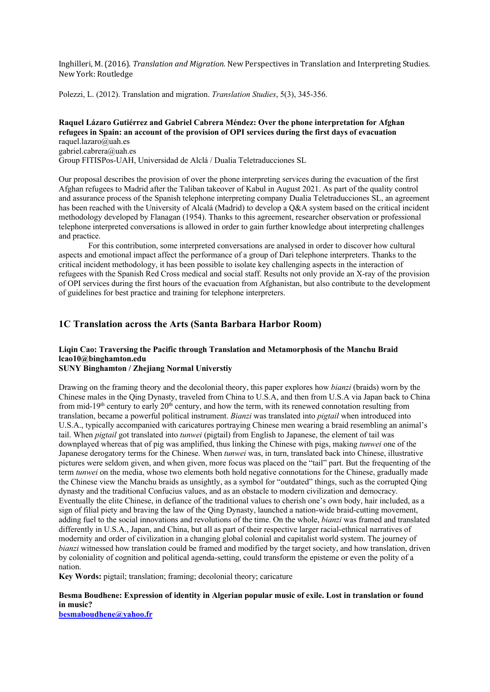Inghilleri, M. (2016). *Translation and Migration*. New Perspectives in Translation and Interpreting Studies. New York: Routledge

Polezzi, L. (2012). Translation and migration. *Translation Studies*, 5(3), 345-356.

### **Raquel Lázaro Gutiérrez and Gabriel Cabrera Méndez: Over the phone interpretation for Afghan refugees in Spain: an account of the provision of OPI services during the first days of evacuation** raquel.lazaro@uah.es

gabriel.cabrera@uah.es

Group FITISPos-UAH, Universidad de Alclá / Dualia Teletraducciones SL

Our proposal describes the provision of over the phone interpreting services during the evacuation of the first Afghan refugees to Madrid after the Taliban takeover of Kabul in August 2021. As part of the quality control and assurance process of the Spanish telephone interpreting company Dualia Teletraducciones SL, an agreement has been reached with the University of Alcalá (Madrid) to develop a Q&A system based on the critical incident methodology developed by Flanagan (1954). Thanks to this agreement, researcher observation or professional telephone interpreted conversations is allowed in order to gain further knowledge about interpreting challenges and practice.

For this contribution, some interpreted conversations are analysed in order to discover how cultural aspects and emotional impact affect the performance of a group of Dari telephone interpreters. Thanks to the critical incident methodology, it has been possible to isolate key challenging aspects in the interaction of refugees with the Spanish Red Cross medical and social staff. Results not only provide an X-ray of the provision of OPI services during the first hours of the evacuation from Afghanistan, but also contribute to the development of guidelines for best practice and training for telephone interpreters.

### **1C Translation across the Arts (Santa Barbara Harbor Room)**

### **Liqin Cao: Traversing the Pacific through Translation and Metamorphosis of the Manchu Braid lcao10@binghamton.edu SUNY Binghamton / Zhejiang Normal Universtiy**

Drawing on the framing theory and the decolonial theory, this paper explores how *bianzi* (braids) worn by the Chinese males in the Qing Dynasty, traveled from China to U.S.A, and then from U.S.A via Japan back to China from mid-19<sup>th</sup> century to early 20<sup>th</sup> century, and how the term, with its renewed connotation resulting from translation, became a powerful political instrument. *Bianzi* was translated into *pigtail* when introduced into U.S.A., typically accompanied with caricatures portraying Chinese men wearing a braid resembling an animal's tail. When *pigtail* got translated into *tunwei* (pigtail) from English to Japanese, the element of tail was downplayed whereas that of pig was amplified, thus linking the Chinese with pigs, making *tunwei* one of the Japanese derogatory terms for the Chinese. When *tunwei* was, in turn, translated back into Chinese, illustrative pictures were seldom given, and when given, more focus was placed on the "tail" part. But the frequenting of the term *tunwei* on the media, whose two elements both hold negative connotations for the Chinese, gradually made the Chinese view the Manchu braids as unsightly, as a symbol for "outdated" things, such as the corrupted Qing dynasty and the traditional Confucius values, and as an obstacle to modern civilization and democracy. Eventually the elite Chinese, in defiance of the traditional values to cherish one's own body, hair included, as a sign of filial piety and braving the law of the Qing Dynasty, launched a nation-wide braid-cutting movement, adding fuel to the social innovations and revolutions of the time. On the whole, *bianzi* was framed and translated differently in U.S.A., Japan, and China, but all as part of their respective larger racial-ethnical narratives of modernity and order of civilization in a changing global colonial and capitalist world system. The journey of *bianzi* witnessed how translation could be framed and modified by the target society, and how translation, driven by coloniality of cognition and political agenda-setting, could transform the episteme or even the polity of a nation.

**Key Words:** pigtail; translation; framing; decolonial theory; caricature

### **Besma Boudhene: Expression of identity in Algerian popular music of exile. Lost in translation or found in music?**

**besmaboudhene@yahoo.fr**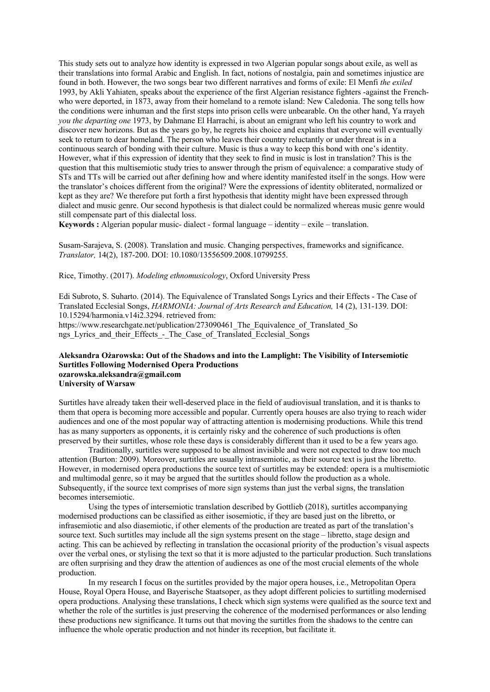This study sets out to analyze how identity is expressed in two Algerian popular songs about exile, as well as their translations into formal Arabic and English. In fact, notions of nostalgia, pain and sometimes injustice are found in both. However, the two songs bear two different narratives and forms of exile: El Menfi *the exiled*  1993, by Akli Yahiaten, speaks about the experience of the first Algerian resistance fighters -against the Frenchwho were deported, in 1873, away from their homeland to a remote island: New Caledonia. The song tells how the conditions were inhuman and the first steps into prison cells were unbearable. On the other hand, Ya rrayeh *you the departing one* 1973, by Dahmane El Harrachi, is about an emigrant who left his country to work and discover new horizons. But as the years go by, he regrets his choice and explains that everyone will eventually seek to return to dear homeland. The person who leaves their country reluctantly or under threat is in a continuous search of bonding with their culture. Music is thus a way to keep this bond with one's identity. However, what if this expression of identity that they seek to find in music is lost in translation? This is the question that this multisemiotic study tries to answer through the prism of equivalence: a comparative study of STs and TTs will be carried out after defining how and where identity manifested itself in the songs. How were the translator's choices different from the original? Were the expressions of identity obliterated, normalized or kept as they are? We therefore put forth a first hypothesis that identity might have been expressed through dialect and music genre. Our second hypothesis is that dialect could be normalized whereas music genre would still compensate part of this dialectal loss.

**Keywords :** Algerian popular music- dialect - formal language – identity – exile – translation.

Susam-Sarajeva, S. (2008). Translation and music. Changing perspectives, frameworks and significance. *Translator,* 14(2), 187-200. DOI: 10.1080/13556509.2008.10799255.

Rice, Timothy. (2017). *Modeling ethnomusicology*, Oxford University Press

Edi Subroto, S. Suharto. (2014). The Equivalence of Translated Songs Lyrics and their Effects - The Case of Translated Ecclesial Songs, *HARMONIA: Journal of Arts Research and Education,* 14 (2), 131-139. DOI: 10.15294/harmonia.v14i2.3294. retrieved from: https://www.researchgate.net/publication/273090461 The Equivalence of Translated So

ngs\_Lyrics\_and\_their\_Effects\_-\_The\_Case\_of\_Translated\_Ecclesial\_Songs

### **Aleksandra Ożarowska: Out of the Shadows and into the Lamplight: The Visibility of Intersemiotic Surtitles Following Modernised Opera Productions ozarowska.aleksandra@gmail.com University of Warsaw**

Surtitles have already taken their well-deserved place in the field of audiovisual translation, and it is thanks to them that opera is becoming more accessible and popular. Currently opera houses are also trying to reach wider audiences and one of the most popular way of attracting attention is modernising productions. While this trend has as many supporters as opponents, it is certainly risky and the coherence of such productions is often preserved by their surtitles, whose role these days is considerably different than it used to be a few years ago.

Traditionally, surtitles were supposed to be almost invisible and were not expected to draw too much attention (Burton: 2009). Moreover, surtitles are usually intrasemiotic, as their source text is just the libretto. However, in modernised opera productions the source text of surtitles may be extended: opera is a multisemiotic and multimodal genre, so it may be argued that the surtitles should follow the production as a whole. Subsequently, if the source text comprises of more sign systems than just the verbal signs, the translation becomes intersemiotic.

Using the types of intersemiotic translation described by Gottlieb (2018), surtitles accompanying modernised productions can be classified as either isosemiotic, if they are based just on the libretto, or infrasemiotic and also diasemiotic, if other elements of the production are treated as part of the translation's source text. Such surtitles may include all the sign systems present on the stage – libretto, stage design and acting. This can be achieved by reflecting in translation the occasional priority of the production's visual aspects over the verbal ones, or stylising the text so that it is more adjusted to the particular production. Such translations are often surprising and they draw the attention of audiences as one of the most crucial elements of the whole production.

In my research I focus on the surtitles provided by the major opera houses, i.e., Metropolitan Opera House, Royal Opera House, and Bayerische Staatsoper, as they adopt different policies to surtitling modernised opera productions. Analysing these translations, I check which sign systems were qualified as the source text and whether the role of the surtitles is just preserving the coherence of the modernised performances or also lending these productions new significance. It turns out that moving the surtitles from the shadows to the centre can influence the whole operatic production and not hinder its reception, but facilitate it.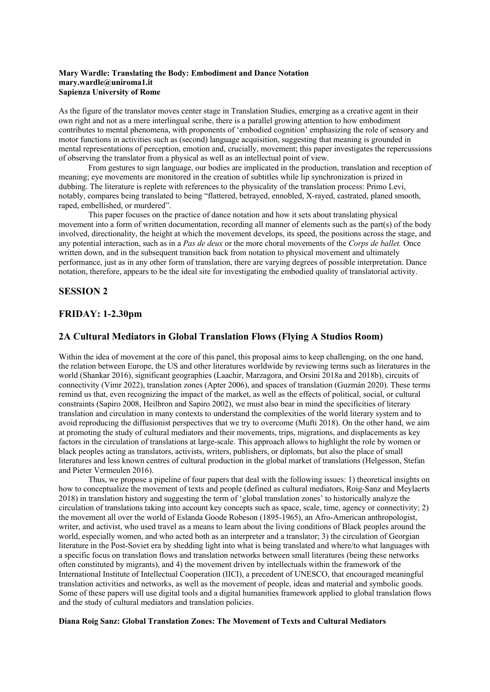### **Mary Wardle: Translating the Body: Embodiment and Dance Notation mary.wardle@uniroma1.it Sapienza University of Rome**

As the figure of the translator moves center stage in Translation Studies, emerging as a creative agent in their own right and not as a mere interlingual scribe, there is a parallel growing attention to how embodiment contributes to mental phenomena, with proponents of 'embodied cognition' emphasizing the role of sensory and motor functions in activities such as (second) language acquisition, suggesting that meaning is grounded in mental representations of perception, emotion and, crucially, movement; this paper investigates the repercussions of observing the translator from a physical as well as an intellectual point of view.

From gestures to sign language, our bodies are implicated in the production, translation and reception of meaning; eye movements are monitored in the creation of subtitles while lip synchronization is prized in dubbing. The literature is replete with references to the physicality of the translation process: Primo Levi, notably, compares being translated to being "flattered, betrayed, ennobled, X-rayed, castrated, planed smooth, raped, embellished, or murdered".

This paper focuses on the practice of dance notation and how it sets about translating physical movement into a form of written documentation, recording all manner of elements such as the part(s) of the body involved, directionality, the height at which the movement develops, its speed, the positions across the stage, and any potential interaction, such as in a *Pas de deux* or the more choral movements of the *Corps de ballet.* Once written down, and in the subsequent transition back from notation to physical movement and ultimately performance, just as in any other form of translation, there are varying degrees of possible interpretation. Dance notation, therefore, appears to be the ideal site for investigating the embodied quality of translatorial activity.

## **SESSION 2**

## **FRIDAY: 1-2.30pm**

## **2A Cultural Mediators in Global Translation Flows (Flying A Studios Room)**

Within the idea of movement at the core of this panel, this proposal aims to keep challenging, on the one hand, the relation between Europe, the US and other literatures worldwide by reviewing terms such as literatures in the world (Shankar 2016), significant geographies (Laachir, Marzagora, and Orsini 2018a and 2018b), circuits of connectivity (Vimr 2022), translation zones (Apter 2006), and spaces of translation (Guzmán 2020). These terms remind us that, even recognizing the impact of the market, as well as the effects of political, social, or cultural constraints (Sapiro 2008, Heilbron and Sapiro 2002), we must also bear in mind the specificities of literary translation and circulation in many contexts to understand the complexities of the world literary system and to avoid reproducing the diffusionist perspectives that we try to overcome (Mufti 2018). On the other hand, we aim at promoting the study of cultural mediators and their movements, trips, migrations, and displacements as key factors in the circulation of translations at large-scale. This approach allows to highlight the role by women or black peoples acting as translators, activists, writers, publishers, or diplomats, but also the place of small literatures and less known centres of cultural production in the global market of translations (Helgesson, Stefan and Pieter Vermeulen 2016).

Thus, we propose a pipeline of four papers that deal with the following issues: 1) theoretical insights on how to conceptualize the movement of texts and people (defined as cultural mediators, Roig-Sanz and Meylaerts 2018) in translation history and suggesting the term of 'global translation zones' to historically analyze the circulation of translations taking into account key concepts such as space, scale, time, agency or connectivity; 2) the movement all over the world of Eslanda Goode Robeson (1895-1965), an Afro-American anthropologist, writer, and activist, who used travel as a means to learn about the living conditions of Black peoples around the world, especially women, and who acted both as an interpreter and a translator; 3) the circulation of Georgian literature in the Post-Soviet era by shedding light into what is being translated and where/to what languages with a specific focus on translation flows and translation networks between small literatures (being these networks often constituted by migrants), and 4) the movement driven by intellectuals within the framework of the International Institute of Intellectual Cooperation (IICI), a precedent of UNESCO, that encouraged meaningful translation activities and networks, as well as the movement of people, ideas and material and symbolic goods. Some of these papers will use digital tools and a digital humanities framework applied to global translation flows and the study of cultural mediators and translation policies.

### **Diana Roig Sanz: Global Translation Zones: The Movement of Texts and Cultural Mediators**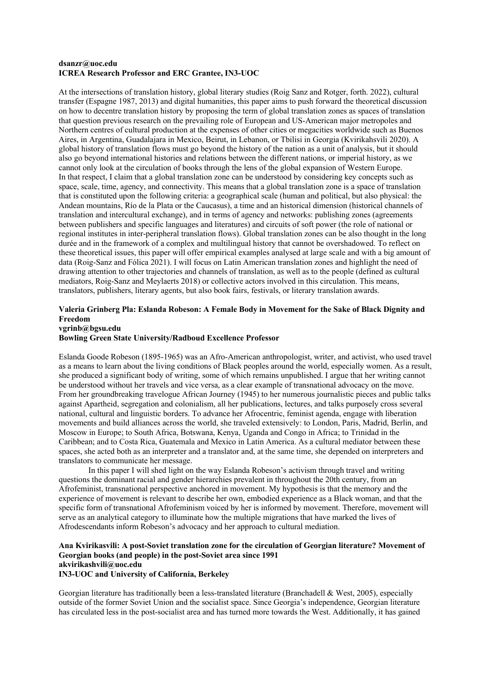#### **dsanzr@uoc.edu ICREA Research Professor and ERC Grantee, IN3-UOC**

At the intersections of translation history, global literary studies (Roig Sanz and Rotger, forth. 2022), cultural transfer (Espagne 1987, 2013) and digital humanities, this paper aims to push forward the theoretical discussion on how to decentre translation history by proposing the term of global translation zones as spaces of translation that question previous research on the prevailing role of European and US-American major metropoles and Northern centres of cultural production at the expenses of other cities or megacities worldwide such as Buenos Aires, in Argentina, Guadalajara in Mexico, Beirut, in Lebanon, or Tbilisi in Georgia (Kvirikahsvili 2020). A global history of translation flows must go beyond the history of the nation as a unit of analysis, but it should also go beyond international histories and relations between the different nations, or imperial history, as we cannot only look at the circulation of books through the lens of the global expansion of Western Europe. In that respect, I claim that a global translation zone can be understood by considering key concepts such as space, scale, time, agency, and connectivity. This means that a global translation zone is a space of translation that is constituted upon the following criteria: a geographical scale (human and political, but also physical: the Andean mountains, Río de la Plata or the Caucasus), a time and an historical dimension (historical channels of translation and intercultural exchange), and in terms of agency and networks: publishing zones (agreements between publishers and specific languages and literatures) and circuits of soft power (the role of national or regional institutes in inter-peripheral translation flows). Global translation zones can be also thought in the long durée and in the framework of a complex and multilingual history that cannot be overshadowed. To reflect on these theoretical issues, this paper will offer empirical examples analysed at large scale and with a big amount of data (Roig-Sanz and Fólica 2021). I will focus on Latin American translation zones and highlight the need of drawing attention to other trajectories and channels of translation, as well as to the people (defined as cultural mediators, Roig-Sanz and Meylaerts 2018) or collective actors involved in this circulation. This means, translators, publishers, literary agents, but also book fairs, festivals, or literary translation awards.

### **Valeria Grinberg Pla: Eslanda Robeson: A Female Body in Movement for the Sake of Black Dignity and Freedom vgrinb@bgsu.edu**

### **Bowling Green State University/Radboud Excellence Professor**

Eslanda Goode Robeson (1895-1965) was an Afro-American anthropologist, writer, and activist, who used travel as a means to learn about the living conditions of Black peoples around the world, especially women. As a result, she produced a significant body of writing, some of which remains unpublished. I argue that her writing cannot be understood without her travels and vice versa, as a clear example of transnational advocacy on the move. From her groundbreaking travelogue African Journey (1945) to her numerous journalistic pieces and public talks against Apartheid, segregation and colonialism, all her publications, lectures, and talks purposely cross several national, cultural and linguistic borders. To advance her Afrocentric, feminist agenda, engage with liberation movements and build alliances across the world, she traveled extensively: to London, Paris, Madrid, Berlin, and Moscow in Europe; to South Africa, Botswana, Kenya, Uganda and Congo in Africa; to Trinidad in the Caribbean; and to Costa Rica, Guatemala and Mexico in Latin America. As a cultural mediator between these spaces, she acted both as an interpreter and a translator and, at the same time, she depended on interpreters and translators to communicate her message.

In this paper I will shed light on the way Eslanda Robeson's activism through travel and writing questions the dominant racial and gender hierarchies prevalent in throughout the 20th century, from an Afrofeminist, transnational perspective anchored in movement. My hypothesis is that the memory and the experience of movement is relevant to describe her own, embodied experience as a Black woman, and that the specific form of transnational Afrofeminism voiced by her is informed by movement. Therefore, movement will serve as an analytical category to illuminate how the multiple migrations that have marked the lives of Afrodescendants inform Robeson's advocacy and her approach to cultural mediation.

### **Ana Kvirikasvili: A post-Soviet translation zone for the circulation of Georgian literature? Movement of Georgian books (and people) in the post-Soviet area since 1991 akvirikashvili@uoc.edu**

### **IN3-UOC and University of California, Berkeley**

Georgian literature has traditionally been a less-translated literature (Branchadell & West, 2005), especially outside of the former Soviet Union and the socialist space. Since Georgia's independence, Georgian literature has circulated less in the post-socialist area and has turned more towards the West. Additionally, it has gained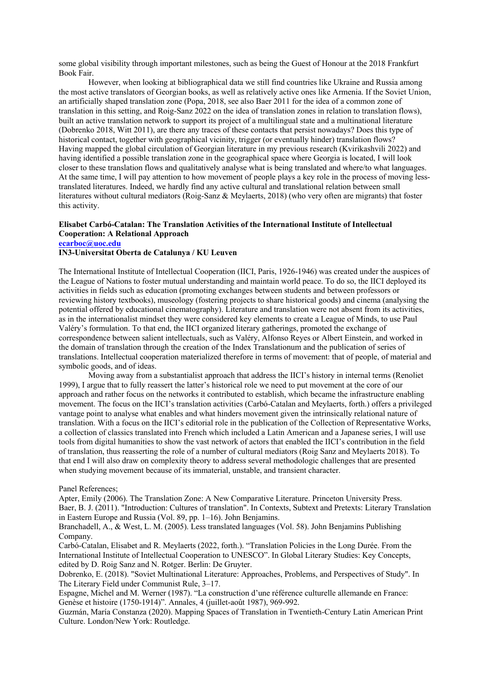some global visibility through important milestones, such as being the Guest of Honour at the 2018 Frankfurt Book Fair.

However, when looking at bibliographical data we still find countries like Ukraine and Russia among the most active translators of Georgian books, as well as relatively active ones like Armenia. If the Soviet Union, an artificially shaped translation zone (Popa, 2018, see also Baer 2011 for the idea of a common zone of translation in this setting, and Roig-Sanz 2022 on the idea of translation zones in relation to translation flows), built an active translation network to support its project of a multilingual state and a multinational literature (Dobrenko 2018, Witt 2011), are there any traces of these contacts that persist nowadays? Does this type of historical contact, together with geographical vicinity, trigger (or eventually hinder) translation flows? Having mapped the global circulation of Georgian literature in my previous research (Kvirikashvili 2022) and having identified a possible translation zone in the geographical space where Georgia is located, I will look closer to these translation flows and qualitatively analyse what is being translated and where/to what languages. At the same time, I will pay attention to how movement of people plays a key role in the process of moving lesstranslated literatures. Indeed, we hardly find any active cultural and translational relation between small literatures without cultural mediators (Roig-Sanz & Meylaerts, 2018) (who very often are migrants) that foster this activity.

### **Elisabet Carbó-Catalan: The Translation Activities of the International Institute of Intellectual Cooperation: A Relational Approach ecarboc@uoc.edu**

### **IN3-Universitat Oberta de Catalunya / KU Leuven**

The International Institute of Intellectual Cooperation (IICI, Paris, 1926-1946) was created under the auspices of the League of Nations to foster mutual understanding and maintain world peace. To do so, the IICI deployed its activities in fields such as education (promoting exchanges between students and between professors or reviewing history textbooks), museology (fostering projects to share historical goods) and cinema (analysing the potential offered by educational cinematography). Literature and translation were not absent from its activities, as in the internationalist mindset they were considered key elements to create a League of Minds, to use Paul Valéry's formulation. To that end, the IICI organized literary gatherings, promoted the exchange of correspondence between salient intellectuals, such as Valéry, Alfonso Reyes or Albert Einstein, and worked in the domain of translation through the creation of the Index Translationum and the publication of series of translations. Intellectual cooperation materialized therefore in terms of movement: that of people, of material and symbolic goods, and of ideas.

Moving away from a substantialist approach that address the IICI's history in internal terms (Renoliet 1999), I argue that to fully reassert the latter's historical role we need to put movement at the core of our approach and rather focus on the networks it contributed to establish, which became the infrastructure enabling movement. The focus on the IICI's translation activities (Carbó-Catalan and Meylaerts, forth.) offers a privileged vantage point to analyse what enables and what hinders movement given the intrinsically relational nature of translation. With a focus on the IICI's editorial role in the publication of the Collection of Representative Works, a collection of classics translated into French which included a Latin American and a Japanese series, I will use tools from digital humanities to show the vast network of actors that enabled the IICI's contribution in the field of translation, thus reasserting the role of a number of cultural mediators (Roig Sanz and Meylaerts 2018). To that end I will also draw on complexity theory to address several methodologic challenges that are presented when studying movement because of its immaterial, unstable, and transient character.

### Panel References;

Apter, Emily (2006). The Translation Zone: A New Comparative Literature. Princeton University Press. Baer, B. J. (2011). "Introduction: Cultures of translation". In Contexts, Subtext and Pretexts: Literary Translation in Eastern Europe and Russia (Vol. 89, pp. 1–16). John Benjamins.

Branchadell, A., & West, L. M. (2005). Less translated languages (Vol. 58). John Benjamins Publishing Company.

Carbó-Catalan, Elisabet and R. Meylaerts (2022, forth.). "Translation Policies in the Long Durée. From the International Institute of Intellectual Cooperation to UNESCO". In Global Literary Studies: Key Concepts, edited by D. Roig Sanz and N. Rotger. Berlin: De Gruyter.

Dobrenko, E. (2018). "Soviet Multinational Literature: Approaches, Problems, and Perspectives of Study". In The Literary Field under Communist Rule, 3–17.

Espagne, Michel and M. Werner (1987). "La construction d'une référence culturelle allemande en France: Genèse et histoire (1750-1914)". Annales, 4 (juillet-août 1987), 969-992.

Guzmán, María Constanza (2020). Mapping Spaces of Translation in Twentieth-Century Latin American Print Culture. London/New York: Routledge.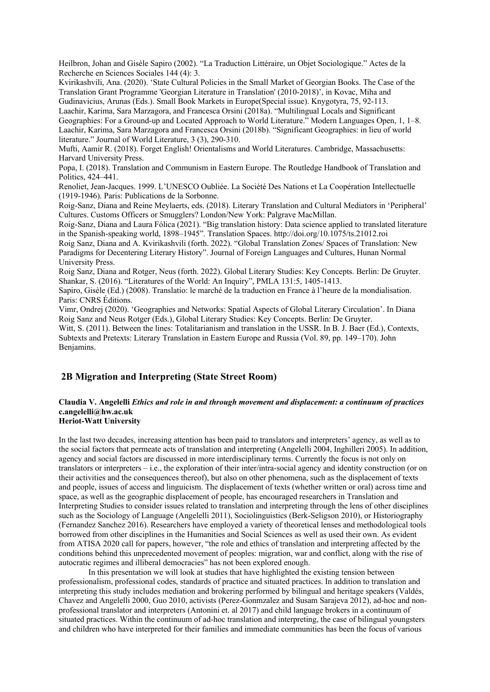Heilbron, Johan and Gisèle Sapiro (2002). "La Traduction Littéraire, un Objet Sociologique." Actes de la Recherche en Sciences Sociales 144 (4): 3.

Kvirikashvili, Ana. (2020). 'State Cultural Policies in the Small Market of Georgian Books. The Case of the Translation Grant Programme 'Georgian Literature in Translation' (2010-2018)', in Kovac, Miha and Gudinavicius, Arunas (Eds.). Small Book Markets in Europe(Special issue). Knygotyra, 75, 92-113. Laachir, Karima, Sara Marzagora, and Francesca Orsini (2018a). "Multilingual Locals and Significant

Geographies: For a Ground-up and Located Approach to World Literature." Modern Languages Open, 1, 1–8. Laachir, Karima, Sara Marzagora and Francesca Orsini (2018b). "Significant Geographies: in lieu of world literature." Journal of World Literature, 3 (3), 290-310.

Mufti, Aamir R. (2018). Forget English! Orientalisms and World Literatures. Cambridge, Massachusetts: Harvard University Press.

Popa, I. (2018). Translation and Communism in Eastern Europe. The Routledge Handbook of Translation and Politics, 424–441.

Renoliet, Jean-Jacques. 1999. L'UNESCO Oubliée. La Société Des Nations et La Coopération Intellectuelle (1919-1946). Paris: Publications de la Sorbonne.

Roig-Sanz, Diana and Reine Meylaerts, eds. (2018). Literary Translation and Cultural Mediators in 'Peripheral' Cultures. Customs Officers or Smugglers? London/New York: Palgrave MacMillan.

Roig-Sanz, Diana and Laura Fólica (2021). "Big translation history: Data science applied to translated literature in the Spanish-speaking world, 1898–1945". Translation Spaces. http://doi.org/10.1075/ts.21012.roi

Roig Sanz, Diana and A. Kvirikashvili (forth. 2022). "Global Translation Zones/ Spaces of Translation: New Paradigms for Decentering Literary History". Journal of Foreign Languages and Cultures, Hunan Normal University Press.

Roig Sanz, Diana and Rotger, Neus (forth. 2022). Global Literary Studies: Key Concepts. Berlin: De Gruyter. Shankar, S. (2016). "Literatures of the World: An Inquiry", PMLA 131:5, 1405-1413.

Sapiro, Gisèle (Ed.) (2008). Translatio: le marché de la traduction en France à l'heure de la mondialisation. Paris: CNRS Éditions.

Vimr, Ondrej (2020). 'Geographies and Networks: Spatial Aspects of Global Literary Circulation'. In Diana Roig Sanz and Neus Rotger (Eds.), Global Literary Studies: Key Concepts. Berlin: De Gruyter.

Witt, S. (2011). Between the lines: Totalitarianism and translation in the USSR. In B. J. Baer (Ed.), Contexts, Subtexts and Pretexts: Literary Translation in Eastern Europe and Russia (Vol. 89, pp. 149–170). John Benjamins.

## **2B Migration and Interpreting (State Street Room)**

### **Claudia V. Angelelli** *Ethics and role in and through movement and displacement: a continuum of practices* **c.angelelli@hw.ac.uk Heriot-Watt University**

In the last two decades, increasing attention has been paid to translators and interpreters' agency, as well as to the social factors that permeate acts of translation and interpreting (Angelelli 2004, Inghilleri 2005). In addition, agency and social factors are discussed in more interdisciplinary terms. Currently the focus is not only on translators or interpreters – i.e., the exploration of their inter/intra-social agency and identity construction (or on their activities and the consequences thereof), but also on other phenomena, such as the displacement of texts and people, issues of access and linguicism. The displacement of texts (whether written or oral) across time and space, as well as the geographic displacement of people, has encouraged researchers in Translation and Interpreting Studies to consider issues related to translation and interpreting through the lens of other disciplines such as the Sociology of Language (Angelelli 2011), Sociolinguistics (Berk-Seligson 2010), or Historiography (Fernandez Sanchez 2016). Researchers have employed a variety of theoretical lenses and methodological tools borrowed from other disciplines in the Humanities and Social Sciences as well as used their own. As evident from ATISA 2020 call for papers, however, "the role and ethics of translation and interpreting affected by the conditions behind this unprecedented movement of peoples: migration, war and conflict, along with the rise of autocratic regimes and illiberal democracies" has not been explored enough.

In this presentation we will look at studies that have highlighted the existing tension between professionalism, professional codes, standards of practice and situated practices. In addition to translation and interpreting this study includes mediation and brokering performed by bilingual and heritage speakers (Valdés, Chavez and Angelelli 2000, Guo 2010, activists (Perez-Gonmzalez and Susam Sarajeva 2012), ad-hoc and nonprofessional translator and interpreters (Antonini et. al 2017) and child language brokers in a continuum of situated practices. Within the continuum of ad-hoc translation and interpreting, the case of bilingual youngsters and children who have interpreted for their families and immediate communities has been the focus of various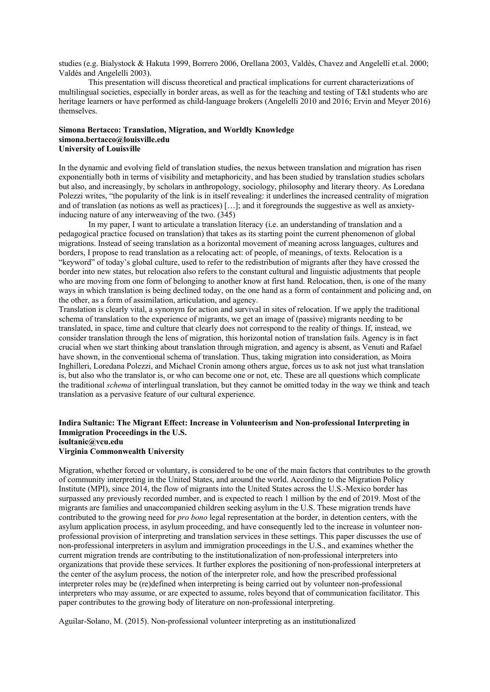studies (e.g. Bialystock & Hakuta 1999, Borrero 2006, Orellana 2003, Valdés, Chavez and Angelelli et.al. 2000; Valdés and Angelelli 2003).

This presentation will discuss theoretical and practical implications for current characterizations of multilingual societies, especially in border areas, as well as for the teaching and testing of T&I students who are heritage learners or have performed as child-language brokers (Angelelli 2010 and 2016; Ervin and Meyer 2016) themselves.

### **Simona Bertacco: Translation, Migration, and Worldly Knowledge simona.bertacco@louisville.edu University of Louisville**

In the dynamic and evolving field of translation studies, the nexus between translation and migration has risen exponentially both in terms of visibility and metaphoricity, and has been studied by translation studies scholars but also, and increasingly, by scholars in anthropology, sociology, philosophy and literary theory. As Loredana Polezzi writes, "the popularity of the link is in itself revealing: it underlines the increased centrality of migration and of translation (as notions as well as practices) […]; and it foregrounds the suggestive as well as anxietyinducing nature of any interweaving of the two. (345)

In my paper, I want to articulate a translation literacy (i.e. an understanding of translation and a pedagogical practice focused on translation) that takes as its starting point the current phenomenon of global migrations. Instead of seeing translation as a horizontal movement of meaning across languages, cultures and borders, I propose to read translation as a relocating act: of people, of meanings, of texts. Relocation is a "keyword" of today's global culture, used to refer to the redistribution of migrants after they have crossed the border into new states, but relocation also refers to the constant cultural and linguistic adjustments that people who are moving from one form of belonging to another know at first hand. Relocation, then, is one of the many ways in which translation is being declined today, on the one hand as a form of containment and policing and, on the other, as a form of assimilation, articulation, and agency.

Translation is clearly vital, a synonym for action and survival in sites of relocation. If we apply the traditional schema of translation to the experience of migrants, we get an image of (passive) migrants needing to be translated, in space, time and culture that clearly does not correspond to the reality of things. If, instead, we consider translation through the lens of migration, this horizontal notion of translation fails. Agency is in fact crucial when we start thinking about translation through migration, and agency is absent, as Venuti and Rafael have shown, in the conventional schema of translation. Thus, taking migration into consideration, as Moira Inghilleri, Loredana Polezzi, and Michael Cronin among others argue, forces us to ask not just what translation is, but also who the translator is, or who can become one or not, etc. These are all questions which complicate the traditional *schema* of interlingual translation, but they cannot be omitted today in the way we think and teach translation as a pervasive feature of our cultural experience.

#### **Indira Sultanic: The Migrant Effect: Increase in Volunteerism and Non-professional Interpreting in Immigration Proceedings in the U.S. isultanic@vcu.edu**

### **Virginia Commonwealth University**

Migration, whether forced or voluntary, is considered to be one of the main factors that contributes to the growth of community interpreting in the United States, and around the world. According to the Migration Policy Institute (MPI), since 2014, the flow of migrants into the United States across the U.S.-Mexico border has surpassed any previously recorded number, and is expected to reach 1 million by the end of 2019. Most of the migrants are families and unaccompanied children seeking asylum in the U.S. These migration trends have contributed to the growing need for *pro bono* legal representation at the border, in detention centers, with the asylum application process, in asylum proceeding, and have consequently led to the increase in volunteer nonprofessional provision of interpreting and translation services in these settings. This paper discusses the use of non-professional interpreters in asylum and immigration proceedings in the U.S., and examines whether the current migration trends are contributing to the institutionalization of non-professional interpreters into organizations that provide these services. It further explores the positioning of non-professional interpreters at the center of the asylum process, the notion of the interpreter role, and how the prescribed professional interpreter roles may be (re)defined when interpreting is being carried out by volunteer non-professional interpreters who may assume, or are expected to assume, roles beyond that of communication facilitator. This paper contributes to the growing body of literature on non-professional interpreting.

Aguilar-Solano, M. (2015). Non-professional volunteer interpreting as an institutionalized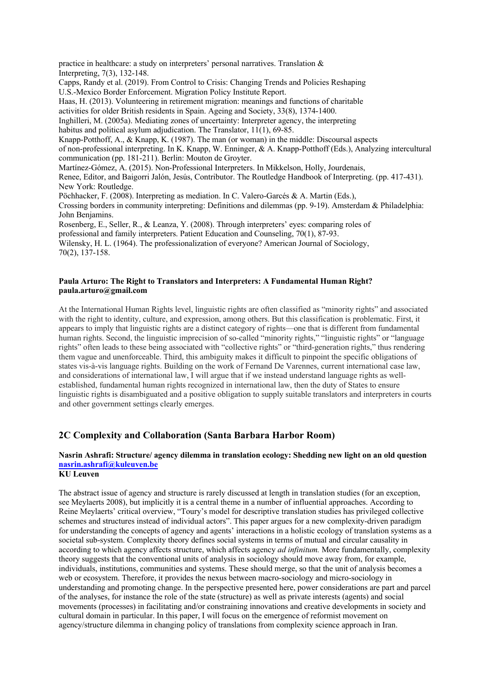practice in healthcare: a study on interpreters' personal narratives. Translation & Interpreting, 7(3), 132-148. Capps, Randy et al. (2019). From Control to Crisis: Changing Trends and Policies Reshaping U.S.-Mexico Border Enforcement. Migration Policy Institute Report. Haas, H. (2013). Volunteering in retirement migration: meanings and functions of charitable activities for older British residents in Spain. Ageing and Society, 33(8), 1374-1400. Inghilleri, M. (2005a). Mediating zones of uncertainty: Interpreter agency, the interpreting habitus and political asylum adjudication. The Translator, 11(1), 69-85. Knapp-Potthoff, A., & Knapp, K. (1987). The man (or woman) in the middle: Discoursal aspects of non-professional interpreting. In K. Knapp, W. Enninger, & A. Knapp-Potthoff (Eds.), Analyzing intercultural communication (pp. 181-211). Berlin: Mouton de Groyter. Martínez-Gómez, A. (2015). Non-Professional Interpreters. In Mikkelson, Holly, Jourdenais, Renee, Editor, and Baigorri Jalón, Jesús, Contributor. The Routledge Handbook of Interpreting. (pp. 417-431). New York: Routledge. Pöchhacker, F. (2008). Interpreting as mediation. In C. Valero-Garcés & A. Martin (Eds.), Crossing borders in community interpreting: Definitions and dilemmas (pp. 9-19). Amsterdam & Philadelphia: John Benjamins. Rosenberg, E., Seller, R., & Leanza, Y. (2008). Through interpreters' eyes: comparing roles of professional and family interpreters. Patient Education and Counseling, 70(1), 87-93. Wilensky, H. L. (1964). The professionalization of everyone? American Journal of Sociology,

### **Paula Arturo: The Right to Translators and Interpreters: A Fundamental Human Right? paula.arturo@gmail.com**

At the International Human Rights level, linguistic rights are often classified as "minority rights" and associated with the right to identity, culture, and expression, among others. But this classification is problematic. First, it appears to imply that linguistic rights are a distinct category of rights—one that is different from fundamental human rights. Second, the linguistic imprecision of so-called "minority rights," "linguistic rights" or "language rights" often leads to these being associated with "collective rights" or "third-generation rights," thus rendering them vague and unenforceable. Third, this ambiguity makes it difficult to pinpoint the specific obligations of states vis-à-vis language rights. Building on the work of Fernand De Varennes, current international case law, and considerations of international law, I will argue that if we instead understand language rights as wellestablished, fundamental human rights recognized in international law, then the duty of States to ensure linguistic rights is disambiguated and a positive obligation to supply suitable translators and interpreters in courts and other government settings clearly emerges.

## **2C Complexity and Collaboration (Santa Barbara Harbor Room)**

# **Nasrin Ashrafi: Structure/ agency dilemma in translation ecology: Shedding new light on an old question nasrin.ashrafi@kuleuven.be**

**KU Leuven** 

70(2), 137-158.

The abstract issue of agency and structure is rarely discussed at length in translation studies (for an exception, see Meylaerts 2008), but implicitly it is a central theme in a number of influential approaches. According to Reine Meylaerts' critical overview, "Toury's model for descriptive translation studies has privileged collective schemes and structures instead of individual actors". This paper argues for a new complexity-driven paradigm for understanding the concepts of agency and agents' interactions in a holistic ecology of translation systems as a societal sub-system. Complexity theory defines social systems in terms of mutual and circular causality in according to which agency affects structure, which affects agency *ad infinitum.* More fundamentally, complexity theory suggests that the conventional units of analysis in sociology should move away from, for example, individuals, institutions, communities and systems. These should merge, so that the unit of analysis becomes a web or ecosystem. Therefore, it provides the nexus between macro-sociology and micro-sociology in understanding and promoting change. In the perspective presented here, power considerations are part and parcel of the analyses, for instance the role of the state (structure) as well as private interests (agents) and social movements (processes) in facilitating and/or constraining innovations and creative developments in society and cultural domain in particular. In this paper, I will focus on the emergence of reformist movement on agency/structure dilemma in changing policy of translations from complexity science approach in Iran.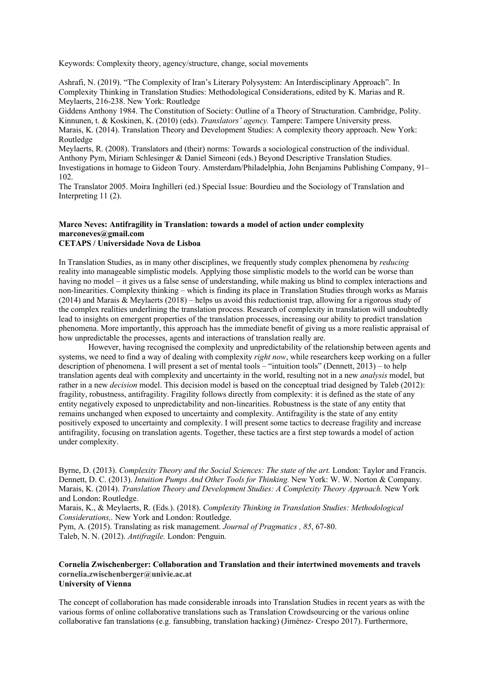Keywords: Complexity theory, agency/structure, change, social movements

Ashrafi, N. (2019). "The Complexity of Iran's Literary Polysystem: An Interdisciplinary Approach". In Complexity Thinking in Translation Studies: Methodological Considerations, edited by K. Marias and R. Meylaerts, 216-238. New York: Routledge

Giddens Anthony 1984. The Constitution of Society: Outline of a Theory of Structuration. Cambridge, Polity. Kinnunen, t. & Koskinen, K. (2010) (eds). *Translators' agency.* Tampere: Tampere University press. Marais, K. (2014). Translation Theory and Development Studies: A complexity theory approach. New York: Routledge

Meylaerts, R. (2008). Translators and (their) norms: Towards a sociological construction of the individual. Anthony Pym, Miriam Schlesinger & Daniel Simeoni (eds.) Beyond Descriptive Translation Studies. Investigations in homage to Gideon Toury. Amsterdam/Philadelphia, John Benjamins Publishing Company, 91– 102.

The Translator 2005. Moira Inghilleri (ed.) Special Issue: Bourdieu and the Sociology of Translation and Interpreting 11 (2).

#### **Marco Neves: Antifragility in Translation: towards a model of action under complexity marconeves@gmail.com CETAPS / Universidade Nova de Lisboa**

In Translation Studies, as in many other disciplines, we frequently study complex phenomena by *reducing* reality into manageable simplistic models. Applying those simplistic models to the world can be worse than having no model – it gives us a false sense of understanding, while making us blind to complex interactions and non-linearities. Complexity thinking – which is finding its place in Translation Studies through works as Marais (2014) and Marais & Meylaerts (2018) – helps us avoid this reductionist trap, allowing for a rigorous study of the complex realities underlining the translation process. Research of complexity in translation will undoubtedly lead to insights on emergent properties of the translation processes, increasing our ability to predict translation phenomena. More importantly, this approach has the immediate benefit of giving us a more realistic appraisal of how unpredictable the processes, agents and interactions of translation really are.

However, having recognised the complexity and unpredictability of the relationship between agents and systems, we need to find a way of dealing with complexity *right now*, while researchers keep working on a fuller description of phenomena. I will present a set of mental tools – "intuition tools" (Dennett,  $2013$ ) – to help translation agents deal with complexity and uncertainty in the world, resulting not in a new *analysis* model, but rather in a new *decision* model. This decision model is based on the conceptual triad designed by Taleb (2012): fragility, robustness, antifragility. Fragility follows directly from complexity: it is defined as the state of any entity negatively exposed to unpredictability and non-linearities. Robustness is the state of any entity that remains unchanged when exposed to uncertainty and complexity. Antifragility is the state of any entity positively exposed to uncertainty and complexity. I will present some tactics to decrease fragility and increase antifragility, focusing on translation agents. Together, these tactics are a first step towards a model of action under complexity.

Byrne, D. (2013). *Complexity Theory and the Social Sciences: The state of the art.* London: Taylor and Francis. Dennett, D. C. (2013). *Intuition Pumps And Other Tools for Thinking.* New York: W. W. Norton & Company. Marais, K. (2014). *Translation Theory and Development Studies: A Complexity Theory Approach.* New York and London: Routledge.

Marais, K., & Meylaerts, R. (Eds.). (2018). *Complexity Thinking in Translation Studies: Methodological Considerations,.* New York and London: Routledge.

Pym, A. (2015). Translating as risk management. *Journal of Pragmatics , 85*, 67-80. Taleb, N. N. (2012). *Antifragile.* London: Penguin.

### **Cornelia Zwischenberger: Collaboration and Translation and their intertwined movements and travels cornelia.zwischenberger@univie.ac.at University of Vienna**

The concept of collaboration has made considerable inroads into Translation Studies in recent years as with the various forms of online collaborative translations such as Translation Crowdsourcing or the various online collaborative fan translations (e.g. fansubbing, translation hacking) (Jiménez- Crespo 2017). Furthermore,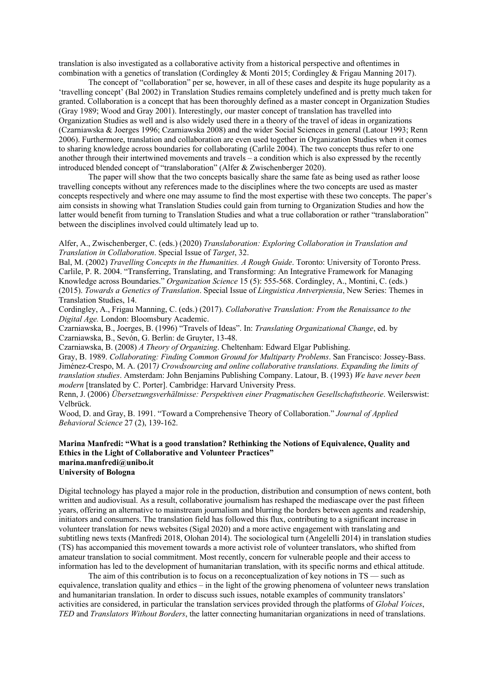translation is also investigated as a collaborative activity from a historical perspective and oftentimes in combination with a genetics of translation (Cordingley & Monti 2015; Cordingley & Frigau Manning 2017).

The concept of "collaboration" per se, however, in all of these cases and despite its huge popularity as a 'travelling concept' (Bal 2002) in Translation Studies remains completely undefined and is pretty much taken for granted. Collaboration is a concept that has been thoroughly defined as a master concept in Organization Studies (Gray 1989; Wood and Gray 2001). Interestingly, our master concept of translation has travelled into Organization Studies as well and is also widely used there in a theory of the travel of ideas in organizations (Czarniawska & Joerges 1996; Czarniawska 2008) and the wider Social Sciences in general (Latour 1993; Renn 2006). Furthermore, translation and collaboration are even used together in Organization Studies when it comes to sharing knowledge across boundaries for collaborating (Carlile 2004). The two concepts thus refer to one another through their intertwined movements and travels – a condition which is also expressed by the recently introduced blended concept of "translaboration" (Alfer & Zwischenberger 2020).

The paper will show that the two concepts basically share the same fate as being used as rather loose travelling concepts without any references made to the disciplines where the two concepts are used as master concepts respectively and where one may assume to find the most expertise with these two concepts. The paper's aim consists in showing what Translation Studies could gain from turning to Organization Studies and how the latter would benefit from turning to Translation Studies and what a true collaboration or rather "translaboration" between the disciplines involved could ultimately lead up to.

### Alfer, A., Zwischenberger, C. (eds.) (2020) *Translaboration: Exploring Collaboration in Translation and Translation in Collaboration*. Special Issue of *Target*, 32.

Bal, M. (2002) *Travelling Concepts in the Humanities. A Rough Guide*. Toronto: University of Toronto Press. Carlile, P. R. 2004. "Transferring, Translating, and Transforming: An Integrative Framework for Managing Knowledge across Boundaries." *Organization Science* 15 (5): 555-568. Cordingley, A., Montini, C. (eds.) (2015). *Towards a Genetics of Translation*. Special Issue of *Linguistica Antverpiensia*, New Series: Themes in Translation Studies, 14.

Cordingley, A., Frigau Manning, C. (eds.) (2017). *Collaborative Translation: From the Renaissance to the Digital Age.* London: Bloomsbury Academic.

Czarniawska, B., Joerges, B. (1996) "Travels of Ideas". In: *Translating Organizational Change*, ed. by Czarniawska, B., Sevón, G. Berlin: de Gruyter, 13-48.

Czarniawska, B. (2008) *A Theory of Organizing*. Cheltenham: Edward Elgar Publishing.

Gray, B. 1989. *Collaborating: Finding Common Ground for Multiparty Problems*. San Francisco: Jossey-Bass. Jiménez-Crespo, M. A. (2017*) Crowdsourcing and online collaborative translations. Expanding the limits of translation studies*. Amsterdam: John Benjamins Publishing Company. Latour, B. (1993) *We have never been modern* [translated by C. Porter]. Cambridge: Harvard University Press.

Renn, J. (2006) *Übersetzungsverhältnisse: Perspektiven einer Pragmatischen Gesellschaftstheorie*. Weilerswist: Velbrück.

Wood, D. and Gray, B. 1991. "Toward a Comprehensive Theory of Collaboration." *Journal of Applied Behavioral Science* 27 (2), 139-162.

### **Marina Manfredi: "What is a good translation? Rethinking the Notions of Equivalence, Quality and Ethics in the Light of Collaborative and Volunteer Practices" marina.manfredi@unibo.it University of Bologna**

Digital technology has played a major role in the production, distribution and consumption of news content, both written and audiovisual. As a result, collaborative journalism has reshaped the mediascape over the past fifteen years, offering an alternative to mainstream journalism and blurring the borders between agents and readership, initiators and consumers. The translation field has followed this flux, contributing to a significant increase in volunteer translation for news websites (Sigal 2020) and a more active engagement with translating and subtitling news texts (Manfredi 2018, Olohan 2014). The sociological turn (Angelelli 2014) in translation studies (TS) has accompanied this movement towards a more activist role of volunteer translators, who shifted from amateur translation to social commitment. Most recently, concern for vulnerable people and their access to information has led to the development of humanitarian translation, with its specific norms and ethical attitude.

The aim of this contribution is to focus on a reconceptualization of key notions in TS — such as equivalence, translation quality and ethics – in the light of the growing phenomena of volunteer news translation and humanitarian translation. In order to discuss such issues, notable examples of community translators' activities are considered, in particular the translation services provided through the platforms of *Global Voices*, *TED* and *Translators Without Borders*, the latter connecting humanitarian organizations in need of translations.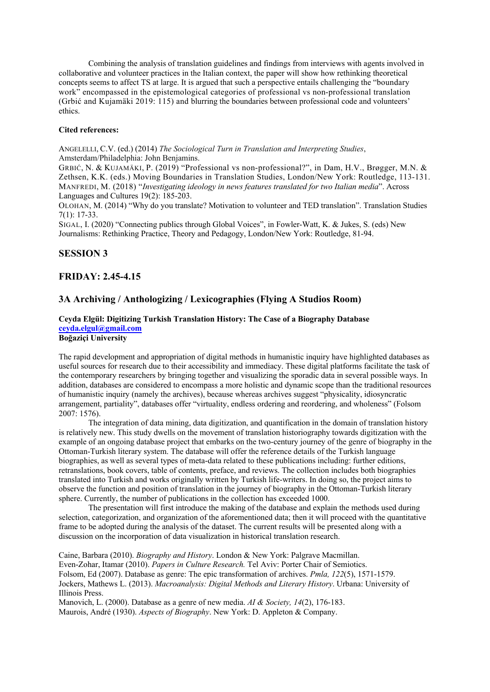Combining the analysis of translation guidelines and findings from interviews with agents involved in collaborative and volunteer practices in the Italian context, the paper will show how rethinking theoretical concepts seems to affect TS at large. It is argued that such a perspective entails challenging the "boundary work" encompassed in the epistemological categories of professional vs non-professional translation (Grbić and Kujamäki 2019: 115) and blurring the boundaries between professional code and volunteers' ethics.

### **Cited references:**

ANGELELLI, C.V. (ed.) (2014) *The Sociological Turn in Translation and Interpreting Studies*, Amsterdam/Philadelphia: John Benjamins.

GRBIĆ, N. & KUJAMÄKI, P. (2019) "Professional vs non-professional?", in Dam, H.V., Brøgger, M.N. & Zethsen, K.K. (eds.) Moving Boundaries in Translation Studies, London/New York: Routledge, 113-131. MANFREDI, M. (2018) "*Investigating ideology in news features translated for two Italian media*". Across Languages and Cultures 19(2): 185-203.

OLOHAN, M. (2014) "Why do you translate? Motivation to volunteer and TED translation". Translation Studies 7(1): 17-33.

SIGAL, I. (2020) "Connecting publics through Global Voices", in Fowler-Watt, K. & Jukes, S. (eds) New Journalisms: Rethinking Practice, Theory and Pedagogy, London/New York: Routledge, 81-94.

### **SESSION 3**

### **FRIDAY: 2.45-4.15**

## **3A Archiving / Anthologizing / Lexicographies (Flying A Studios Room)**

# **Ceyda Elgül: Digitizing Turkish Translation History: The Case of a Biography Database ceyda.elgul@gmail.com**

## **Boğaziçi University**

The rapid development and appropriation of digital methods in humanistic inquiry have highlighted databases as useful sources for research due to their accessibility and immediacy. These digital platforms facilitate the task of the contemporary researchers by bringing together and visualizing the sporadic data in several possible ways. In addition, databases are considered to encompass a more holistic and dynamic scope than the traditional resources of humanistic inquiry (namely the archives), because whereas archives suggest "physicality, idiosyncratic arrangement, partiality", databases offer "virtuality, endless ordering and reordering, and wholeness" (Folsom 2007: 1576).

The integration of data mining, data digitization, and quantification in the domain of translation history is relatively new. This study dwells on the movement of translation historiography towards digitization with the example of an ongoing database project that embarks on the two-century journey of the genre of biography in the Ottoman-Turkish literary system. The database will offer the reference details of the Turkish language biographies, as well as several types of meta-data related to these publications including: further editions, retranslations, book covers, table of contents, preface, and reviews. The collection includes both biographies translated into Turkish and works originally written by Turkish life-writers. In doing so, the project aims to observe the function and position of translation in the journey of biography in the Ottoman-Turkish literary sphere. Currently, the number of publications in the collection has exceeded 1000.

The presentation will first introduce the making of the database and explain the methods used during selection, categorization, and organization of the aforementioned data; then it will proceed with the quantitative frame to be adopted during the analysis of the dataset. The current results will be presented along with a discussion on the incorporation of data visualization in historical translation research.

Caine, Barbara (2010). *Biography and History*. London & New York: Palgrave Macmillan. Even-Zohar, Itamar (2010). *Papers in Culture Research.* Tel Aviv: Porter Chair of Semiotics. Folsom, Ed (2007). Database as genre: The epic transformation of archives. *Pmla, 122*(5), 1571-1579. Jockers, Mathews L. (2013). *Macroanalysis: Digital Methods and Literary History*. Urbana: University of Illinois Press.

Manovich, L. (2000). Database as a genre of new media. *AI & Society, 14*(2), 176-183. Maurois, André (1930). *Aspects of Biography*. New York: D. Appleton & Company.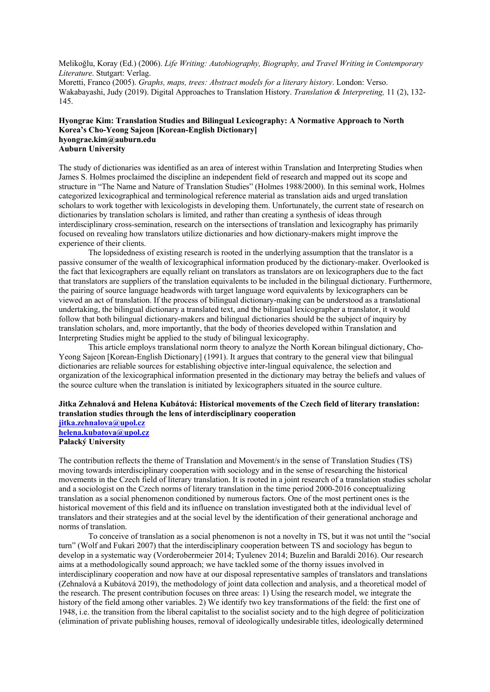Melikoğlu, Koray (Ed.) (2006). *Life Writing: Autobiography, Biography, and Travel Writing in Contemporary Literature*. Stutgart: Verlag.

Moretti, Franco (2005). *Graphs, maps, trees: Abstract models for a literary history*. London: Verso. Wakabayashi, Judy (2019). Digital Approaches to Translation History. *Translation & Interpreting,* 11 (2), 132- 145.

### **Hyongrae Kim: Translation Studies and Bilingual Lexicography: A Normative Approach to North Korea's Cho-Yeong Sajeon [Korean-English Dictionary] hyongrae.kim@auburn.edu Auburn University**

The study of dictionaries was identified as an area of interest within Translation and Interpreting Studies when James S. Holmes proclaimed the discipline an independent field of research and mapped out its scope and structure in "The Name and Nature of Translation Studies" (Holmes 1988/2000). In this seminal work, Holmes categorized lexicographical and terminological reference material as translation aids and urged translation scholars to work together with lexicologists in developing them. Unfortunately, the current state of research on dictionaries by translation scholars is limited, and rather than creating a synthesis of ideas through interdisciplinary cross-semination, research on the intersections of translation and lexicography has primarily focused on revealing how translators utilize dictionaries and how dictionary-makers might improve the experience of their clients.

The lopsidedness of existing research is rooted in the underlying assumption that the translator is a passive consumer of the wealth of lexicographical information produced by the dictionary-maker. Overlooked is the fact that lexicographers are equally reliant on translators as translators are on lexicographers due to the fact that translators are suppliers of the translation equivalents to be included in the bilingual dictionary. Furthermore, the pairing of source language headwords with target language word equivalents by lexicographers can be viewed an act of translation. If the process of bilingual dictionary-making can be understood as a translational undertaking, the bilingual dictionary a translated text, and the bilingual lexicographer a translator, it would follow that both bilingual dictionary-makers and bilingual dictionaries should be the subject of inquiry by translation scholars, and, more importantly, that the body of theories developed within Translation and Interpreting Studies might be applied to the study of bilingual lexicography.

This article employs translational norm theory to analyze the North Korean bilingual dictionary, Cho-Yeong Sajeon [Korean-English Dictionary] (1991). It argues that contrary to the general view that bilingual dictionaries are reliable sources for establishing objective inter-lingual equivalence, the selection and organization of the lexicographical information presented in the dictionary may betray the beliefs and values of the source culture when the translation is initiated by lexicographers situated in the source culture.

## **Jitka Zehnalová and Helena Kubátová: Historical movements of the Czech field of literary translation: translation studies through the lens of interdisciplinary cooperation**

**jitka.zehnalova@upol.cz helena.kubatova@upol.cz Palacký University**

The contribution reflects the theme of Translation and Movement/s in the sense of Translation Studies (TS) moving towards interdisciplinary cooperation with sociology and in the sense of researching the historical movements in the Czech field of literary translation. It is rooted in a joint research of a translation studies scholar and a sociologist on the Czech norms of literary translation in the time period 2000-2016 conceptualizing translation as a social phenomenon conditioned by numerous factors. One of the most pertinent ones is the historical movement of this field and its influence on translation investigated both at the individual level of translators and their strategies and at the social level by the identification of their generational anchorage and norms of translation.

To conceive of translation as a social phenomenon is not a novelty in TS, but it was not until the "social turn" (Wolf and Fukari 2007) that the interdisciplinary cooperation between TS and sociology has begun to develop in a systematic way (Vorderobermeier 2014; Tyulenev 2014; Buzelin and Baraldi 2016). Our research aims at a methodologically sound approach; we have tackled some of the thorny issues involved in interdisciplinary cooperation and now have at our disposal representative samples of translators and translations (Zehnalová a Kubátová 2019), the methodology of joint data collection and analysis, and a theoretical model of the research. The present contribution focuses on three areas: 1) Using the research model, we integrate the history of the field among other variables. 2) We identify two key transformations of the field: the first one of 1948, i.e. the transition from the liberal capitalist to the socialist society and to the high degree of politicization (elimination of private publishing houses, removal of ideologically undesirable titles, ideologically determined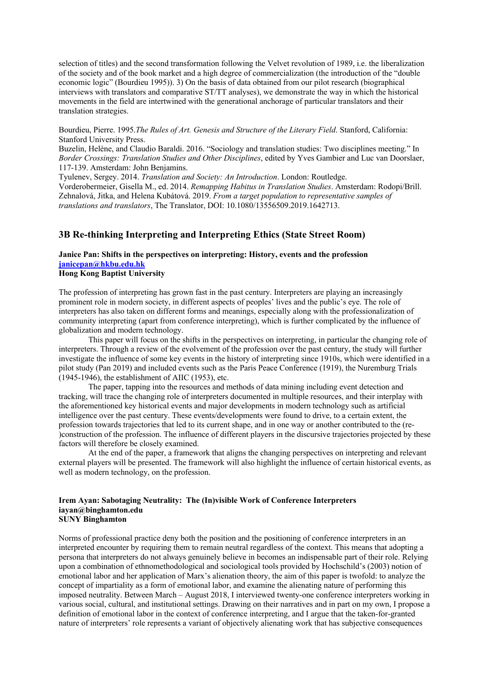selection of titles) and the second transformation following the Velvet revolution of 1989, i.e. the liberalization of the society and of the book market and a high degree of commercialization (the introduction of the "double economic logic" (Bourdieu 1995)). 3) On the basis of data obtained from our pilot research (biographical interviews with translators and comparative ST/TT analyses), we demonstrate the way in which the historical movements in the field are intertwined with the generational anchorage of particular translators and their translation strategies.

Bourdieu, Pierre. 1995.*The Rules of Art. Genesis and Structure of the Literary Field*. Stanford, California: Stanford University Press.

Buzelin, Helène, and Claudio Baraldi. 2016. "Sociology and translation studies: Two disciplines meeting." In *Border Crossings: Translation Studies and Other Disciplines*, edited by Yves Gambier and Luc van Doorslaer, 117-139. Amsterdam: John Benjamins.

Tyulenev, Sergey. 2014. *Translation and Society: An Introduction*. London: Routledge. Vorderobermeier, Gisella M., ed. 2014. *Remapping Habitus in Translation Studies*. Amsterdam: Rodopi/Brill. Zehnalová, Jitka, and Helena Kubátová. 2019. *From a target population to representative samples of translations and translators*, The Translator, DOI: 10.1080/13556509.2019.1642713.

## **3B Re-thinking Interpreting and Interpreting Ethics (State Street Room)**

## **Janice Pan: Shifts in the perspectives on interpreting: History, events and the profession janicepan@hkbu.edu.hk**

### **Hong Kong Baptist University**

The profession of interpreting has grown fast in the past century. Interpreters are playing an increasingly prominent role in modern society, in different aspects of peoples' lives and the public's eye. The role of interpreters has also taken on different forms and meanings, especially along with the professionalization of community interpreting (apart from conference interpreting), which is further complicated by the influence of globalization and modern technology.

This paper will focus on the shifts in the perspectives on interpreting, in particular the changing role of interpreters. Through a review of the evolvement of the profession over the past century, the study will further investigate the influence of some key events in the history of interpreting since 1910s, which were identified in a pilot study (Pan 2019) and included events such as the Paris Peace Conference (1919), the Nuremburg Trials (1945-1946), the establishment of AIIC (1953), etc.

The paper, tapping into the resources and methods of data mining including event detection and tracking, will trace the changing role of interpreters documented in multiple resources, and their interplay with the aforementioned key historical events and major developments in modern technology such as artificial intelligence over the past century. These events/developments were found to drive, to a certain extent, the profession towards trajectories that led to its current shape, and in one way or another contributed to the (re- )construction of the profession. The influence of different players in the discursive trajectories projected by these factors will therefore be closely examined.

At the end of the paper, a framework that aligns the changing perspectives on interpreting and relevant external players will be presented. The framework will also highlight the influence of certain historical events, as well as modern technology, on the profession.

### **Irem Ayan: Sabotaging Neutrality: The (In)visible Work of Conference Interpreters iayan@binghamton.edu SUNY Binghamton**

Norms of professional practice deny both the position and the positioning of conference interpreters in an interpreted encounter by requiring them to remain neutral regardless of the context. This means that adopting a persona that interpreters do not always genuinely believe in becomes an indispensable part of their role. Relying upon a combination of ethnomethodological and sociological tools provided by Hochschild's (2003) notion of emotional labor and her application of Marx's alienation theory, the aim of this paper is twofold: to analyze the concept of impartiality as a form of emotional labor, and examine the alienating nature of performing this imposed neutrality. Between March – August 2018, I interviewed twenty-one conference interpreters working in various social, cultural, and institutional settings. Drawing on their narratives and in part on my own, I propose a definition of emotional labor in the context of conference interpreting, and I argue that the taken-for-granted nature of interpreters' role represents a variant of objectively alienating work that has subjective consequences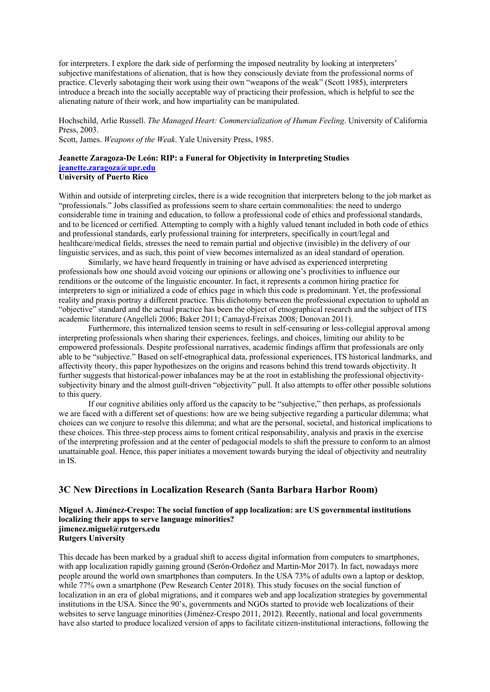for interpreters. I explore the dark side of performing the imposed neutrality by looking at interpreters' subjective manifestations of alienation, that is how they consciously deviate from the professional norms of practice. Cleverly sabotaging their work using their own "weapons of the weak" (Scott 1985), interpreters introduce a breach into the socially acceptable way of practicing their profession, which is helpful to see the alienating nature of their work, and how impartiality can be manipulated.

Hochschild, Arlie Russell. *The Managed Heart: Commercialization of Human Feeling*. University of California Press, 2003.

Scott, James. *Weapons of the Weak*. Yale University Press, 1985.

### **Jeanette Zaragoza-De León: RIP: a Funeral for Objectivity in Interpreting Studies jeanette.zaragoza@upr.edu University of Puerto Rico**

Within and outside of interpreting circles, there is a wide recognition that interpreters belong to the job market as "professionals." Jobs classified as professions seem to share certain commonalities: the need to undergo considerable time in training and education, to follow a professional code of ethics and professional standards, and to be licenced or certified. Attempting to comply with a highly valued tenant included in both code of ethics and professional standards, early professional training for interpreters, specifically in court/legal and healthcare/medical fields, stresses the need to remain partial and objective (invisible) in the delivery of our linguistic services, and as such, this point of view becomes internalized as an ideal standard of operation.

Similarly, we have heard frequently in training or have advised as experienced interpreting professionals how one should avoid voicing our opinions or allowing one's proclivities to influence our renditions or the outcome of the linguistic encounter. In fact, it represents a common hiring practice for interpreters to sign or initialized a code of ethics page in which this code is predominant. Yet, the professional reality and praxis portray a different practice. This dichotomy between the professional expectation to uphold an "objective" standard and the actual practice has been the object of etnographical research and the subject of ITS academic literature (Angelleli 2006; Baker 2011; Camayd-Freixas 2008; Donovan 2011).

Furthermore, this internalized tension seems to result in self-censuring or less-collegial approval among interpreting professionals when sharing their experiences, feelings, and choices, limiting our ability to be empowered professionals. Despite professional narratives, academic findings affirm that professionals are only able to be "subjective." Based on self-etnographical data, professional experiences, ITS historical landmarks, and affectivity theory, this paper hypothesizes on the origins and reasons behind this trend towards objectivity. It further suggests that historical-power inbalances may be at the root in establishing the professional objectivitysubjectivity binary and the almost guilt-driven "objectivity" pull. It also attempts to offer other possible solutions to this query.

If our cognitive abilities only afford us the capacity to be "subjective," then perhaps, as professionals we are faced with a different set of questions: how are we being subjective regarding a particular dilemma; what choices can we conjure to resolve this dilemma; and what are the personal, societal, and historical implications to these choices. This three-step process aims to foment critical responsability, analysis and praxis in the exercise of the interpreting profession and at the center of pedagocial models to shift the pressure to conform to an almost unattainable goal. Hence, this paper initiates a movement towards burying the ideal of objectivity and neutrality in IS.

### **3C New Directions in Localization Research (Santa Barbara Harbor Room)**

**Miguel A. Jiménez-Crespo: The social function of app localization: are US governmental institutions localizing their apps to serve language minorities? jimenez.miguel@rutgers.edu Rutgers University**

This decade has been marked by a gradual shift to access digital information from computers to smartphones, with app localization rapidly gaining ground (Serón-Ordoñez and Martin-Mor 2017). In fact, nowadays more people around the world own smartphones than computers. In the USA 73% of adults own a laptop or desktop, while 77% own a smartphone (Pew Research Center 2018). This study focuses on the social function of localization in an era of global migrations, and it compares web and app localization strategies by governmental institutions in the USA. Since the 90's, governments and NGOs started to provide web localizations of their websites to serve language minorities (Jiménez-Crespo 2011, 2012). Recently, national and local governments have also started to produce localized version of apps to facilitate citizen-institutional interactions, following the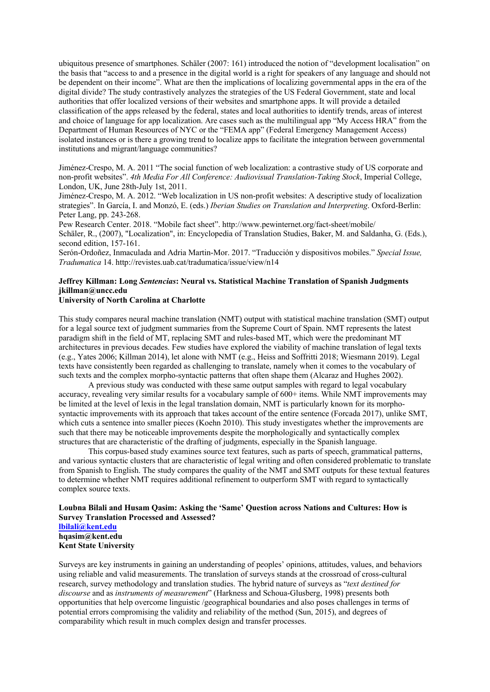ubiquitous presence of smartphones. Schäler (2007: 161) introduced the notion of "development localisation" on the basis that "access to and a presence in the digital world is a right for speakers of any language and should not be dependent on their income". What are then the implications of localizing governmental apps in the era of the digital divide? The study contrastively analyzes the strategies of the US Federal Government, state and local authorities that offer localized versions of their websites and smartphone apps. It will provide a detailed classification of the apps released by the federal, states and local authorities to identify trends, areas of interest and choice of language for app localization. Are cases such as the multilingual app "My Access HRA" from the Department of Human Resources of NYC or the "FEMA app" (Federal Emergency Management Access) isolated instances or is there a growing trend to localize apps to facilitate the integration between governmental institutions and migrant/language communities?

Jiménez-Crespo, M. A. 2011 "The social function of web localization: a contrastive study of US corporate and non-profit websites". *4th Media For All Conference: Audiovisual Translation-Taking Stock*, Imperial College, London, UK, June 28th-July 1st, 2011.

Jiménez-Crespo, M. A. 2012. "Web localization in US non-profit websites: A descriptive study of localization strategies". In García, I. and Monzó, E. (eds.) *Iberian Studies on Translation and Interpreting*. Oxford-Berlin: Peter Lang, pp. 243-268.

Pew Research Center. 2018. "Mobile fact sheet". http://www.pewinternet.org/fact-sheet/mobile/ Schäler, R., (2007), "Localization", in: Encyclopedia of Translation Studies, Baker, M. and Saldanha, G. (Eds.), second edition, 157-161.

Serón-Ordoñez, Inmaculada and Adria Martin-Mor. 2017. "Traducción y dispositivos mobiles." *Special Issue, Tradumatica* 14. http://revistes.uab.cat/tradumatica/issue/view/n14

#### **Jeffrey Killman: Long** *Sentencias***: Neural vs. Statistical Machine Translation of Spanish Judgments jkillman@uncc.edu University of North Carolina at Charlotte**

### This study compares neural machine translation (NMT) output with statistical machine translation (SMT) output for a legal source text of judgment summaries from the Supreme Court of Spain. NMT represents the latest paradigm shift in the field of MT, replacing SMT and rules-based MT, which were the predominant MT architectures in previous decades. Few studies have explored the viability of machine translation of legal texts (e.g., Yates 2006; Killman 2014), let alone with NMT (e.g., Heiss and Soffritti 2018; Wiesmann 2019). Legal texts have consistently been regarded as challenging to translate, namely when it comes to the vocabulary of such texts and the complex morpho-syntactic patterns that often shape them (Alcaraz and Hughes 2002).

A previous study was conducted with these same output samples with regard to legal vocabulary accuracy, revealing very similar results for a vocabulary sample of 600+ items. While NMT improvements may be limited at the level of lexis in the legal translation domain, NMT is particularly known for its morphosyntactic improvements with its approach that takes account of the entire sentence (Forcada 2017), unlike SMT, which cuts a sentence into smaller pieces (Koehn 2010). This study investigates whether the improvements are such that there may be noticeable improvements despite the morphologically and syntactically complex structures that are characteristic of the drafting of judgments, especially in the Spanish language.

This corpus-based study examines source text features, such as parts of speech, grammatical patterns, and various syntactic clusters that are characteristic of legal writing and often considered problematic to translate from Spanish to English. The study compares the quality of the NMT and SMT outputs for these textual features to determine whether NMT requires additional refinement to outperform SMT with regard to syntactically complex source texts.

### **Loubna Bilali and Husam Qasim: Asking the 'Same' Question across Nations and Cultures: How is Survey Translation Processed and Assessed? lbilali@kent.edu hqasim@kent.edu**

**Kent State University**

Surveys are key instruments in gaining an understanding of peoples' opinions, attitudes, values, and behaviors using reliable and valid measurements. The translation of surveys stands at the crossroad of cross-cultural research, survey methodology and translation studies. The hybrid nature of surveys as "*text destined for discourse* and as *instruments of measurement*" (Harkness and Schoua-Glusberg, 1998) presents both opportunities that help overcome linguistic /geographical boundaries and also poses challenges in terms of potential errors compromising the validity and reliability of the method (Sun, 2015), and degrees of comparability which result in much complex design and transfer processes.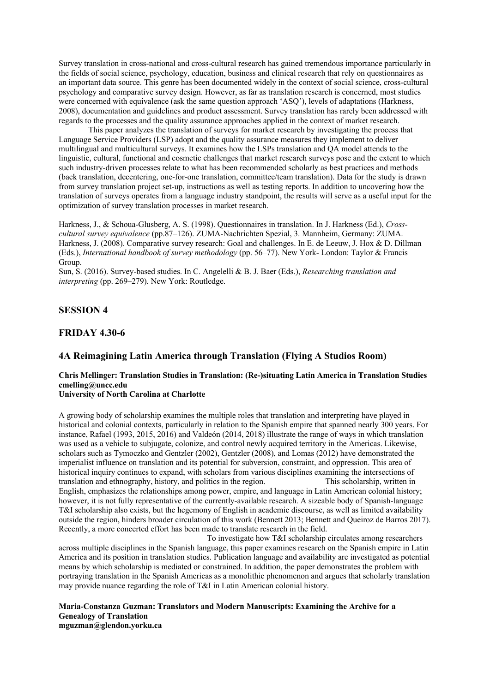Survey translation in cross-national and cross-cultural research has gained tremendous importance particularly in the fields of social science, psychology, education, business and clinical research that rely on questionnaires as an important data source. This genre has been documented widely in the context of social science, cross-cultural psychology and comparative survey design. However, as far as translation research is concerned, most studies were concerned with equivalence (ask the same question approach 'ASQ'), levels of adaptations (Harkness, 2008), documentation and guidelines and product assessment. Survey translation has rarely been addressed with regards to the processes and the quality assurance approaches applied in the context of market research.

This paper analyzes the translation of surveys for market research by investigating the process that Language Service Providers (LSP) adopt and the quality assurance measures they implement to deliver multilingual and multicultural surveys. It examines how the LSPs translation and QA model attends to the linguistic, cultural, functional and cosmetic challenges that market research surveys pose and the extent to which such industry-driven processes relate to what has been recommended scholarly as best practices and methods (back translation, decentering, one-for-one translation, committee/team translation). Data for the study is drawn from survey translation project set-up, instructions as well as testing reports. In addition to uncovering how the translation of surveys operates from a language industry standpoint, the results will serve as a useful input for the optimization of survey translation processes in market research.

Harkness, J., & Schoua-Glusberg, A. S. (1998). Questionnaires in translation. In J. Harkness (Ed.), *Crosscultural survey equivalence* (pp.87–126). ZUMA-Nachrichten Spezial, 3. Mannheim, Germany: ZUMA. Harkness, J. (2008). Comparative survey research: Goal and challenges. In E. de Leeuw, J. Hox & D. Dillman (Eds.), *International handbook of survey methodology* (pp. 56–77). New York- London: Taylor & Francis Group.

Sun, S. (2016). Survey-based studies. In C. Angelelli & B. J. Baer (Eds.), *Researching translation and interpreting* (pp. 269–279). New York: Routledge.

## **SESSION 4**

### **FRIDAY 4.30-6**

## **4A Reimagining Latin America through Translation (Flying A Studios Room)**

## **Chris Mellinger: Translation Studies in Translation: (Re-)situating Latin America in Translation Studies cmelling@uncc.edu**

## **University of North Carolina at Charlotte**

A growing body of scholarship examines the multiple roles that translation and interpreting have played in historical and colonial contexts, particularly in relation to the Spanish empire that spanned nearly 300 years. For instance, Rafael (1993, 2015, 2016) and Valdeón (2014, 2018) illustrate the range of ways in which translation was used as a vehicle to subjugate, colonize, and control newly acquired territory in the Americas. Likewise, scholars such as Tymoczko and Gentzler (2002), Gentzler (2008), and Lomas (2012) have demonstrated the imperialist influence on translation and its potential for subversion, constraint, and oppression. This area of historical inquiry continues to expand, with scholars from various disciplines examining the intersections of translation and ethnography, history, and politics in the region. This scholarship, written in English, emphasizes the relationships among power, empire, and language in Latin American colonial history; however, it is not fully representative of the currently-available research. A sizeable body of Spanish-language T&I scholarship also exists, but the hegemony of English in academic discourse, as well as limited availability outside the region, hinders broader circulation of this work (Bennett 2013; Bennett and Queiroz de Barros 2017). Recently, a more concerted effort has been made to translate research in the field.

To investigate how T&I scholarship circulates among researchers across multiple disciplines in the Spanish language, this paper examines research on the Spanish empire in Latin America and its position in translation studies. Publication language and availability are investigated as potential means by which scholarship is mediated or constrained. In addition, the paper demonstrates the problem with portraying translation in the Spanish Americas as a monolithic phenomenon and argues that scholarly translation may provide nuance regarding the role of T&I in Latin American colonial history.

#### **Maria-Constanza Guzman: Translators and Modern Manuscripts: Examining the Archive for a Genealogy of Translation mguzman@glendon.yorku.ca**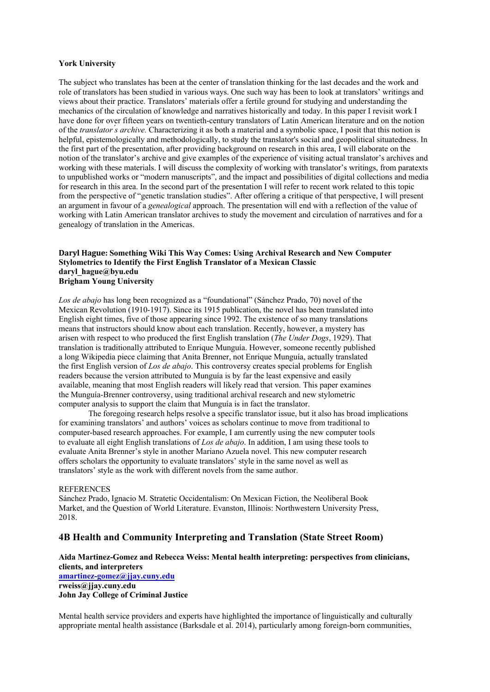### **York University**

The subject who translates has been at the center of translation thinking for the last decades and the work and role of translators has been studied in various ways. One such way has been to look at translators' writings and views about their practice. Translators' materials offer a fertile ground for studying and understanding the mechanics of the circulation of knowledge and narratives historically and today. In this paper I revisit work I have done for over fifteen years on twentieth-century translators of Latin American literature and on the notion of the *translator ́s archive.* Characterizing it as both a material and a symbolic space, I posit that this notion is helpful, epistemologically and methodologically, to study the translator's social and geopolitical situatedness. In the first part of the presentation, after providing background on research in this area, I will elaborate on the notion of the translator's archive and give examples of the experience of visiting actual translator's archives and working with these materials. I will discuss the complexity of working with translator's writings, from paratexts to unpublished works or "modern manuscripts", and the impact and possibilities of digital collections and media for research in this area. In the second part of the presentation I will refer to recent work related to this topic from the perspective of "genetic translation studies". After offering a critique of that perspective, I will present an argument in favour of a *genealogical* approach. The presentation will end with a reflection of the value of working with Latin American translator archives to study the movement and circulation of narratives and for a genealogy of translation in the Americas.

### Daryl Hague: Something Wiki This Way Comes: Using Archival Research and New Computer **Stylometrics to Identify the First English Translator of a Mexican Classic daryl\_hague@byu.edu Brigham Young University**

*Los de abajo* has long been recognized as a "foundational" (Sánchez Prado, 70) novel of the Mexican Revolution (1910-1917). Since its 1915 publication, the novel has been translated into English eight times, five of those appearing since 1992. The existence of so many translations means that instructors should know about each translation. Recently, however, a mystery has arisen with respect to who produced the first English translation (*The Under Dogs*, 1929). That translation is traditionally attributed to Enrique Munguía. However, someone recently published a long Wikipedia piece claiming that Anita Brenner, not Enrique Munguía, actually translated the first English version of *Los de abajo*. This controversy creates special problems for English readers because the version attributed to Munguía is by far the least expensive and easily available, meaning that most English readers will likely read that version. This paper examines the Munguía-Brenner controversy, using traditional archival research and new stylometric computer analysis to support the claim that Munguía is in fact the translator.

The foregoing research helps resolve a specific translator issue, but it also has broad implications for examining translators' and authors' voices as scholars continue to move from traditional to computer-based research approaches. For example, I am currently using the new computer tools to evaluate all eight English translations of *Los de abajo*. In addition, I am using these tools to evaluate Anita Brenner's style in another Mariano Azuela novel. This new computer research offers scholars the opportunity to evaluate translators' style in the same novel as well as translators' style as the work with different novels from the same author.

#### **REFERENCES**

Sánchez Prado, Ignacio M. Stratetic Occidentalism: On Mexican Fiction, the Neoliberal Book Market, and the Question of World Literature. Evanston, Illinois: Northwestern University Press, 2018.

### **4B Health and Community Interpreting and Translation (State Street Room)**

### **Aida Martinez-Gomez and Rebecca Weiss: Mental health interpreting: perspectives from clinicians, clients, and interpreters amartinez-gomez@jjay.cuny.edu**

**rweiss@jjay.cuny.edu John Jay College of Criminal Justice**

Mental health service providers and experts have highlighted the importance of linguistically and culturally appropriate mental health assistance (Barksdale et al. 2014), particularly among foreign-born communities,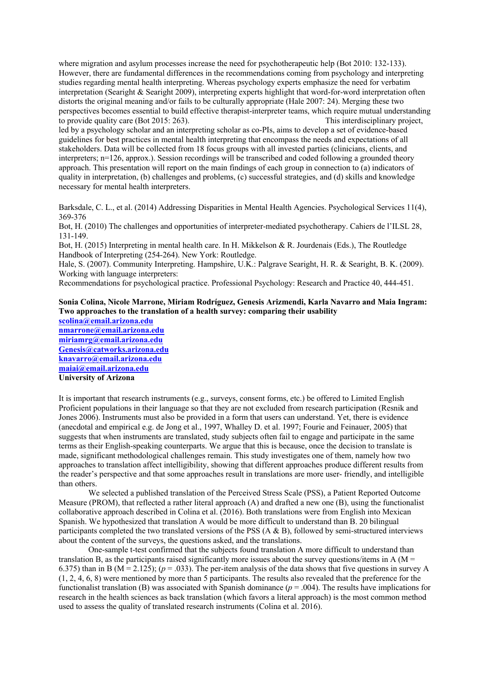where migration and asylum processes increase the need for psychotherapeutic help (Bot 2010: 132-133). However, there are fundamental differences in the recommendations coming from psychology and interpreting studies regarding mental health interpreting. Whereas psychology experts emphasize the need for verbatim interpretation (Searight & Searight 2009), interpreting experts highlight that word-for-word interpretation often distorts the original meaning and/or fails to be culturally appropriate (Hale 2007: 24). Merging these two perspectives becomes essential to build effective therapist-interpreter teams, which require mutual understanding to provide quality care (Bot 2015: 263). This interdisciplinary project,

led by a psychology scholar and an interpreting scholar as co-PIs, aims to develop a set of evidence-based guidelines for best practices in mental health interpreting that encompass the needs and expectations of all stakeholders. Data will be collected from 18 focus groups with all invested parties (clinicians, clients, and interpreters; n=126, approx.). Session recordings will be transcribed and coded following a grounded theory approach. This presentation will report on the main findings of each group in connection to (a) indicators of quality in interpretation, (b) challenges and problems, (c) successful strategies, and (d) skills and knowledge necessary for mental health interpreters.

Barksdale, C. L., et al. (2014) Addressing Disparities in Mental Health Agencies. Psychological Services 11(4), 369-376

Bot, H. (2010) The challenges and opportunities of interpreter-mediated psychotherapy. Cahiers de l'ILSL 28, 131-149.

Bot, H. (2015) Interpreting in mental health care. In H. Mikkelson & R. Jourdenais (Eds.), The Routledge Handbook of Interpreting (254-264). New York: Routledge.

Hale, S. (2007). Community Interpreting. Hampshire, U.K.: Palgrave Searight, H. R. & Searight, B. K. (2009). Working with language interpreters:

Recommendations for psychological practice. Professional Psychology: Research and Practice 40, 444-451.

## **Sonia Colina, Nicole Marrone, Miriam Rodríguez, Genesis Arizmendi, Karla Navarro and Maia Ingram: Two approaches to the translation of a health survey: comparing their usability**

**scolina@email.arizona.edu nmarrone@email.arizona.edu miriamrg@email.arizona.edu Genesis@catworks.arizona.edu knavarro@email.arizona.edu maiai@email.arizona.edu University of Arizona**

It is important that research instruments (e.g., surveys, consent forms, etc.) be offered to Limited English Proficient populations in their language so that they are not excluded from research participation (Resnik and Jones 2006). Instruments must also be provided in a form that users can understand. Yet, there is evidence (anecdotal and empirical e.g. de Jong et al., 1997, Whalley D. et al. 1997; Fourie and Feinauer, 2005) that suggests that when instruments are translated, study subjects often fail to engage and participate in the same terms as their English-speaking counterparts. We argue that this is because, once the decision to translate is made, significant methodological challenges remain. This study investigates one of them, namely how two approaches to translation affect intelligibility, showing that different approaches produce different results from the reader's perspective and that some approaches result in translations are more user- friendly, and intelligible than others.

We selected a published translation of the Perceived Stress Scale (PSS), a Patient Reported Outcome Measure (PROM), that reflected a rather literal approach (A) and drafted a new one (B), using the functionalist collaborative approach described in Colina et al. (2016). Both translations were from English into Mexican Spanish. We hypothesized that translation A would be more difficult to understand than B. 20 bilingual participants completed the two translated versions of the PSS (A & B), followed by semi-structured interviews about the content of the surveys, the questions asked, and the translations.

One-sample t-test confirmed that the subjects found translation A more difficult to understand than translation B, as the participants raised significantly more issues about the survey questions/items in A ( $M =$ 6.375) than in B ( $M = 2.125$ ); ( $p = .033$ ). The per-item analysis of the data shows that five questions in survey A (1, 2, 4, 6, 8) were mentioned by more than 5 participants. The results also revealed that the preference for the functionalist translation (B) was associated with Spanish dominance  $(p = .004)$ . The results have implications for research in the health sciences as back translation (which favors a literal approach) is the most common method used to assess the quality of translated research instruments (Colina et al. 2016).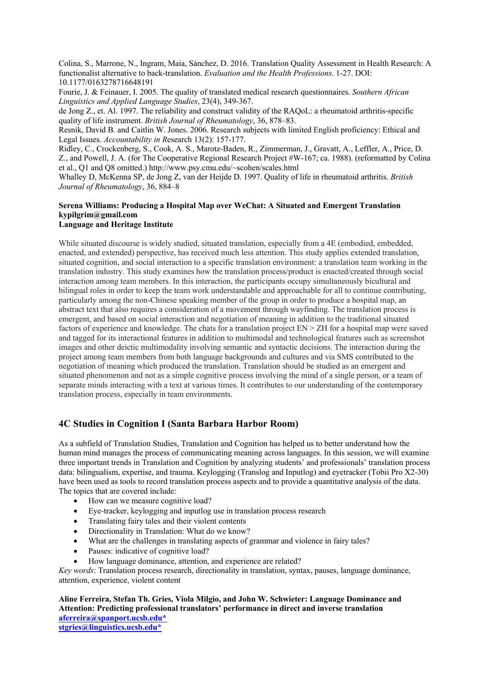Colina, S., Marrone, N., Ingram, Maia, Sánchez, D. 2016. Translation Quality Assessment in Health Research: A functionalist alternative to back-translation. *Evaluation and the Health Professions*. 1-27. DOI: 10.1177/0163278716648191

Fourie, J. & Feinauer, I. 2005. The quality of translated medical research questionnaires. *Southern African Linguistics and Applied Language Studies*, 23(4), 349-367.

de Jong Z., et. Al. 1997. The reliability and construct validity of the RAQoL: a rheumatoid arthritis-specific quality of life instrument. *British Journal of Rheumatology*, 36, 878–83.

Resnik, David B. and Caitlin W. Jones. 2006. Research subjects with limited English proficiency: Ethical and Legal Issues. *Accountability in R*esearch 13(2): 157-177.

Ridley, C., Crockenberg, S., Cook, A. S., Marotz-Baden, R., Zimmerman, J., Gravatt, A., Leffler, A., Price, D. Z., and Powell, J. A. (for The Cooperative Regional Research Project #W-167; ca. 1988). (reformatted by Colina et al., Q1 and Q8 omitted.) http://www.psy.cmu.edu/~scohen/scales.html

Whalley D, McKenna SP, de Jong Z, van der Heijde D. 1997. Quality of life in rheumatoid arthritis. *British Journal of Rheumatology*, 36, 884–8

# **Serena Williams: Producing a Hospital Map over WeChat: A Situated and Emergent Translation kypilgrim@gmail.com**

## **Language and Heritage Institute**

While situated discourse is widely studied, situated translation, especially from a 4E (embodied, embedded, enacted, and extended) perspective, has received much less attention. This study applies extended translation, situated cognition, and social interaction to a specific translation environment: a translation team working in the translation industry. This study examines how the translation process/product is enacted/created through social interaction among team members. In this interaction, the participants occupy simultaneously bicultural and bilingual roles in order to keep the team work understandable and approachable for all to continue contributing, particularly among the non-Chinese speaking member of the group in order to produce a hospital map, an abstract text that also requires a consideration of a movement through wayfinding. The translation process is emergent, and based on social interaction and negotiation of meaning in addition to the traditional situated factors of experience and knowledge. The chats for a translation project EN > ZH for a hospital map were saved and tagged for its interactional features in addition to multimodal and technological features such as screenshot images and other deictic multimodality involving semantic and syntactic decisions. The interaction during the project among team members from both language backgrounds and cultures and via SMS contributed to the negotiation of meaning which produced the translation. Translation should be studied as an emergent and situated phenomenon and not as a simple cognitive process involving the mind of a single person, or a team of separate minds interacting with a text at various times. It contributes to our understanding of the contemporary translation process, especially in team environments.

# **4C Studies in Cognition I (Santa Barbara Harbor Room)**

As a subfield of Translation Studies, Translation and Cognition has helped us to better understand how the human mind manages the process of communicating meaning across languages. In this session, we will examine three important trends in Translation and Cognition by analyzing students' and professionals' translation process data: bilingualism, expertise, and trauma. Keylogging (Translog and Inputlog) and eyetracker (Tobii Pro X2-30) have been used as tools to record translation process aspects and to provide a quantitative analysis of the data. The topics that are covered include:

- How can we measure cognitive load?
- Eye-tracker, keylogging and inputlog use in translation process research
- Translating fairy tales and their violent contents
- Directionality in Translation: What do we know?
- What are the challenges in translating aspects of grammar and violence in fairy tales?
- Pauses: indicative of cognitive load?
- How language dominance, attention, and experience are related?

*Key words*: Translation process research, directionality in translation, syntax, pauses, language dominance, attention, experience, violent content

**Aline Ferreira, Stefan Th. Gries, Viola Milgio, and John W. Schwieter: Language Dominance and Attention: Predicting professional translators' performance in direct and inverse translation aferreira@spanport.ucsb.edu\* stgries@linguistics.ucsb.edu\***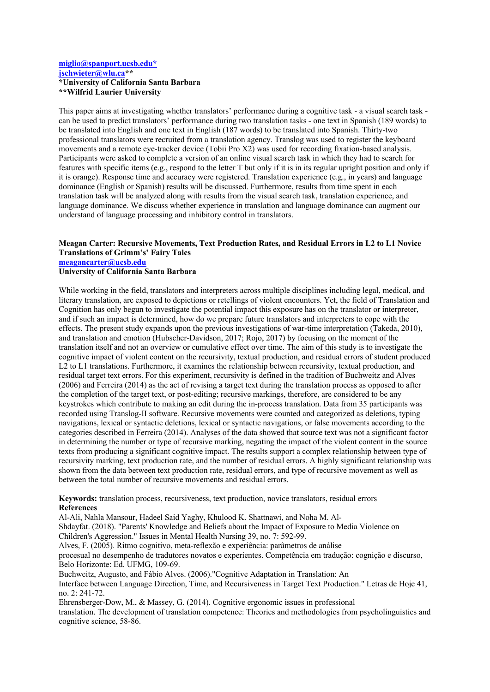### **miglio@spanport.ucsb.edu\* jschwieter@wlu.ca\*\* \*University of California Santa Barbara \*\*Wilfrid Laurier University**

This paper aims at investigating whether translators' performance during a cognitive task - a visual search task can be used to predict translators' performance during two translation tasks - one text in Spanish (189 words) to be translated into English and one text in English (187 words) to be translated into Spanish. Thirty-two professional translators were recruited from a translation agency. Translog was used to register the keyboard movements and a remote eye-tracker device (Tobii Pro X2) was used for recording fixation-based analysis. Participants were asked to complete a version of an online visual search task in which they had to search for features with specific items (e.g., respond to the letter T but only if it is in its regular upright position and only if it is orange). Response time and accuracy were registered. Translation experience (e.g., in years) and language dominance (English or Spanish) results will be discussed. Furthermore, results from time spent in each translation task will be analyzed along with results from the visual search task, translation experience, and language dominance. We discuss whether experience in translation and language dominance can augment our understand of language processing and inhibitory control in translators.

# **Meagan Carter: Recursive Movements, Text Production Rates, and Residual Errors in L2 to L1 Novice Translations of Grimm's' Fairy Tales**

**meagancarter@ucsb.edu**

### **University of California Santa Barbara**

While working in the field, translators and interpreters across multiple disciplines including legal, medical, and literary translation, are exposed to depictions or retellings of violent encounters. Yet, the field of Translation and Cognition has only begun to investigate the potential impact this exposure has on the translator or interpreter, and if such an impact is determined, how do we prepare future translators and interpreters to cope with the effects. The present study expands upon the previous investigations of war-time interpretation (Takeda, 2010), and translation and emotion (Hubscher-Davidson, 2017; Rojo, 2017) by focusing on the moment of the translation itself and not an overview or cumulative effect over time. The aim of this study is to investigate the cognitive impact of violent content on the recursivity, textual production, and residual errors of student produced L2 to L1 translations. Furthermore, it examines the relationship between recursivity, textual production, and residual target text errors. For this experiment, recursivity is defined in the tradition of Buchweitz and Alves (2006) and Ferreira (2014) as the act of revising a target text during the translation process as opposed to after the completion of the target text, or post-editing; recursive markings, therefore, are considered to be any keystrokes which contribute to making an edit during the in-process translation. Data from 35 participants was recorded using Translog-II software. Recursive movements were counted and categorized as deletions, typing navigations, lexical or syntactic deletions, lexical or syntactic navigations, or false movements according to the categories described in Ferreira (2014). Analyses of the data showed that source text was not a significant factor in determining the number or type of recursive marking, negating the impact of the violent content in the source texts from producing a significant cognitive impact. The results support a complex relationship between type of recursivity marking, text production rate, and the number of residual errors. A highly significant relationship was shown from the data between text production rate, residual errors, and type of recursive movement as well as between the total number of recursive movements and residual errors.

**Keywords:** translation process, recursiveness, text production, novice translators, residual errors **References** 

Al-Ali, Nahla Mansour, Hadeel Said Yaghy, Khulood K. Shattnawi, and Noha M. Al-Shdayfat. (2018). "Parents' Knowledge and Beliefs about the Impact of Exposure to Media Violence on Children's Aggression." Issues in Mental Health Nursing 39, no. 7: 592-99.

Alves, F. (2005). Ritmo cognitivo, meta-reflexão e experiência: parâmetros de análise procesual no desempenho de tradutores novatos e experientes. Competência em tradução: cognição e discurso, Belo Horizonte: Ed. UFMG, 109-69.

Buchweitz, Augusto, and Fábio Alves. (2006)."Cognitive Adaptation in Translation: An Interface between Language Direction, Time, and Recursiveness in Target Text Production." Letras de Hoje 41, no. 2: 241-72.

Ehrensberger-Dow, M., & Massey, G. (2014). Cognitive ergonomic issues in professional translation. The development of translation competence: Theories and methodologies from psycholinguistics and cognitive science, 58-86.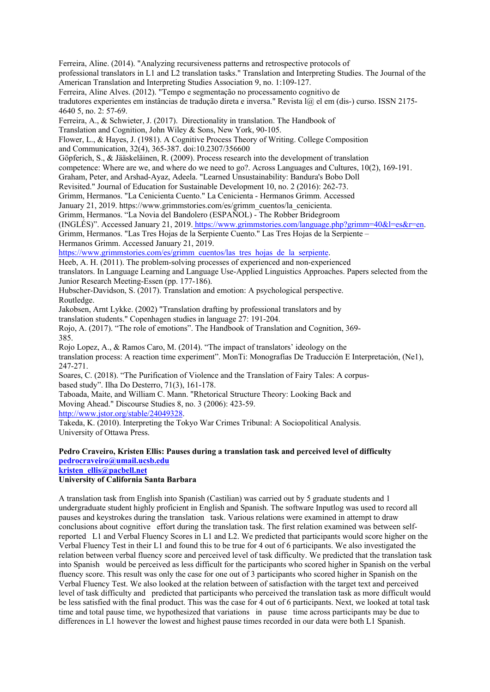Ferreira, Aline. (2014). "Analyzing recursiveness patterns and retrospective protocols of professional translators in L1 and L2 translation tasks." Translation and Interpreting Studies. The Journal of the American Translation and Interpreting Studies Association 9, no. 1:109-127.

Ferreira, Aline Alves. (2012). "Tempo e segmentação no processamento cognitivo de tradutores experientes em instâncias de tradução direta e inversa." Revista l $\omega$  el em (dis-) curso. ISSN 2175-4640 5, no. 2: 57-69.

Ferreira, A., & Schwieter, J. (2017). Directionality in translation. The Handbook of

Translation and Cognition, John Wiley & Sons, New York, 90-105.

Flower, L., & Hayes, J. (1981). A Cognitive Process Theory of Writing. College Composition

and Communication, 32(4), 365-387. doi:10.2307/356600

Göpferich, S., & Jääskeläinen, R. (2009). Process research into the development of translation

competence: Where are we, and where do we need to go?. Across Languages and Cultures, 10(2), 169-191.

Graham, Peter, and Arshad-Ayaz, Adeela. "Learned Unsustainability: Bandura's Bobo Doll

Revisited." Journal of Education for Sustainable Development 10, no. 2 (2016): 262-73.

Grimm, Hermanos. "La Cenicienta Cuento." La Cenicienta - Hermanos Grimm. Accessed

January 21, 2019. https://www.grimmstories.com/es/grimm\_cuentos/la\_cenicienta.

Grimm, Hermanos. "La Novia del Bandolero (ESPAÑOL) - The Robber Bridegroom

(INGLÉS)". Accessed January 21, 2019. https://www.grimmstories.com/language.php?grimm=40&l=es&r=en.

Grimm, Hermanos. "Las Tres Hojas de la Serpiente Cuento." Las Tres Hojas de la Serpiente – Hermanos Grimm. Accessed January 21, 2019.

https://www.grimmstories.com/es/grimm\_cuentos/las\_tres\_hojas\_de\_la\_serpiente.

Heeb, A. H. (2011). The problem-solving processes of experienced and non-experienced

translators. In Language Learning and Language Use-Applied Linguistics Approaches. Papers selected from the Junior Research Meeting-Essen (pp. 177-186).

Hubscher-Davidson, S. (2017). Translation and emotion: A psychological perspective. Routledge.

Jakobsen, Arnt Lykke. (2002) "Translation drafting by professional translators and by translation students." Copenhagen studies in language 27: 191-204.

Rojo, A. (2017). "The role of emotions". The Handbook of Translation and Cognition, 369- 385.

Rojo Lopez, A., & Ramos Caro, M. (2014). "The impact of translators' ideology on the translation process: A reaction time experiment". MonTi: Monografías De Traducción E Interpretación, (Ne1), 247-271.

Soares, C. (2018). "The Purification of Violence and the Translation of Fairy Tales: A corpusbased study". Ilha Do Desterro, 71(3), 161-178.

Taboada, Maite, and William C. Mann. "Rhetorical Structure Theory: Looking Back and Moving Ahead." Discourse Studies 8, no. 3 (2006): 423-59. http://www.jstor.org/stable/24049328.

Takeda, K. (2010). Interpreting the Tokyo War Crimes Tribunal: A Sociopolitical Analysis. University of Ottawa Press.

## **Pedro Craveiro, Kristen Ellis: Pauses during a translation task and perceived level of difficulty pedrocraveiro@umail.ucsb.edu**

**kristen\_ellis@pacbell.net**

## **University of California Santa Barbara**

A translation task from English into Spanish (Castilian) was carried out by 5 graduate students and 1 undergraduate student highly proficient in English and Spanish. The software Inputlog was used to record all pauses and keystrokes during the translation task. Various relations were examined in attempt to draw conclusions about cognitive effort during the translation task. The first relation examined was between selfreported L1 and Verbal Fluency Scores in L1 and L2. We predicted that participants would score higher on the Verbal Fluency Test in their L1 and found this to be true for 4 out of 6 participants. We also investigated the relation between verbal fluency score and perceived level of task difficulty. We predicted that the translation task into Spanish would be perceived as less difficult for the participants who scored higher in Spanish on the verbal fluency score. This result was only the case for one out of 3 participants who scored higher in Spanish on the Verbal Fluency Test. We also looked at the relation between of satisfaction with the target text and perceived level of task difficulty and predicted that participants who perceived the translation task as more difficult would be less satisfied with the final product. This was the case for 4 out of 6 participants. Next, we looked at total task time and total pause time, we hypothesized that variations in pause time across participants may be due to differences in L1 however the lowest and highest pause times recorded in our data were both L1 Spanish.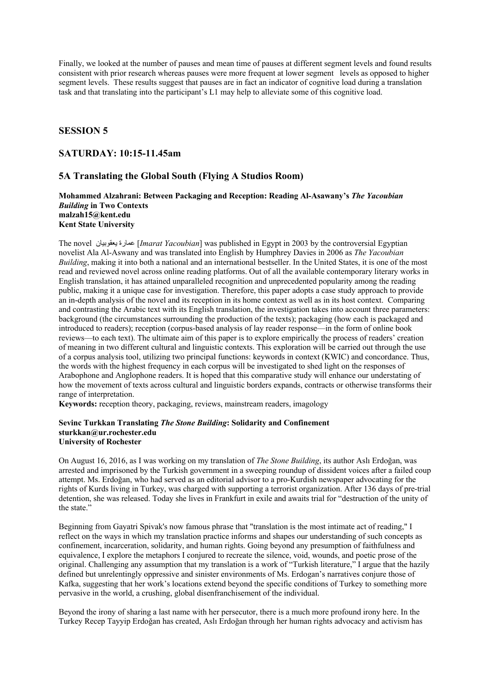Finally, we looked at the number of pauses and mean time of pauses at different segment levels and found results consistent with prior research whereas pauses were more frequent at lower segment levels as opposed to higher segment levels. These results suggest that pauses are in fact an indicator of cognitive load during a translation task and that translating into the participant's L1 may help to alleviate some of this cognitive load.

### **SESSION 5**

## **SATURDAY: 10:15-11.45am**

## **5A Translating the Global South (Flying A Studios Room)**

### **Mohammed Alzahrani: Between Packaging and Reception: Reading Al-Asawany's** *The Yacoubian Building* **in Two Contexts malzah15@kent.edu Kent State University**

The novel مصارة بعقوبيان *Imarat Yacoubian*] was published in Egypt in 2003 by the controversial Egyptian novelist Ala Al-Aswany and was translated into English by Humphrey Davies in 2006 as *The Yacoubian Building*, making it into both a national and an international bestseller. In the United States, it is one of the most read and reviewed novel across online reading platforms. Out of all the available contemporary literary works in English translation, it has attained unparalleled recognition and unprecedented popularity among the reading public, making it a unique case for investigation. Therefore, this paper adopts a case study approach to provide an in-depth analysis of the novel and its reception in its home context as well as in its host context. Comparing and contrasting the Arabic text with its English translation, the investigation takes into account three parameters: background (the circumstances surrounding the production of the texts); packaging (how each is packaged and introduced to readers); reception (corpus-based analysis of lay reader response—in the form of online book reviews—to each text). The ultimate aim of this paper is to explore empirically the process of readers' creation of meaning in two different cultural and linguistic contexts. This exploration will be carried out through the use of a corpus analysis tool, utilizing two principal functions: keywords in context (KWIC) and concordance. Thus, the words with the highest frequency in each corpus will be investigated to shed light on the responses of Arabophone and Anglophone readers. It is hoped that this comparative study will enhance our understating of how the movement of texts across cultural and linguistic borders expands, contracts or otherwise transforms their range of interpretation.

**Keywords:** reception theory, packaging, reviews, mainstream readers, imagology

### **Sevinc Turkkan Translating** *The Stone Building***: Solidarity and Confinement sturkkan@ur.rochester.edu University of Rochester**

On August 16, 2016, as I was working on my translation of *The Stone Building*, its author Aslı Erdoğan, was arrested and imprisoned by the Turkish government in a sweeping roundup of dissident voices after a failed coup attempt. Ms. Erdoğan, who had served as an editorial advisor to a pro-Kurdish newspaper advocating for the rights of Kurds living in Turkey, was charged with supporting a terrorist organization. After 136 days of pre-trial detention, she was released. Today she lives in Frankfurt in exile and awaits trial for "destruction of the unity of the state."

Beginning from Gayatri Spivak's now famous phrase that "translation is the most intimate act of reading," I reflect on the ways in which my translation practice informs and shapes our understanding of such concepts as confinement, incarceration, solidarity, and human rights. Going beyond any presumption of faithfulness and equivalence, I explore the metaphors I conjured to recreate the silence, void, wounds, and poetic prose of the original. Challenging any assumption that my translation is a work of "Turkish literature," I argue that the hazily defined but unrelentingly oppressive and sinister environments of Ms. Erdogan's narratives conjure those of Kafka, suggesting that her work's locations extend beyond the specific conditions of Turkey to something more pervasive in the world, a crushing, global disenfranchisement of the individual.

Beyond the irony of sharing a last name with her persecutor, there is a much more profound irony here. In the Turkey Recep Tayyip Erdoğan has created, Aslı Erdoğan through her human rights advocacy and activism has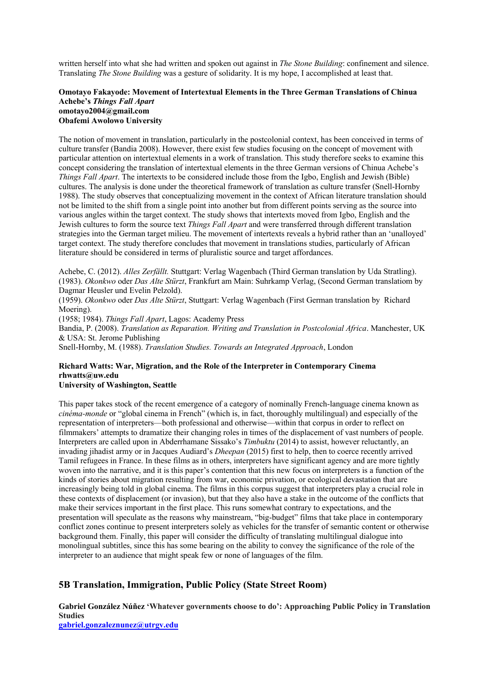written herself into what she had written and spoken out against in *The Stone Building*: confinement and silence. Translating *The Stone Building* was a gesture of solidarity. It is my hope, I accomplished at least that.

### **Omotayo Fakayode: Movement of Intertextual Elements in the Three German Translations of Chinua Achebe's** *Things Fall Apart* **omotayo2004@gmail.com Obafemi Awolowo University**

The notion of movement in translation, particularly in the postcolonial context, has been conceived in terms of culture transfer (Bandia 2008). However, there exist few studies focusing on the concept of movement with particular attention on intertextual elements in a work of translation. This study therefore seeks to examine this concept considering the translation of intertextual elements in the three German versions of Chinua Achebe's *Things Fall Apart*. The intertexts to be considered include those from the Igbo, English and Jewish (Bible) cultures. The analysis is done under the theoretical framework of translation as culture transfer (Snell-Hornby 1988). The study observes that conceptualizing movement in the context of African literature translation should not be limited to the shift from a single point into another but from different points serving as the source into various angles within the target context. The study shows that intertexts moved from Igbo, English and the Jewish cultures to form the source text *Things Fall Apart* and were transferred through different translation strategies into the German target milieu. The movement of intertexts reveals a hybrid rather than an 'unalloyed' target context. The study therefore concludes that movement in translations studies, particularly of African literature should be considered in terms of pluralistic source and target affordances.

Achebe, C. (2012). *Alles Zerfällt.* Stuttgart: Verlag Wagenbach (Third German translation by Uda Stratling). (1983). *Okonkwo* oder *Das Alte Stürzt*, Frankfurt am Main: Suhrkamp Verlag, (Second German translatiom by Dagmar Heusler und Evelin Pelzold).

(1959). *Okonkwo* oder *Das Alte Stürzt*, Stuttgart: Verlag Wagenbach (First German translation by Richard Moering).

(1958; 1984). *Things Fall Apart*, Lagos: Academy Press

Bandia, P. (2008). *Translation as Reparation. Writing and Translation in Postcolonial Africa*. Manchester, UK & USA: St. Jerome Publishing

Snell-Hornby, M. (1988). *Translation Studies. Towards an Integrated Approach*, London

#### **Richard Watts: War, Migration, and the Role of the Interpreter in Contemporary Cinema rhwatts@uw.edu University of Washington, Seattle**

This paper takes stock of the recent emergence of a category of nominally French-language cinema known as *cinéma-monde* or "global cinema in French" (which is, in fact, thoroughly multilingual) and especially of the representation of interpreters—both professional and otherwise—within that corpus in order to reflect on filmmakers' attempts to dramatize their changing roles in times of the displacement of vast numbers of people. Interpreters are called upon in Abderrhamane Sissako's *Timbuktu* (2014) to assist, however reluctantly, an invading jihadist army or in Jacques Audiard's *Dheepan* (2015) first to help, then to coerce recently arrived Tamil refugees in France. In these films as in others, interpreters have significant agency and are more tightly woven into the narrative, and it is this paper's contention that this new focus on interpreters is a function of the kinds of stories about migration resulting from war, economic privation, or ecological devastation that are increasingly being told in global cinema. The films in this corpus suggest that interpreters play a crucial role in these contexts of displacement (or invasion), but that they also have a stake in the outcome of the conflicts that make their services important in the first place. This runs somewhat contrary to expectations, and the presentation will speculate as the reasons why mainstream, "big-budget" films that take place in contemporary conflict zones continue to present interpreters solely as vehicles for the transfer of semantic content or otherwise background them. Finally, this paper will consider the difficulty of translating multilingual dialogue into monolingual subtitles, since this has some bearing on the ability to convey the significance of the role of the interpreter to an audience that might speak few or none of languages of the film.

## **5B Translation, Immigration, Public Policy (State Street Room)**

**Gabriel González Núñez 'Whatever governments choose to do': Approaching Public Policy in Translation Studies**

**gabriel.gonzaleznunez@utrgv.edu**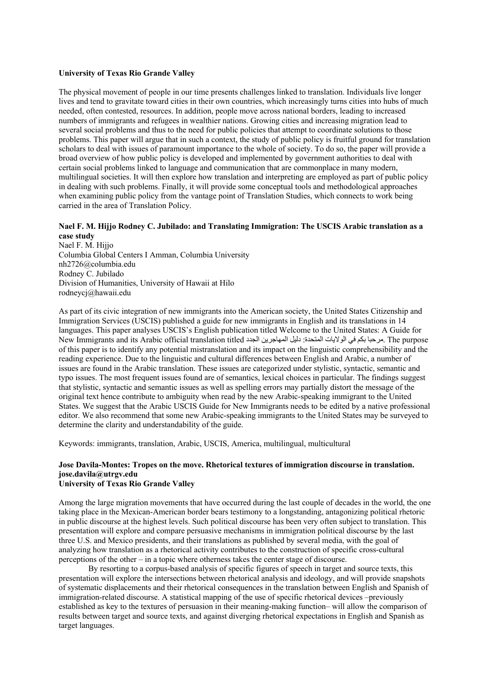#### **University of Texas Rio Grande Valley**

The physical movement of people in our time presents challenges linked to translation. Individuals live longer lives and tend to gravitate toward cities in their own countries, which increasingly turns cities into hubs of much needed, often contested, resources. In addition, people move across national borders, leading to increased numbers of immigrants and refugees in wealthier nations. Growing cities and increasing migration lead to several social problems and thus to the need for public policies that attempt to coordinate solutions to those problems. This paper will argue that in such a context, the study of public policy is fruitful ground for translation scholars to deal with issues of paramount importance to the whole of society. To do so, the paper will provide a broad overview of how public policy is developed and implemented by government authorities to deal with certain social problems linked to language and communication that are commonplace in many modern, multilingual societies. It will then explore how translation and interpreting are employed as part of public policy in dealing with such problems. Finally, it will provide some conceptual tools and methodological approaches when examining public policy from the vantage point of Translation Studies, which connects to work being carried in the area of Translation Policy.

#### **Nael F. M. Hijjo Rodney C. Jubilado: and Translating Immigration: The USCIS Arabic translation as a case study**

Nael F. M. Hijjo Columbia Global Centers I Amman, Columbia University nh2726@columbia.edu Rodney C. Jubilado Division of Humanities, University of Hawaii at Hilo rodneycj@hawaii.edu

As part of its civic integration of new immigrants into the American society, the United States Citizenship and Immigration Services (USCIS) published a guide for new immigrants in English and its translations in 14 languages. This paper analyses USCIS's English publication titled Welcome to the United States: A Guide for New Immigrants and its Arabic official translation titled في الولايات المتحدة: دليل المهاجرين الجدد الحدم في ا of this paper is to identify any potential mistranslation and its impact on the linguistic comprehensibility and the reading experience. Due to the linguistic and cultural differences between English and Arabic, a number of issues are found in the Arabic translation. These issues are categorized under stylistic, syntactic, semantic and typo issues. The most frequent issues found are of semantics, lexical choices in particular. The findings suggest that stylistic, syntactic and semantic issues as well as spelling errors may partially distort the message of the original text hence contribute to ambiguity when read by the new Arabic-speaking immigrant to the United States. We suggest that the Arabic USCIS Guide for New Immigrants needs to be edited by a native professional editor. We also recommend that some new Arabic-speaking immigrants to the United States may be surveyed to determine the clarity and understandability of the guide.

Keywords: immigrants, translation, Arabic, USCIS, America, multilingual, multicultural

## **Jose Davila-Montes: Tropes on the move. Rhetorical textures of immigration discourse in translation. jose.davila@utrgv.edu**

## **University of Texas Rio Grande Valley**

Among the large migration movements that have occurred during the last couple of decades in the world, the one taking place in the Mexican-American border bears testimony to a longstanding, antagonizing political rhetoric in public discourse at the highest levels. Such political discourse has been very often subject to translation. This presentation will explore and compare persuasive mechanisms in immigration political discourse by the last three U.S. and Mexico presidents, and their translations as published by several media, with the goal of analyzing how translation as a rhetorical activity contributes to the construction of specific cross-cultural perceptions of the other – in a topic where otherness takes the center stage of discourse.

By resorting to a corpus-based analysis of specific figures of speech in target and source texts, this presentation will explore the intersections between rhetorical analysis and ideology, and will provide snapshots of systematic displacements and their rhetorical consequences in the translation between English and Spanish of immigration-related discourse. A statistical mapping of the use of specific rhetorical devices –previously established as key to the textures of persuasion in their meaning-making function– will allow the comparison of results between target and source texts, and against diverging rhetorical expectations in English and Spanish as target languages.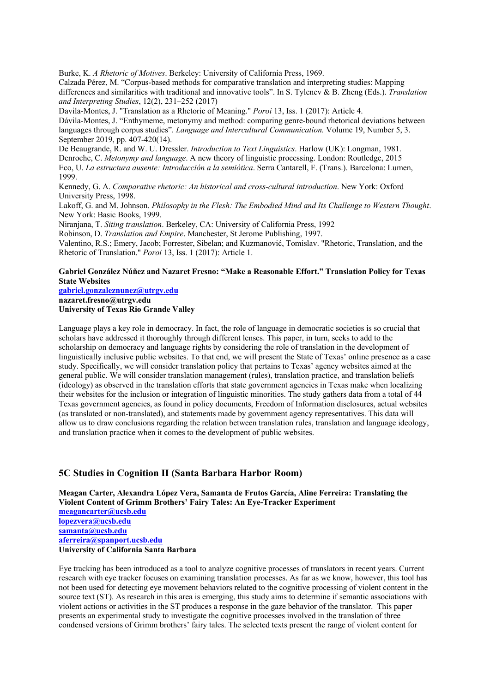Burke, K. *A Rhetoric of Motives*. Berkeley: University of California Press, 1969.

Calzada Pérez, M. "Corpus-based methods for comparative translation and interpreting studies: Mapping differences and similarities with traditional and innovative tools". In S. Tylenev & B. Zheng (Eds.). *Translation and Interpreting Studies*, 12(2), 231–252 (2017)

Davila-Montes, J. "Translation as a Rhetoric of Meaning." *Poroi* 13, Iss. 1 (2017): Article 4.

Dávila-Montes, J. "Enthymeme, metonymy and method: comparing genre-bound rhetorical deviations between languages through corpus studies". *Language and Intercultural Communication.* Volume 19, Number 5, 3. September 2019, pp. 407-420(14).

De Beaugrande, R. and W. U. Dressler. *Introduction to Text Linguistics*. Harlow (UK): Longman, 1981. Denroche, C. *Metonymy and language*. A new theory of linguistic processing. London: Routledge, 2015 Eco, U. *La estructura ausente: Introducción a la semiótica*. Serra Cantarell, F. (Trans.). Barcelona: Lumen, 1999.

Kennedy, G. A. *Comparative rhetoric: An historical and cross-cultural introduction*. New York: Oxford University Press, 1998.

Lakoff, G. and M. Johnson. *Philosophy in the Flesh: The Embodied Mind and Its Challenge to Western Thought*. New York: Basic Books, 1999.

Niranjana, T. *Siting translation*. Berkeley, CA: University of California Press, 1992

Robinson, D. *Translation and Empire*. Manchester, St Jerome Publishing, 1997.

Valentino, R.S.; Emery, Jacob; Forrester, Sibelan; and Kuzmanović, Tomislav. "Rhetoric, Translation, and the Rhetoric of Translation." *Poroi* 13, Iss. 1 (2017): Article 1.

### **Gabriel González Núñez and Nazaret Fresno: "Make a Reasonable Effort." Translation Policy for Texas State Websites**

**gabriel.gonzaleznunez@utrgv.edu**

**nazaret.fresno@utrgv.edu**

**University of Texas Rio Grande Valley** 

Language plays a key role in democracy. In fact, the role of language in democratic societies is so crucial that scholars have addressed it thoroughly through different lenses. This paper, in turn, seeks to add to the scholarship on democracy and language rights by considering the role of translation in the development of linguistically inclusive public websites. To that end, we will present the State of Texas' online presence as a case study. Specifically, we will consider translation policy that pertains to Texas' agency websites aimed at the general public. We will consider translation management (rules), translation practice, and translation beliefs (ideology) as observed in the translation efforts that state government agencies in Texas make when localizing their websites for the inclusion or integration of linguistic minorities. The study gathers data from a total of 44 Texas government agencies, as found in policy documents, Freedom of Information disclosures, actual websites (as translated or non-translated), and statements made by government agency representatives. This data will allow us to draw conclusions regarding the relation between translation rules, translation and language ideology, and translation practice when it comes to the development of public websites.

## **5C Studies in Cognition II (Santa Barbara Harbor Room)**

**Meagan Carter, Alexandra López Vera, Samanta de Frutos García, Aline Ferreira: Translating the Violent Content of Grimm Brothers' Fairy Tales: An Eye-Tracker Experiment**

**meagancarter@ucsb.edu lopezvera@ucsb.edu samanta@ucsb.edu aferreira@spanport.ucsb.edu University of California Santa Barbara**

Eye tracking has been introduced as a tool to analyze cognitive processes of translators in recent years. Current research with eye tracker focuses on examining translation processes. As far as we know, however, this tool has not been used for detecting eye movement behaviors related to the cognitive processing of violent content in the source text (ST). As research in this area is emerging, this study aims to determine if semantic associations with violent actions or activities in the ST produces a response in the gaze behavior of the translator. This paper presents an experimental study to investigate the cognitive processes involved in the translation of three condensed versions of Grimm brothers' fairy tales. The selected texts present the range of violent content for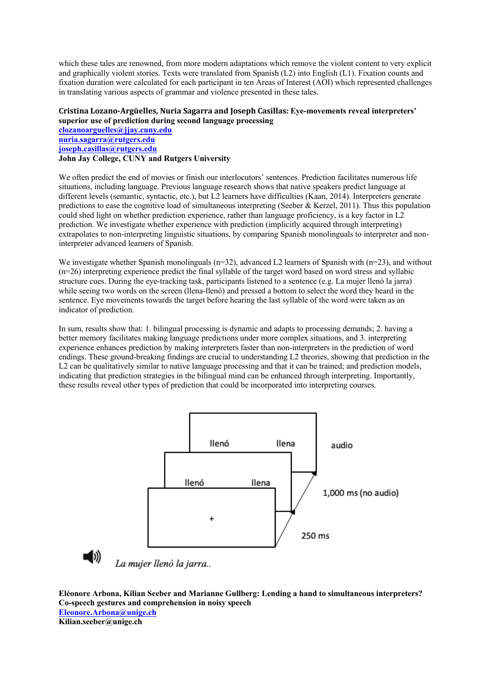which these tales are renowned, from more modern adaptations which remove the violent content to very explicit and graphically violent stories. Texts were translated from Spanish (L2) into English (L1). Fixation counts and fixation duration were calculated for each participant in ten Areas of Interest (AOI) which represented challenges in translating various aspects of grammar and violence presented in these tales.

## **Cristina Lozano-Argüelles, Nuria Sagarra and Joseph Casillas: Eye-movements reveal interpreters' superior use of prediction during second language processing**

**clozanoarguelles@jjay.cuny.edu nuria.sagarra@rutgers.edu joseph.casillas@rutgers.edu John Jay College, CUNY and Rutgers University** 

We often predict the end of movies or finish our interlocutors' sentences. Prediction facilitates numerous life situations, including language. Previous language research shows that native speakers predict language at different levels (semantic, syntactic, etc.), but L2 learners have difficulties (Kaan, 2014). Interpreters generate predictions to ease the cognitive load of simultaneous interpreting (Seeber & Kerzel, 2011). Thus this population could shed light on whether prediction experience, rather than language proficiency, is a key factor in L2 prediction. We investigate whether experience with prediction (implicitly acquired through interpreting) extrapolates to non-interpreting linguistic situations, by comparing Spanish monolinguals to interpreter and noninterpreter advanced learners of Spanish.

We investigate whether Spanish monolinguals ( $n=32$ ), advanced L2 learners of Spanish with ( $n=23$ ), and without (n=26) interpreting experience predict the final syllable of the target word based on word stress and syllabic structure cues. During the eye-tracking task, participants listened to a sentence (e.g. La mujer llenó la jarra) while seeing two words on the screen (llena-llenó) and pressed a bottom to select the word they heard in the sentence. Eye movements towards the target before hearing the last syllable of the word were taken as an indicator of prediction.

In sum, results show that: 1. bilingual processing is dynamic and adapts to processing demands; 2. having a better memory facilitates making language predictions under more complex situations, and 3. interpreting experience enhances prediction by making interpreters faster than non-interpreters in the prediction of word endings. These ground-breaking findings are crucial to understanding L2 theories, showing that prediction in the L2 can be qualitatively similar to native language processing and that it can be trained; and prediction models, indicating that prediction strategies in the bilingual mind can be enhanced through interpreting. Importantly, these results reveal other types of prediction that could be incorporated into interpreting courses.





La mujer llenó la jarra..

**Eléonore Arbona, Kilian Seeber and Marianne Gullberg: Lending a hand to simultaneous interpreters? Co-speech gestures and comprehension in noisy speech Eleonore.Arbona@unige.ch Kilian.seeber@unige.ch**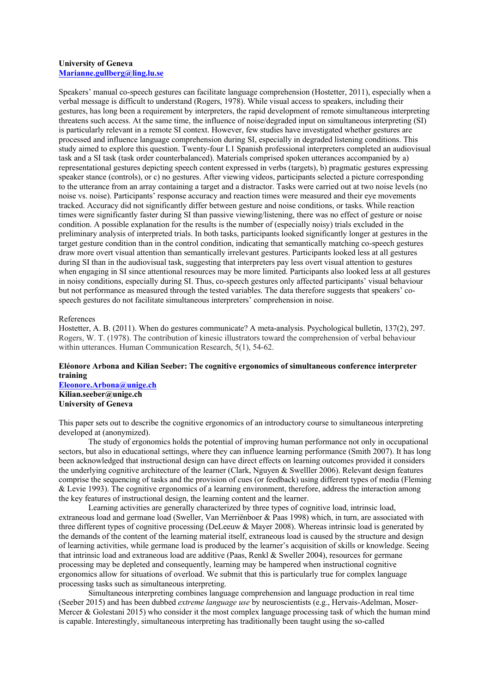#### **University of Geneva Marianne.gullberg@ling.lu.se**

Speakers' manual co-speech gestures can facilitate language comprehension (Hostetter, 2011), especially when a verbal message is difficult to understand (Rogers, 1978). While visual access to speakers, including their gestures, has long been a requirement by interpreters, the rapid development of remote simultaneous interpreting threatens such access. At the same time, the influence of noise/degraded input on simultaneous interpreting (SI) is particularly relevant in a remote SI context. However, few studies have investigated whether gestures are processed and influence language comprehension during SI, especially in degraded listening conditions. This study aimed to explore this question. Twenty-four L1 Spanish professional interpreters completed an audiovisual task and a SI task (task order counterbalanced). Materials comprised spoken utterances accompanied by a) representational gestures depicting speech content expressed in verbs (targets), b) pragmatic gestures expressing speaker stance (controls), or c) no gestures. After viewing videos, participants selected a picture corresponding to the utterance from an array containing a target and a distractor. Tasks were carried out at two noise levels (no noise vs. noise). Participants' response accuracy and reaction times were measured and their eye movements tracked. Accuracy did not significantly differ between gesture and noise conditions, or tasks. While reaction times were significantly faster during SI than passive viewing/listening, there was no effect of gesture or noise condition. A possible explanation for the results is the number of (especially noisy) trials excluded in the preliminary analysis of interpreted trials. In both tasks, participants looked significantly longer at gestures in the target gesture condition than in the control condition, indicating that semantically matching co-speech gestures draw more overt visual attention than semantically irrelevant gestures. Participants looked less at all gestures during SI than in the audiovisual task, suggesting that interpreters pay less overt visual attention to gestures when engaging in SI since attentional resources may be more limited. Participants also looked less at all gestures in noisy conditions, especially during SI. Thus, co-speech gestures only affected participants' visual behaviour but not performance as measured through the tested variables. The data therefore suggests that speakers' cospeech gestures do not facilitate simultaneous interpreters' comprehension in noise.

### References

Hostetter, A. B. (2011). When do gestures communicate? A meta-analysis. Psychological bulletin, 137(2), 297. Rogers, W. T. (1978). The contribution of kinesic illustrators toward the comprehension of verbal behaviour within utterances. Human Communication Research, 5(1), 54-62.

### **Eléonore Arbona and Kilian Seeber: The cognitive ergonomics of simultaneous conference interpreter training**

**Eleonore.Arbona@unige.ch Kilian.seeber@unige.ch University of Geneva**

This paper sets out to describe the cognitive ergonomics of an introductory course to simultaneous interpreting developed at (anonymized).

The study of ergonomics holds the potential of improving human performance not only in occupational sectors, but also in educational settings, where they can influence learning performance (Smith 2007). It has long been acknowledged that instructional design can have direct effects on learning outcomes provided it considers the underlying cognitive architecture of the learner (Clark, Nguyen & Swelller 2006). Relevant design features comprise the sequencing of tasks and the provision of cues (or feedback) using different types of media (Fleming & Levie 1993). The cognitive ergonomics of a learning environment, therefore, address the interaction among the key features of instructional design, the learning content and the learner.

Learning activities are generally characterized by three types of cognitive load, intrinsic load, extraneous load and germane load (Sweller, Van Merriënboer & Paas 1998) which, in turn, are associated with three different types of cognitive processing (DeLeeuw & Mayer 2008). Whereas intrinsic load is generated by the demands of the content of the learning material itself, extraneous load is caused by the structure and design of learning activities, while germane load is produced by the learner's acquisition of skills or knowledge. Seeing that intrinsic load and extraneous load are additive (Paas, Renkl & Sweller 2004), resources for germane processing may be depleted and consequently, learning may be hampered when instructional cognitive ergonomics allow for situations of overload. We submit that this is particularly true for complex language processing tasks such as simultaneous interpreting.

Simultaneous interpreting combines language comprehension and language production in real time (Seeber 2015) and has been dubbed *extreme language use* by neuroscientists (e.g., Hervais-Adelman, Moser-Mercer & Golestani 2015) who consider it the most complex language processing task of which the human mind is capable. Interestingly, simultaneous interpreting has traditionally been taught using the so-called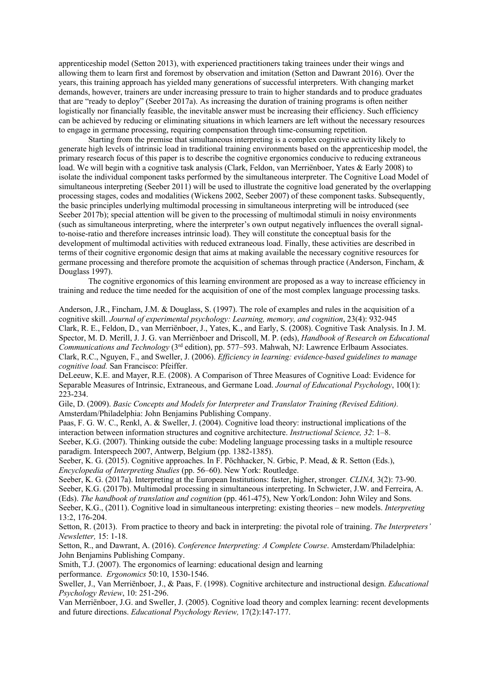apprenticeship model (Setton 2013), with experienced practitioners taking trainees under their wings and allowing them to learn first and foremost by observation and imitation (Setton and Dawrant 2016). Over the years, this training approach has yielded many generations of successful interpreters. With changing market demands, however, trainers are under increasing pressure to train to higher standards and to produce graduates that are "ready to deploy" (Seeber 2017a). As increasing the duration of training programs is often neither logistically nor financially feasible, the inevitable answer must be increasing their efficiency. Such efficiency can be achieved by reducing or eliminating situations in which learners are left without the necessary resources to engage in germane processing, requiring compensation through time-consuming repetition.

Starting from the premise that simultaneous interpreting is a complex cognitive activity likely to generate high levels of intrinsic load in traditional training environments based on the apprenticeship model, the primary research focus of this paper is to describe the cognitive ergonomics conducive to reducing extraneous load. We will begin with a cognitive task analysis (Clark, Feldon, van Merriënboer, Yates & Early 2008) to isolate the individual component tasks performed by the simultaneous interpreter. The Cognitive Load Model of simultaneous interpreting (Seeber 2011) will be used to illustrate the cognitive load generated by the overlapping processing stages, codes and modalities (Wickens 2002, Seeber 2007) of these component tasks. Subsequently, the basic principles underlying multimodal processing in simultaneous interpreting will be introduced (see Seeber 2017b); special attention will be given to the processing of multimodal stimuli in noisy environments (such as simultaneous interpreting, where the interpreter's own output negatively influences the overall signalto-noise-ratio and therefore increases intrinsic load). They will constitute the conceptual basis for the development of multimodal activities with reduced extraneous load. Finally, these activities are described in terms of their cognitive ergonomic design that aims at making available the necessary cognitive resources for germane processing and therefore promote the acquisition of schemas through practice (Anderson, Fincham, & Douglass 1997).

The cognitive ergonomics of this learning environment are proposed as a way to increase efficiency in training and reduce the time needed for the acquisition of one of the most complex language processing tasks.

Anderson, J.R., Fincham, J.M. & Douglass, S. (1997). The role of examples and rules in the acquisition of a cognitive skill. *Journal of experimental psychology: Learning, memory, and cognition*, 23(4): 932-945 Clark, R. E., Feldon, D., van Merriënboer, J., Yates, K., and Early, S. (2008). Cognitive Task Analysis. In J. M. Spector, M. D. Merill, J. J. G. van Merriënboer and Driscoll, M. P. (eds), *Handbook of Research on Educational Communications and Technology* (3rd edition), pp. 577–593. Mahwah, NJ: Lawrence Erlbaum Associates. Clark, R.C., Nguyen, F., and Sweller, J. (2006). *Efficiency in learning: evidence-based guidelines to manage cognitive load.* San Francisco: Pfeiffer.

DeLeeuw, K.E. and Mayer, R.E. (2008). A Comparison of Three Measures of Cognitive Load: Evidence for Separable Measures of Intrinsic, Extraneous, and Germane Load. *Journal of Educational Psychology*, 100(1): 223-234.

Gile, D. (2009). *Basic Concepts and Models for Interpreter and Translator Training (Revised Edition).* Amsterdam/Philadelphia: John Benjamins Publishing Company.

Paas, F. G. W. C., Renkl, A. & Sweller, J. (2004). Cognitive load theory: instructional implications of the interaction between information structures and cognitive architecture. *Instructional Science, 32*: 1–8. Seeber, K.G. (2007). Thinking outside the cube: Modeling language processing tasks in a multiple resource paradigm. Interspeech 2007, Antwerp, Belgium (pp. 1382-1385).

Seeber, K. G. (2015). Cognitive approaches. In F. Pöchhacker, N. Grbic, P. Mead, & R. Setton (Eds.), *Encyclopedia of Interpreting Studies* (pp. 56–60). New York: Routledge.

Seeber, K. G. (2017a). Interpreting at the European Institutions: faster, higher, stronger*. CLINA,* 3(2): 73-90. Seeber, K.G. (2017b). Multimodal processing in simultaneous interpreting. In Schwieter, J.W. and Ferreira, A. (Eds). *The handbook of translation and cognition* (pp. 461-475), New York/London: John Wiley and Sons. Seeber, K.G., (2011). Cognitive load in simultaneous interpreting: existing theories – new models. *Interpreting*  13:2, 176-204.

Setton, R. (2013). From practice to theory and back in interpreting: the pivotal role of training. *The Interpreters' Newsletter,* 15: 1-18.

Setton, R., and Dawrant, A. (2016). *Conference Interpreting: A Complete Course*. Amsterdam/Philadelphia: John Benjamins Publishing Company.

Smith, T.J. (2007). The ergonomics of learning: educational design and learning performance. *Ergonomics* 50:10, 1530-1546.

Sweller, J., Van Merriënboer, J., & Paas, F. (1998). Cognitive architecture and instructional design. *Educational Psychology Review*, 10: 251-296.

Van Merriënboer, J.G. and Sweller, J. (2005). Cognitive load theory and complex learning: recent developments and future directions. *Educational Psychology Review,* 17(2):147-177.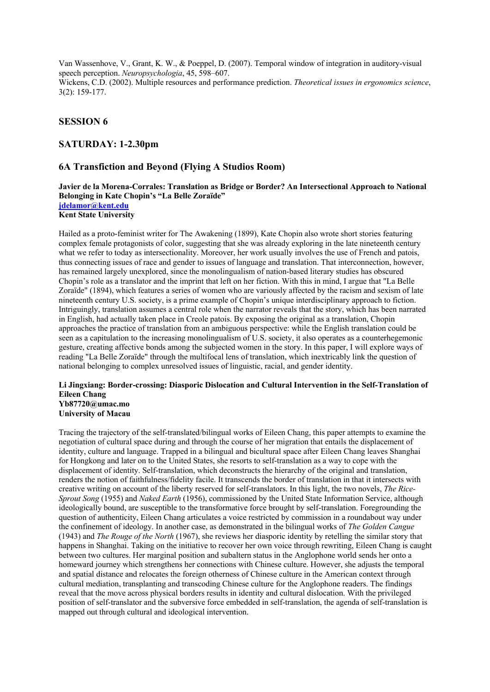Van Wassenhove, V., Grant, K. W., & Poeppel, D. (2007). Temporal window of integration in auditory‐visual speech perception. *Neuropsychologia*, 45, 598–607. Wickens, C.D. (2002). Multiple resources and performance prediction. *Theoretical issues in ergonomics science*, 3(2): 159-177.

## **SESSION 6**

## **SATURDAY: 1-2.30pm**

## **6A Transfiction and Beyond (Flying A Studios Room)**

### **Javier de la Morena-Corrales: Translation as Bridge or Border? An Intersectional Approach to National Belonging in Kate Chopin's "La Belle Zoraïde" jdelamor@kent.edu Kent State University**

Hailed as a proto-feminist writer for The Awakening (1899), Kate Chopin also wrote short stories featuring complex female protagonists of color, suggesting that she was already exploring in the late nineteenth century what we refer to today as intersectionality. Moreover, her work usually involves the use of French and patois, thus connecting issues of race and gender to issues of language and translation. That interconnection, however, has remained largely unexplored, since the monolingualism of nation-based literary studies has obscured Chopin's role as a translator and the imprint that left on her fiction. With this in mind, I argue that "La Belle Zoraïde" (1894), which features a series of women who are variously affected by the racism and sexism of late nineteenth century U.S. society, is a prime example of Chopin's unique interdisciplinary approach to fiction. Intriguingly, translation assumes a central role when the narrator reveals that the story, which has been narrated in English, had actually taken place in Creole patois. By exposing the original as a translation, Chopin approaches the practice of translation from an ambiguous perspective: while the English translation could be seen as a capitulation to the increasing monolingualism of U.S. society, it also operates as a counterhegemonic gesture, creating affective bonds among the subjected women in the story. In this paper, I will explore ways of reading "La Belle Zoraïde" through the multifocal lens of translation, which inextricably link the question of national belonging to complex unresolved issues of linguistic, racial, and gender identity.

#### **Li Jingxiang: Border-crossing: Diasporic Dislocation and Cultural Intervention in the Self-Translation of Eileen Chang Yb87720@umac.mo**

**University of Macau**

Tracing the trajectory of the self-translated/bilingual works of Eileen Chang, this paper attempts to examine the negotiation of cultural space during and through the course of her migration that entails the displacement of identity, culture and language. Trapped in a bilingual and bicultural space after Eileen Chang leaves Shanghai for Hongkong and later on to the United States, she resorts to self-translation as a way to cope with the displacement of identity. Self-translation, which deconstructs the hierarchy of the original and translation, renders the notion of faithfulness/fidelity facile. It transcends the border of translation in that it intersects with creative writing on account of the liberty reserved for self-translators. In this light, the two novels, *The Rice-Sprout Song* (1955) and *Naked Earth* (1956), commissioned by the United State Information Service, although ideologically bound, are susceptible to the transformative force brought by self-translation. Foregrounding the question of authenticity, Eileen Chang articulates a voice restricted by commission in a roundabout way under the confinement of ideology. In another case, as demonstrated in the bilingual works of *The Golden Cangue*  (1943) and *The Rouge of the North* (1967), she reviews her diasporic identity by retelling the similar story that happens in Shanghai. Taking on the initiative to recover her own voice through rewriting, Eileen Chang is caught between two cultures. Her marginal position and subaltern status in the Anglophone world sends her onto a homeward journey which strengthens her connections with Chinese culture. However, she adjusts the temporal and spatial distance and relocates the foreign otherness of Chinese culture in the American context through cultural mediation, transplanting and transcoding Chinese culture for the Anglophone readers. The findings reveal that the move across physical borders results in identity and cultural dislocation. With the privileged position of self-translator and the subversive force embedded in self-translation, the agenda of self-translation is mapped out through cultural and ideological intervention.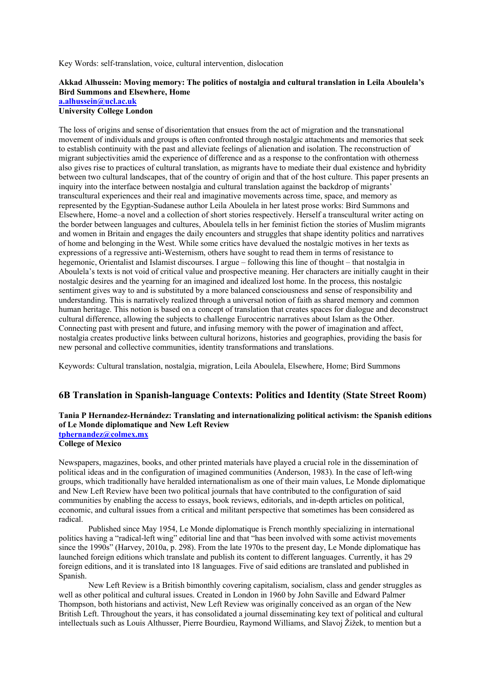Key Words: self-translation, voice, cultural intervention, dislocation

## **Akkad Alhussein: Moving memory: The politics of nostalgia and cultural translation in Leila Aboulela's Bird Summons and Elsewhere, Home**

**a.alhussein@ucl.ac.uk**

**University College London**

The loss of origins and sense of disorientation that ensues from the act of migration and the transnational movement of individuals and groups is often confronted through nostalgic attachments and memories that seek to establish continuity with the past and alleviate feelings of alienation and isolation. The reconstruction of migrant subjectivities amid the experience of difference and as a response to the confrontation with otherness also gives rise to practices of cultural translation, as migrants have to mediate their dual existence and hybridity between two cultural landscapes, that of the country of origin and that of the host culture. This paper presents an inquiry into the interface between nostalgia and cultural translation against the backdrop of migrants' transcultural experiences and their real and imaginative movements across time, space, and memory as represented by the Egyptian-Sudanese author Leila Aboulela in her latest prose works: Bird Summons and Elsewhere, Home–a novel and a collection of short stories respectively. Herself a transcultural writer acting on the border between languages and cultures, Aboulela tells in her feminist fiction the stories of Muslim migrants and women in Britain and engages the daily encounters and struggles that shape identity politics and narratives of home and belonging in the West. While some critics have devalued the nostalgic motives in her texts as expressions of a regressive anti-Westernism, others have sought to read them in terms of resistance to hegemonic, Orientalist and Islamist discourses. I argue – following this line of thought – that nostalgia in Aboulela's texts is not void of critical value and prospective meaning. Her characters are initially caught in their nostalgic desires and the yearning for an imagined and idealized lost home. In the process, this nostalgic sentiment gives way to and is substituted by a more balanced consciousness and sense of responsibility and understanding. This is narratively realized through a universal notion of faith as shared memory and common human heritage. This notion is based on a concept of translation that creates spaces for dialogue and deconstruct cultural difference, allowing the subjects to challenge Eurocentric narratives about Islam as the Other. Connecting past with present and future, and infusing memory with the power of imagination and affect, nostalgia creates productive links between cultural horizons, histories and geographies, providing the basis for new personal and collective communities, identity transformations and translations.

Keywords: Cultural translation, nostalgia, migration, Leila Aboulela, Elsewhere, Home; Bird Summons

## **6B Translation in Spanish-language Contexts: Politics and Identity (State Street Room)**

### **Tania P Hernandez-Hernández: Translating and internationalizing political activism: the Spanish editions of Le Monde diplomatique and New Left Review tphernandez@colmex.mx College of Mexico**

Newspapers, magazines, books, and other printed materials have played a crucial role in the dissemination of political ideas and in the configuration of imagined communities (Anderson, 1983). In the case of left-wing groups, which traditionally have heralded internationalism as one of their main values, Le Monde diplomatique and New Left Review have been two political journals that have contributed to the configuration of said communities by enabling the access to essays, book reviews, editorials, and in-depth articles on political, economic, and cultural issues from a critical and militant perspective that sometimes has been considered as radical.

Published since May 1954, Le Monde diplomatique is French monthly specializing in international politics having a "radical-left wing" editorial line and that "has been involved with some activist movements since the 1990s" (Harvey, 2010a, p. 298). From the late 1970s to the present day, Le Monde diplomatique has launched foreign editions which translate and publish its content to different languages. Currently, it has 29 foreign editions, and it is translated into 18 languages. Five of said editions are translated and published in Spanish.

New Left Review is a British bimonthly covering capitalism, socialism, class and gender struggles as well as other political and cultural issues. Created in London in 1960 by John Saville and Edward Palmer Thompson, both historians and activist, New Left Review was originally conceived as an organ of the New British Left. Throughout the years, it has consolidated a journal disseminating key text of political and cultural intellectuals such as Louis Althusser, Pierre Bourdieu, Raymond Williams, and Slavoj Žižek, to mention but a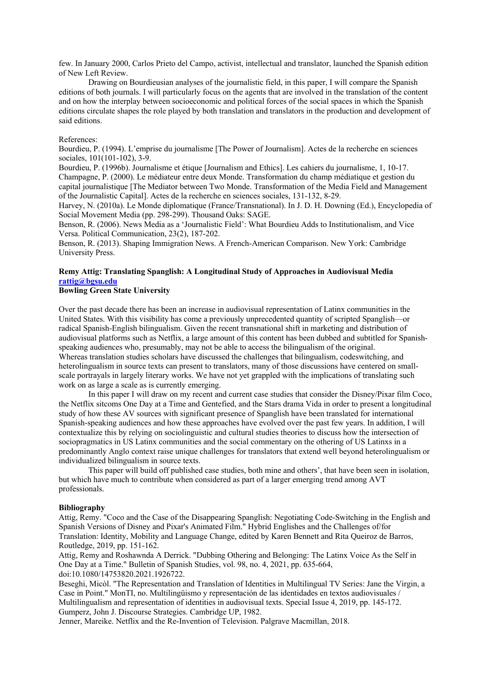few. In January 2000, Carlos Prieto del Campo, activist, intellectual and translator, launched the Spanish edition of New Left Review.

Drawing on Bourdieusian analyses of the journalistic field, in this paper, I will compare the Spanish editions of both journals. I will particularly focus on the agents that are involved in the translation of the content and on how the interplay between socioeconomic and political forces of the social spaces in which the Spanish editions circulate shapes the role played by both translation and translators in the production and development of said editions.

### References:

Bourdieu, P. (1994). L'emprise du journalisme [The Power of Journalism]. Actes de la recherche en sciences sociales, 101(101-102), 3-9.

Bourdieu, P. (1996b). Journalisme et étique [Journalism and Ethics]. Les cahiers du journalisme, 1, 10-17. Champagne, P. (2000). Le médiateur entre deux Monde. Transformation du champ médiatique et gestion du capital journalistique [The Mediator between Two Monde. Transformation of the Media Field and Management of the Journalistic Capital]. Actes de la recherche en sciences sociales, 131-132, 8-29.

Harvey, N. (2010a). Le Monde diplomatique (France/Transnational). In J. D. H. Downing (Ed.), Encyclopedia of Social Movement Media (pp. 298-299). Thousand Oaks: SAGE.

Benson, R. (2006). News Media as a 'Journalistic Field': What Bourdieu Adds to Institutionalism, and Vice Versa. Political Communication, 23(2), 187-202.

Benson, R. (2013). Shaping Immigration News. A French-American Comparison. New York: Cambridge University Press.

### **Remy Attig: Translating Spanglish: A Longitudinal Study of Approaches in Audiovisual Media rattig@bgsu.edu**

### **Bowling Green State University**

Over the past decade there has been an increase in audiovisual representation of Latinx communities in the United States. With this visibility has come a previously unprecedented quantity of scripted Spanglish—or radical Spanish-English bilingualism. Given the recent transnational shift in marketing and distribution of audiovisual platforms such as Netflix, a large amount of this content has been dubbed and subtitled for Spanishspeaking audiences who, presumably, may not be able to access the bilingualism of the original. Whereas translation studies scholars have discussed the challenges that bilingualism, codeswitching, and heterolingualism in source texts can present to translators, many of those discussions have centered on smallscale portrayals in largely literary works. We have not yet grappled with the implications of translating such work on as large a scale as is currently emerging.

In this paper I will draw on my recent and current case studies that consider the Disney/Pixar film Coco, the Netflix sitcoms One Day at a Time and Gentefied, and the Stars drama Vida in order to present a longitudinal study of how these AV sources with significant presence of Spanglish have been translated for international Spanish-speaking audiences and how these approaches have evolved over the past few years. In addition, I will contextualize this by relying on sociolinguistic and cultural studies theories to discuss how the intersection of sociopragmatics in US Latinx communities and the social commentary on the othering of US Latinxs in a predominantly Anglo context raise unique challenges for translators that extend well beyond heterolingualism or individualized bilingualism in source texts.

This paper will build off published case studies, both mine and others', that have been seen in isolation, but which have much to contribute when considered as part of a larger emerging trend among AVT professionals.

#### **Bibliography**

Attig, Remy. "Coco and the Case of the Disappearing Spanglish: Negotiating Code-Switching in the English and Spanish Versions of Disney and Pixar's Animated Film." Hybrid Englishes and the Challenges of/for Translation: Identity, Mobility and Language Change, edited by Karen Bennett and Rita Queiroz de Barros, Routledge, 2019, pp. 151-162.

Attig, Remy and Roshawnda A Derrick. "Dubbing Othering and Belonging: The Latinx Voice As the Self in One Day at a Time." Bulletin of Spanish Studies, vol. 98, no. 4, 2021, pp. 635-664, doi:10.1080/14753820.2021.1926722.

Beseghi, Micòl. "The Representation and Translation of Identities in Multilingual TV Series: Jane the Virgin, a Case in Point." MonTI, no. Multilingüismo y representación de las identidades en textos audiovisuales / Multilingualism and representation of identities in audiovisual texts. Special Issue 4, 2019, pp. 145-172. Gumperz, John J. Discourse Strategies. Cambridge UP, 1982.

Jenner, Mareike. Netflix and the Re-Invention of Television. Palgrave Macmillan, 2018.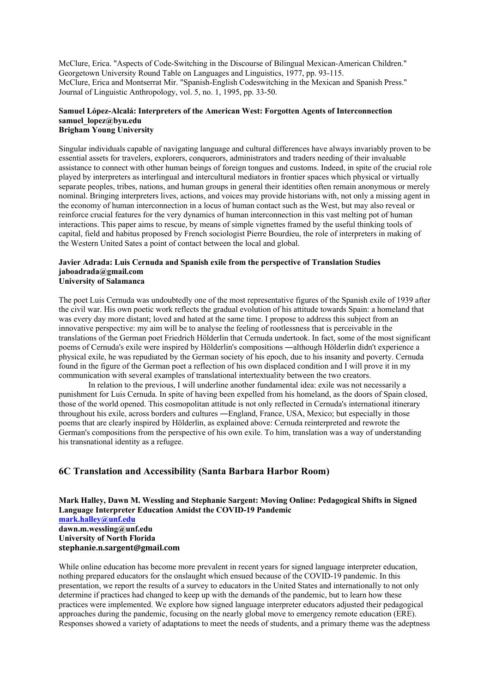McClure, Erica. "Aspects of Code-Switching in the Discourse of Bilingual Mexican-American Children." Georgetown University Round Table on Languages and Linguistics, 1977, pp. 93-115. McClure, Erica and Montserrat Mir. "Spanish-English Codeswitching in the Mexican and Spanish Press." Journal of Linguistic Anthropology, vol. 5, no. 1, 1995, pp. 33-50.

#### **Samuel López-Alcalá: Interpreters of the American West: Forgotten Agents of Interconnection samuel\_lopez@byu.edu Brigham Young University**

Singular individuals capable of navigating language and cultural differences have always invariably proven to be essential assets for travelers, explorers, conquerors, administrators and traders needing of their invaluable assistance to connect with other human beings of foreign tongues and customs. Indeed, in spite of the crucial role played by interpreters as interlingual and intercultural mediators in frontier spaces which physical or virtually separate peoples, tribes, nations, and human groups in general their identities often remain anonymous or merely nominal. Bringing interpreters lives, actions, and voices may provide historians with, not only a missing agent in the economy of human interconnection in a locus of human contact such as the West, but may also reveal or reinforce crucial features for the very dynamics of human interconnection in this vast melting pot of human interactions. This paper aims to rescue, by means of simple vignettes framed by the useful thinking tools of capital, field and habitus proposed by French sociologist Pierre Bourdieu, the role of interpreters in making of the Western United Sates a point of contact between the local and global.

### **Javier Adrada: Luis Cernuda and Spanish exile from the perspective of Translation Studies jaboadrada@gmail.com University of Salamanca**

The poet Luis Cernuda was undoubtedly one of the most representative figures of the Spanish exile of 1939 after the civil war. His own poetic work reflects the gradual evolution of his attitude towards Spain: a homeland that was every day more distant; loved and hated at the same time. I propose to address this subject from an innovative perspective: my aim will be to analyse the feeling of rootlessness that is perceivable in the translations of the German poet Friedrich Hölderlin that Cernuda undertook. In fact, some of the most significant poems of Cernuda's exile were inspired by Hölderlin's compositions ―although Hölderlin didn't experience a physical exile, he was repudiated by the German society of his epoch, due to his insanity and poverty. Cernuda found in the figure of the German poet a reflection of his own displaced condition and I will prove it in my communication with several examples of translational intertextuality between the two creators.

In relation to the previous, I will underline another fundamental idea: exile was not necessarily a punishment for Luis Cernuda. In spite of having been expelled from his homeland, as the doors of Spain closed, those of the world opened. This cosmopolitan attitude is not only reflected in Cernuda's international itinerary throughout his exile, across borders and cultures ―England, France, USA, Mexico; but especially in those poems that are clearly inspired by Hölderlin, as explained above: Cernuda reinterpreted and rewrote the German's compositions from the perspective of his own exile. To him, translation was a way of understanding his transnational identity as a refugee.

## **6C Translation and Accessibility (Santa Barbara Harbor Room)**

**Mark Halley, Dawn M. Wessling and Stephanie Sargent: Moving Online: Pedagogical Shifts in Signed Language Interpreter Education Amidst the COVID-19 Pandemic mark.halley@unf.edu dawn.m.wessling@unf.edu University of North Florida stephanie.n.sargent@gmail.com**

While online education has become more prevalent in recent years for signed language interpreter education, nothing prepared educators for the onslaught which ensued because of the COVID-19 pandemic. In this presentation, we report the results of a survey to educators in the United States and internationally to not only determine if practices had changed to keep up with the demands of the pandemic, but to learn how these practices were implemented. We explore how signed language interpreter educators adjusted their pedagogical approaches during the pandemic, focusing on the nearly global move to emergency remote education (ERE). Responses showed a variety of adaptations to meet the needs of students, and a primary theme was the adeptness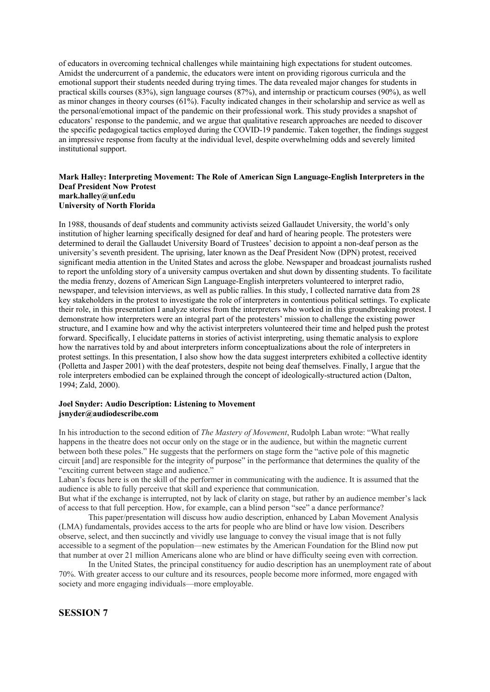of educators in overcoming technical challenges while maintaining high expectations for student outcomes. Amidst the undercurrent of a pandemic, the educators were intent on providing rigorous curricula and the emotional support their students needed during trying times. The data revealed major changes for students in practical skills courses (83%), sign language courses (87%), and internship or practicum courses (90%), as well as minor changes in theory courses (61%). Faculty indicated changes in their scholarship and service as well as the personal/emotional impact of the pandemic on their professional work. This study provides a snapshot of educators' response to the pandemic, and we argue that qualitative research approaches are needed to discover the specific pedagogical tactics employed during the COVID-19 pandemic. Taken together, the findings suggest an impressive response from faculty at the individual level, despite overwhelming odds and severely limited institutional support.

### **Mark Halley: Interpreting Movement: The Role of American Sign Language-English Interpreters in the Deaf President Now Protest mark.halley@unf.edu University of North Florida**

In 1988, thousands of deaf students and community activists seized Gallaudet University, the world's only institution of higher learning specifically designed for deaf and hard of hearing people. The protesters were determined to derail the Gallaudet University Board of Trustees' decision to appoint a non-deaf person as the university's seventh president. The uprising, later known as the Deaf President Now (DPN) protest, received significant media attention in the United States and across the globe. Newspaper and broadcast journalists rushed to report the unfolding story of a university campus overtaken and shut down by dissenting students. To facilitate the media frenzy, dozens of American Sign Language-English interpreters volunteered to interpret radio, newspaper, and television interviews, as well as public rallies. In this study, I collected narrative data from 28 key stakeholders in the protest to investigate the role of interpreters in contentious political settings. To explicate their role, in this presentation I analyze stories from the interpreters who worked in this groundbreaking protest. I demonstrate how interpreters were an integral part of the protesters' mission to challenge the existing power structure, and I examine how and why the activist interpreters volunteered their time and helped push the protest forward. Specifically, I elucidate patterns in stories of activist interpreting, using thematic analysis to explore how the narratives told by and about interpreters inform conceptualizations about the role of interpreters in protest settings. In this presentation, I also show how the data suggest interpreters exhibited a collective identity (Polletta and Jasper 2001) with the deaf protesters, despite not being deaf themselves. Finally, I argue that the role interpreters embodied can be explained through the concept of ideologically-structured action (Dalton, 1994; Zald, 2000).

### **Joel Snyder: Audio Description: Listening to Movement jsnyder@audiodescribe.com**

In his introduction to the second edition of *The Mastery of Movement*, Rudolph Laban wrote: "What really happens in the theatre does not occur only on the stage or in the audience, but within the magnetic current between both these poles." He suggests that the performers on stage form the "active pole of this magnetic circuit [and] are responsible for the integrity of purpose" in the performance that determines the quality of the "exciting current between stage and audience."

Laban's focus here is on the skill of the performer in communicating with the audience. It is assumed that the audience is able to fully perceive that skill and experience that communication.

But what if the exchange is interrupted, not by lack of clarity on stage, but rather by an audience member's lack of access to that full perception. How, for example, can a blind person "see" a dance performance?

This paper/presentation will discuss how audio description, enhanced by Laban Movement Analysis (LMA) fundamentals, provides access to the arts for people who are blind or have low vision. Describers observe, select, and then succinctly and vividly use language to convey the visual image that is not fully accessible to a segment of the population—new estimates by the American Foundation for the Blind now put that number at over 21 million Americans alone who are blind or have difficulty seeing even with correction.

In the United States, the principal constituency for audio description has an unemployment rate of about 70%. With greater access to our culture and its resources, people become more informed, more engaged with society and more engaging individuals—more employable.

## **SESSION 7**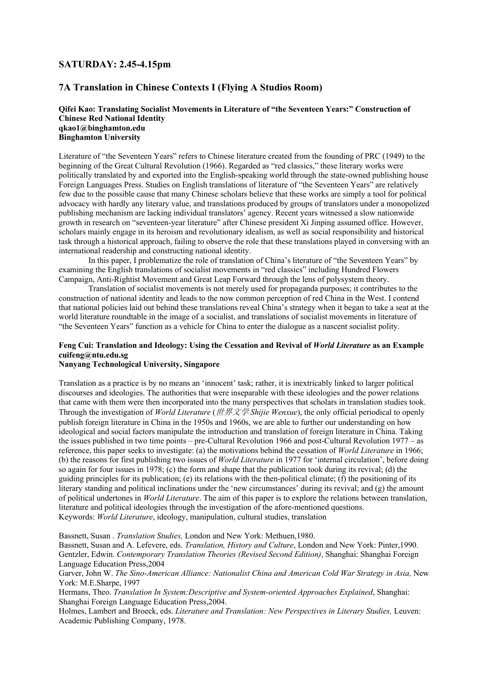## **SATURDAY: 2.45-4.15pm**

## **7A Translation in Chinese Contexts I (Flying A Studios Room)**

### **Qifei Kao: Translating Socialist Movements in Literature of "the Seventeen Years:" Construction of Chinese Red National Identity qkao1@binghamton.edu Binghamton University**

Literature of "the Seventeen Years" refers to Chinese literature created from the founding of PRC (1949) to the beginning of the Great Cultural Revolution (1966). Regarded as "red classics," these literary works were politically translated by and exported into the English-speaking world through the state-owned publishing house Foreign Languages Press. Studies on English translations of literature of "the Seventeen Years" are relatively few due to the possible cause that many Chinese scholars believe that these works are simply a tool for political advocacy with hardly any literary value, and translations produced by groups of translators under a monopolized publishing mechanism are lacking individual translators' agency. Recent years witnessed a slow nationwide growth in research on "seventeen-year literature" after Chinese president Xi Jinping assumed office. However, scholars mainly engage in its heroism and revolutionary idealism, as well as social responsibility and historical task through a historical approach, failing to observe the role that these translations played in conversing with an international readership and constructing national identity.

In this paper, I problematize the role of translation of China's literature of "the Seventeen Years" by examining the English translations of socialist movements in "red classics" including Hundred Flowers Campaign, Anti-Rightist Movement and Great Leap Forward through the lens of polysystem theory.

Translation of socialist movements is not merely used for propaganda purposes; it contributes to the construction of national identity and leads to the now common perception of red China in the West. I contend that national policies laid out behind these translations reveal China's strategy when it began to take a seat at the world literature roundtable in the image of a socialist, and translations of socialist movements in literature of "the Seventeen Years" function as a vehicle for China to enter the dialogue as a nascent socialist polity.

## **Feng Cui: Translation and Ideology: Using the Cessation and Revival of** *World Literature* **as an Example cuifeng@ntu.edu.sg**

## **Nanyang Technological University, Singapore**

Translation as a practice is by no means an 'innocent' task; rather, it is inextricably linked to larger political discourses and ideologies. The authorities that were inseparable with these ideologies and the power relations that came with them were then incorporated into the many perspectives that scholars in translation studies took. Through the investigation of *World Literature* (世界文学 *Shijie Wenxue*), the only official periodical to openly publish foreign literature in China in the 1950s and 1960s, we are able to further our understanding on how ideological and social factors manipulate the introduction and translation of foreign literature in China. Taking the issues published in two time points – pre-Cultural Revolution 1966 and post-Cultural Revolution 1977 – as reference, this paper seeks to investigate: (a) the motivations behind the cessation of *World Literature* in 1966; (b) the reasons for first publishing two issues of *World Literature* in 1977 for 'internal circulation', before doing so again for four issues in 1978; (c) the form and shape that the publication took during its revival; (d) the guiding principles for its publication; (e) its relations with the then-political climate; (f) the positioning of its literary standing and political inclinations under the 'new circumstances' during its revival; and (g) the amount of political undertones in *World Literature*. The aim of this paper is to explore the relations between translation, literature and political ideologies through the investigation of the afore-mentioned questions. Keywords: *World Literature*, ideology, manipulation, cultural studies, translation

Bassnett, Susan . *Translation Studies,* London and New York: Methuen,1980.

Bassnett, Susan and A. Lefevere, eds. *Translation, History and Culture*, London and New York: Pinter,1990. Gentzler, Edwin. *Contemporary Translation Theories (Revised Second Edition)*, Shanghai: Shanghai Foreign Language Education Press,2004

Garver, John W. *The Sino-American Alliance: Nationalist China and American Cold War Strategy in Asia,* New York: M.E.Sharpe, 1997

Hermans, Theo. *Translation In System:Descriptive and System-oriented Approaches Explained*, Shanghai: Shanghai Foreign Language Education Press,2004.

Holmes, Lambert and Broeck, eds. *Literature and Translation: New Perspectives in Literary Studies,* Leuven: Academic Publishing Company, 1978.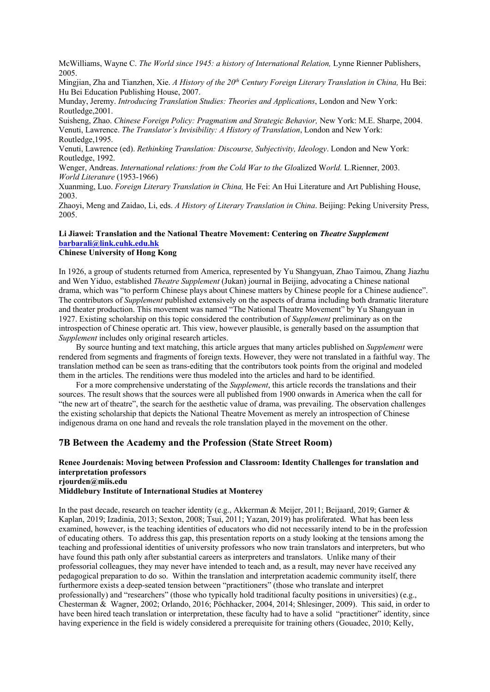McWilliams, Wayne C. *The World since 1945: a history of International Relation*, Lynne Rienner Publishers, 2005.

Mingjian, Zha and Tianzhen, Xie. *A History of the 20th Century Foreign Literary Translation in China,* Hu Bei: Hu Bei Education Publishing House, 2007.

Munday, Jeremy. *Introducing Translation Studies: Theories and Applications*, London and New York: Routledge,2001.

Suisheng, Zhao. *Chinese Foreign Policy: Pragmatism and Strategic Behavior,* New York: M.E. Sharpe, 2004. Venuti, Lawrence. *The Translator's Invisibility: A History of Translation*, London and New York: Routledge,1995.

Venuti, Lawrence (ed). *Rethinking Translation: Discourse, Subjectivity, Ideology*. London and New York: Routledge, 1992.

Wenger, Andreas. *International relations: from the Cold War to the Glo*alized W*orld.* L.Rienner, 2003. *World Literature* (1953-1966)

Xuanming, Luo. *Foreign Literary Translation in China,* He Fei: An Hui Literature and Art Publishing House, 2003.

Zhaoyi, Meng and Zaidao, Li, eds. *A History of Literary Translation in China*. Beijing: Peking University Press, 2005.

# **Li Jiawei: Translation and the National Theatre Movement: Centering on** *Theatre Supplement* **barbarali@link.cuhk.edu.hk**

**Chinese University of Hong Kong**

In 1926, a group of students returned from America, represented by Yu Shangyuan, Zhao Taimou, Zhang Jiazhu and Wen Yiduo, established *Theatre Supplement* (Jukan) journal in Beijing, advocating a Chinese national drama, which was "to perform Chinese plays about Chinese matters by Chinese people for a Chinese audience". The contributors of *Supplement* published extensively on the aspects of drama including both dramatic literature and theater production. This movement was named "The National Theatre Movement" by Yu Shangyuan in 1927. Existing scholarship on this topic considered the contribution of *Supplement* preliminary as on the introspection of Chinese operatic art. This view, however plausible, is generally based on the assumption that *Supplement* includes only original research articles.

By source hunting and text matching, this article argues that many articles published on *Supplement* were rendered from segments and fragments of foreign texts. However, they were not translated in a faithful way. The translation method can be seen as trans-editing that the contributors took points from the original and modeled them in the articles. The renditions were thus modeled into the articles and hard to be identified.

For a more comprehensive understating of the *Supplement*, this article records the translations and their sources. The result shows that the sources were all published from 1900 onwards in America when the call for "the new art of theatre", the search for the aesthetic value of drama, was prevailing. The observation challenges the existing scholarship that depicts the National Theatre Movement as merely an introspection of Chinese indigenous drama on one hand and reveals the role translation played in the movement on the other.

### **7B Between the Academy and the Profession (State Street Room)**

### **Renee Jourdenais: Moving between Profession and Classroom: Identity Challenges for translation and interpretation professors rjourden@miis.edu**

#### **Middlebury Institute of International Studies at Monterey**

In the past decade, research on teacher identity (e.g., Akkerman & Meijer, 2011; Beijaard, 2019; Garner & Kaplan, 2019; Izadinia, 2013; Sexton, 2008; Tsui, 2011; Yazan, 2019) has proliferated. What has been less examined, however, is the teaching identities of educators who did not necessarily intend to be in the profession of educating others. To address this gap, this presentation reports on a study looking at the tensions among the teaching and professional identities of university professors who now train translators and interpreters, but who have found this path only after substantial careers as interpreters and translators. Unlike many of their professorial colleagues, they may never have intended to teach and, as a result, may never have received any pedagogical preparation to do so. Within the translation and interpretation academic community itself, there furthermore exists a deep-seated tension between "practitioners" (those who translate and interpret professionally) and "researchers" (those who typically hold traditional faculty positions in universities) (e.g., Chesterman & Wagner, 2002; Orlando, 2016; Pöchhacker, 2004, 2014; Shlesinger, 2009). This said, in order to have been hired teach translation or interpretation, these faculty had to have a solid "practitioner" identity, since having experience in the field is widely considered a prerequisite for training others (Gouadec, 2010; Kelly,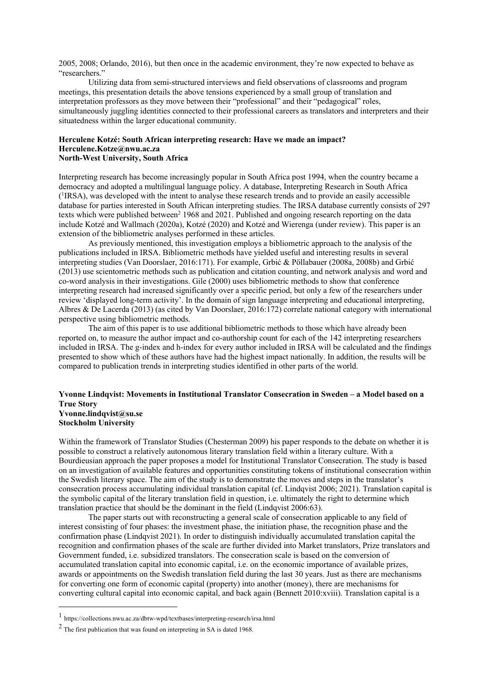2005, 2008; Orlando, 2016), but then once in the academic environment, they're now expected to behave as "researchers."

Utilizing data from semi-structured interviews and field observations of classrooms and program meetings, this presentation details the above tensions experienced by a small group of translation and interpretation professors as they move between their "professional" and their "pedagogical" roles, simultaneously juggling identities connected to their professional careers as translators and interpreters and their situatedness within the larger educational community.

#### **Herculene Kotzé: South African interpreting research: Have we made an impact? Herculene.Kotze@nwu.ac.za North-West University, South Africa**

Interpreting research has become increasingly popular in South Africa post 1994, when the country became a democracy and adopted a multilingual language policy. A database, Interpreting Research in South Africa ( 1 IRSA), was developed with the intent to analyse these research trends and to provide an easily accessible database for parties interested in South African interpreting studies. The IRSA database currently consists of 297 texts which were published between<sup>2</sup> 1968 and 2021. Published and ongoing research reporting on the data include Kotzé and Wallmach (2020a), Kotzé (2020) and Kotzé and Wierenga (under review). This paper is an extension of the bibliometric analyses performed in these articles.

As previously mentioned, this investigation employs a bibliometric approach to the analysis of the publications included in IRSA. Bibliometric methods have yielded useful and interesting results in several interpreting studies (Van Doorslaer, 2016:171). For example, Grbić & Pöllabauer (2008a, 2008b) and Grbić (2013) use scientometric methods such as publication and citation counting, and network analysis and word and co-word analysis in their investigations. Gile (2000) uses bibliometric methods to show that conference interpreting research had increased significantly over a specific period, but only a few of the researchers under review 'displayed long-term activity'. In the domain of sign language interpreting and educational interpreting, Albres & De Lacerda (2013) (as cited by Van Doorslaer, 2016:172) correlate national category with international perspective using bibliometric methods.

The aim of this paper is to use additional bibliometric methods to those which have already been reported on, to measure the author impact and co-authorship count for each of the 142 interpreting researchers included in IRSA. The g-index and h-index for every author included in IRSA will be calculated and the findings presented to show which of these authors have had the highest impact nationally. In addition, the results will be compared to publication trends in interpreting studies identified in other parts of the world.

### **Yvonne Lindqvist: Movements in Institutional Translator Consecration in Sweden – a Model based on a True Story Yvonne.lindqvist@su.se Stockholm University**

Within the framework of Translator Studies (Chesterman 2009) his paper responds to the debate on whether it is possible to construct a relatively autonomous literary translation field within a literary culture. With a Bourdieusian approach the paper proposes a model for Institutional Translator Consecration. The study is based on an investigation of available features and opportunities constituting tokens of institutional consecration within the Swedish literary space. The aim of the study is to demonstrate the moves and steps in the translator's consecration process accumulating individual translation capital (cf. Lindqvist 2006; 2021). Translation capital is the symbolic capital of the literary translation field in question, i.e. ultimately the right to determine which translation practice that should be the dominant in the field (Lindqvist 2006:63).

The paper starts out with reconstructing a general scale of consecration applicable to any field of interest consisting of four phases: the investment phase, the initiation phase, the recognition phase and the confirmation phase (Lindqvist 2021). In order to distinguish individually accumulated translation capital the recognition and confirmation phases of the scale are further divided into Market translators, Prize translators and Government funded, i.e. subsidized translators. The consecration scale is based on the conversion of accumulated translation capital into economic capital, i.e. on the economic importance of available prizes, awards or appointments on the Swedish translation field during the last 30 years. Just as there are mechanisms for converting one form of economic capital (property) into another (money), there are mechanisms for converting cultural capital into economic capital, and back again (Bennett 2010:xviii). Translation capital is a

<sup>1</sup> https://collections.nwu.ac.za/dbtw-wpd/textbases/interpreting-research/irsa.html

<sup>2</sup> The first publication that was found on interpreting in SA is dated 1968.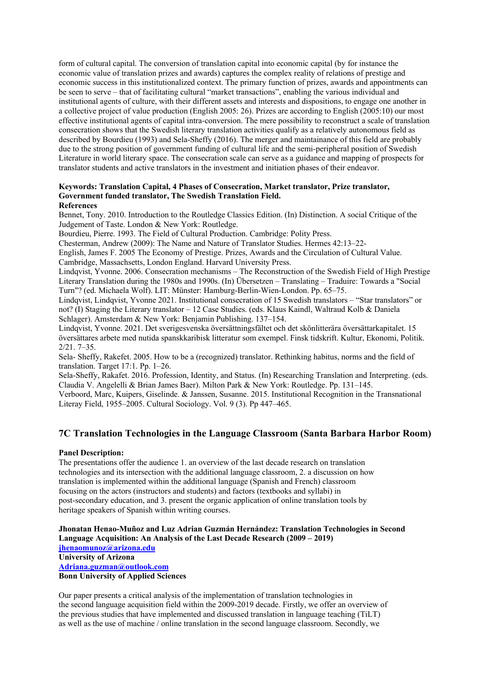form of cultural capital. The conversion of translation capital into economic capital (by for instance the economic value of translation prizes and awards) captures the complex reality of relations of prestige and economic success in this institutionalized context. The primary function of prizes, awards and appointments can be seen to serve – that of facilitating cultural "market transactions", enabling the various individual and institutional agents of culture, with their different assets and interests and dispositions, to engage one another in a collective project of value production (English 2005: 26). Prizes are according to English (2005:10) our most effective institutional agents of capital intra-conversion. The mere possibility to reconstruct a scale of translation consecration shows that the Swedish literary translation activities qualify as a relatively autonomous field as described by Bourdieu (1993) and Sela-Sheffy (2016). The merger and maintainance of this field are probably due to the strong position of government funding of cultural life and the semi-peripheral position of Swedish Literature in world literary space. The consecration scale can serve as a guidance and mapping of prospects for translator students and active translators in the investment and initiation phases of their endeavor.

#### **Keywords: Translation Capital, 4 Phases of Consecration, Market translator, Prize translator, Government funded translator, The Swedish Translation Field. References**

Bennet, Tony. 2010. Introduction to the Routledge Classics Edition. (In) Distinction. A social Critique of the Judgement of Taste. London & New York: Routledge.

Bourdieu, Pierre. 1993. The Field of Cultural Production. Cambridge: Polity Press.

Chesterman, Andrew (2009): The Name and Nature of Translator Studies. Hermes 42:13–22-

English, James F. 2005 The Economy of Prestige. Prizes, Awards and the Circulation of Cultural Value. Cambridge, Massachsetts, London England. Harvard University Press.

Lindqvist, Yvonne. 2006. Consecration mechanisms – The Reconstruction of the Swedish Field of High Prestige Literary Translation during the 1980s and 1990s. (In) Übersetzen – Translating – Traduire: Towards a "Social Turn"? (ed. Michaela Wolf). LIT: Münster: Hamburg-Berlin-Wien-London. Pp. 65–75.

Lindqvist, Lindqvist, Yvonne 2021. Institutional consecration of 15 Swedish translators – "Star translators" or not? (I) Staging the Literary translator – 12 Case Studies. (eds. Klaus Kaindl, Waltraud Kolb & Daniela Schlager). Amsterdam & New York: Benjamin Publishing. 137–154.

Lindqvist, Yvonne. 2021. Det sverigesvenska översättningsfältet och det skönlitterära översättarkapitalet. 15 översättares arbete med nutida spanskkaribisk litteratur som exempel. Finsk tidskrift. Kultur, Ekonomi, Politik. 2/21. 7–35.

Sela- Sheffy, Rakefet. 2005. How to be a (recognized) translator. Rethinking habitus, norms and the field of translation. Target 17:1. Pp. 1–26.

Sela-Sheffy, Rakafet. 2016. Profession, Identity, and Status. (In) Researching Translation and Interpreting. (eds. Claudia V. Angelelli & Brian James Baer). Milton Park & New York: Routledge. Pp. 131–145.

Verboord, Marc, Kuipers, Giselinde. & Janssen, Susanne. 2015. Institutional Recognition in the Transnational Literay Field, 1955–2005. Cultural Sociology. Vol. 9 (3). Pp 447–465.

## **7C Translation Technologies in the Language Classroom (Santa Barbara Harbor Room)**

### **Panel Description:**

The presentations offer the audience 1. an overview of the last decade research on translation technologies and its intersection with the additional language classroom, 2. a discussion on how translation is implemented within the additional language (Spanish and French) classroom focusing on the actors (instructors and students) and factors (textbooks and syllabi) in post-secondary education, and 3. present the organic application of online translation tools by heritage speakers of Spanish within writing courses.

**Jhonatan Henao-Muñoz and Luz Adrian Guzmán Hernández: Translation Technologies in Second Language Acquisition: An Analysis of the Last Decade Research (2009 – 2019) jhenaomunoz@arizona.edu University of Arizona Adriana.guzman@outlook.com Bonn University of Applied Sciences**

Our paper presents a critical analysis of the implementation of translation technologies in the second language acquisition field within the 2009-2019 decade. Firstly, we offer an overview of the previous studies that have implemented and discussed translation in language teaching (TiLT) as well as the use of machine / online translation in the second language classroom. Secondly, we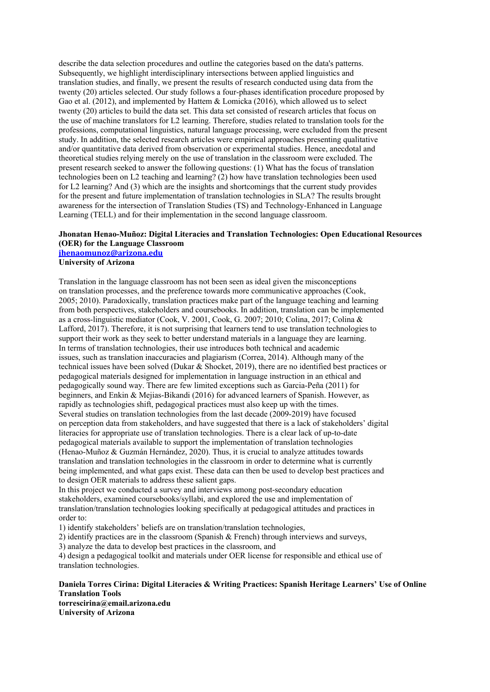describe the data selection procedures and outline the categories based on the data's patterns. Subsequently, we highlight interdisciplinary intersections between applied linguistics and translation studies, and finally, we present the results of research conducted using data from the twenty (20) articles selected. Our study follows a four-phases identification procedure proposed by Gao et al. (2012), and implemented by Hattem & Lomicka (2016), which allowed us to select twenty (20) articles to build the data set. This data set consisted of research articles that focus on the use of machine translators for L2 learning. Therefore, studies related to translation tools for the professions, computational linguistics, natural language processing, were excluded from the present study. In addition, the selected research articles were empirical approaches presenting qualitative and/or quantitative data derived from observation or experimental studies. Hence, anecdotal and theoretical studies relying merely on the use of translation in the classroom were excluded. The present research seeked to answer the following questions: (1) What has the focus of translation technologies been on L2 teaching and learning? (2) how have translation technologies been used for L2 learning? And (3) which are the insights and shortcomings that the current study provides for the present and future implementation of translation technologies in SLA? The results brought awareness for the intersection of Translation Studies (TS) and Technology-Enhanced in Language Learning (TELL) and for their implementation in the second language classroom.

### **Jhonatan Henao-Muñoz: Digital Literacies and Translation Technologies: Open Educational Resources (OER) for the Language Classroom jhenaomunoz@arizona.edu University of Arizona**

Translation in the language classroom has not been seen as ideal given the misconceptions on translation processes, and the preference towards more communicative approaches (Cook, 2005; 2010). Paradoxically, translation practices make part of the language teaching and learning from both perspectives, stakeholders and coursebooks. In addition, translation can be implemented as a cross-linguistic mediator (Cook, V. 2001, Cook, G. 2007; 2010; Colina, 2017; Colina & Lafford, 2017). Therefore, it is not surprising that learners tend to use translation technologies to support their work as they seek to better understand materials in a language they are learning. In terms of translation technologies, their use introduces both technical and academic issues, such as translation inaccuracies and plagiarism (Correa, 2014). Although many of the technical issues have been solved (Dukar & Shocket, 2019), there are no identified best practices or pedagogical materials designed for implementation in language instruction in an ethical and pedagogically sound way. There are few limited exceptions such as Garcia-Peña (2011) for beginners, and Enkin & Mejias-Bikandi (2016) for advanced learners of Spanish. However, as rapidly as technologies shift, pedagogical practices must also keep up with the times. Several studies on translation technologies from the last decade (2009-2019) have focused on perception data from stakeholders, and have suggested that there is a lack of stakeholders' digital literacies for appropriate use of translation technologies. There is a clear lack of up-to-date pedagogical materials available to support the implementation of translation technologies (Henao-Muñoz & Guzmán Hernández, 2020). Thus, it is crucial to analyze attitudes towards translation and translation technologies in the classroom in order to determine what is currently being implemented, and what gaps exist. These data can then be used to develop best practices and to design OER materials to address these salient gaps.

In this project we conducted a survey and interviews among post-secondary education stakeholders, examined coursebooks/syllabi, and explored the use and implementation of translation/translation technologies looking specifically at pedagogical attitudes and practices in order to:

1) identify stakeholders' beliefs are on translation/translation technologies,

2) identify practices are in the classroom (Spanish & French) through interviews and surveys,

3) analyze the data to develop best practices in the classroom, and

4) design a pedagogical toolkit and materials under OER license for responsible and ethical use of translation technologies.

### **Daniela Torres Cirina: Digital Literacies & Writing Practices: Spanish Heritage Learners' Use of Online Translation Tools torrescirina@email.arizona.edu University of Arizona**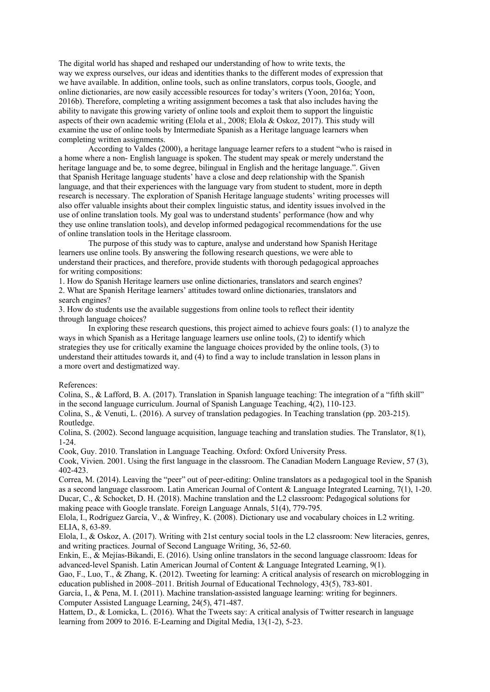The digital world has shaped and reshaped our understanding of how to write texts, the way we express ourselves, our ideas and identities thanks to the different modes of expression that we have available. In addition, online tools, such as online translators, corpus tools, Google, and online dictionaries, are now easily accessible resources for today's writers (Yoon, 2016a; Yoon, 2016b). Therefore, completing a writing assignment becomes a task that also includes having the ability to navigate this growing variety of online tools and exploit them to support the linguistic aspects of their own academic writing (Elola et al., 2008; Elola & Oskoz, 2017). This study will examine the use of online tools by Intermediate Spanish as a Heritage language learners when completing written assignments.

According to Valdes (2000), a heritage language learner refers to a student "who is raised in a home where a non- English language is spoken. The student may speak or merely understand the heritage language and be, to some degree, bilingual in English and the heritage language.". Given that Spanish Heritage language students' have a close and deep relationship with the Spanish language, and that their experiences with the language vary from student to student, more in depth research is necessary. The exploration of Spanish Heritage language students' writing processes will also offer valuable insights about their complex linguistic status, and identity issues involved in the use of online translation tools. My goal was to understand students' performance (how and why they use online translation tools), and develop informed pedagogical recommendations for the use of online translation tools in the Heritage classroom.

The purpose of this study was to capture, analyse and understand how Spanish Heritage learners use online tools. By answering the following research questions, we were able to understand their practices, and therefore, provide students with thorough pedagogical approaches for writing compositions:

1. How do Spanish Heritage learners use online dictionaries, translators and search engines? 2. What are Spanish Heritage learners' attitudes toward online dictionaries, translators and search engines?

3. How do students use the available suggestions from online tools to reflect their identity through language choices?

In exploring these research questions, this project aimed to achieve fours goals: (1) to analyze the ways in which Spanish as a Heritage language learners use online tools, (2) to identify which strategies they use for critically examine the language choices provided by the online tools, (3) to understand their attitudes towards it, and (4) to find a way to include translation in lesson plans in a more overt and destigmatized way.

#### References:

Colina, S., & Lafford, B. A. (2017). Translation in Spanish language teaching: The integration of a "fifth skill" in the second language curriculum. Journal of Spanish Language Teaching, 4(2), 110-123.

Colina, S., & Venuti, L. (2016). A survey of translation pedagogies. In Teaching translation (pp. 203-215). Routledge.

Colina, S. (2002). Second language acquisition, language teaching and translation studies. The Translator, 8(1), 1-24.

Cook, Guy. 2010. Translation in Language Teaching. Oxford: Oxford University Press.

Cook, Vivien. 2001. Using the first language in the classroom. The Canadian Modern Language Review, 57 (3), 402-423.

Correa, M. (2014). Leaving the "peer" out of peer-editing: Online translators as a pedagogical tool in the Spanish as a second language classroom. Latin American Journal of Content & Language Integrated Learning, 7(1), 1-20. Ducar, C., & Schocket, D. H. (2018). Machine translation and the L2 classroom: Pedagogical solutions for making peace with Google translate. Foreign Language Annals, 51(4), 779-795.

Elola, I., Rodríguez García, V., & Winfrey, K. (2008). Dictionary use and vocabulary choices in L2 writing. ELIA, 8, 63-89.

Elola, I., & Oskoz, A. (2017). Writing with 21st century social tools in the L2 classroom: New literacies, genres, and writing practices. Journal of Second Language Writing, 36, 52-60.

Enkin, E., & Mejías-Bikandi, E. (2016). Using online translators in the second language classroom: Ideas for advanced-level Spanish. Latin American Journal of Content & Language Integrated Learning, 9(1).

Gao, F., Luo, T., & Zhang, K. (2012). Tweeting for learning: A critical analysis of research on microblogging in education published in 2008–2011. British Journal of Educational Technology, 43(5), 783-801.

Garcia, I., & Pena, M. I. (2011). Machine translation-assisted language learning: writing for beginners. Computer Assisted Language Learning, 24(5), 471-487.

Hattem, D., & Lomicka, L. (2016). What the Tweets say: A critical analysis of Twitter research in language learning from 2009 to 2016. E-Learning and Digital Media, 13(1-2), 5-23.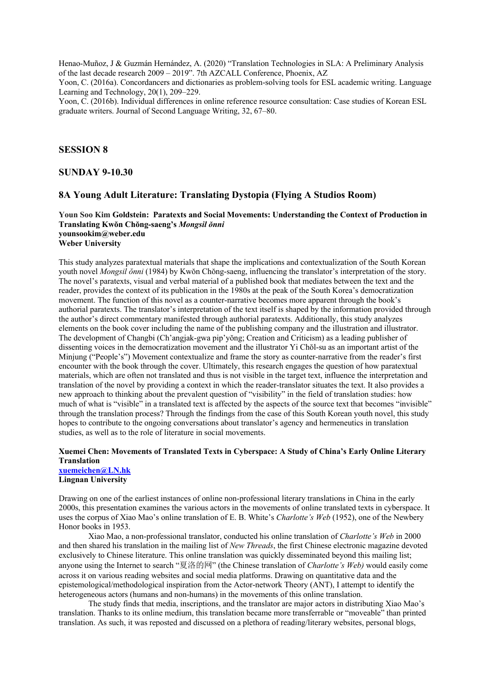Henao-Muñoz, J & Guzmán Hernández, A. (2020) "Translation Technologies in SLA: A Preliminary Analysis of the last decade research 2009 – 2019". 7th AZCALL Conference, Phoenix, AZ

Yoon, C. (2016a). Concordancers and dictionaries as problem-solving tools for ESL academic writing. Language Learning and Technology, 20(1), 209–229.

Yoon, C. (2016b). Individual differences in online reference resource consultation: Case studies of Korean ESL graduate writers. Journal of Second Language Writing, 32, 67–80.

### **SESSION 8**

#### **SUNDAY 9-10.30**

### **8A Young Adult Literature: Translating Dystopia (Flying A Studios Room)**

### **Youn Soo Kim Goldstein: Paratexts and Social Movements: Understanding the Context of Production in Translating Kwŏn Chŏng-saeng's** *Mongsil ŏnni* **younsookim@weber.edu Weber University**

This study analyzes paratextual materials that shape the implications and contextualization of the South Korean youth novel *Mongsil ŏnni* (1984) by Kwŏn Chŏng-saeng, influencing the translator's interpretation of the story. The novel's paratexts, visual and verbal material of a published book that mediates between the text and the reader, provides the context of its publication in the 1980s at the peak of the South Korea's democratization movement. The function of this novel as a counter-narrative becomes more apparent through the book's authorial paratexts. The translator's interpretation of the text itself is shaped by the information provided through the author's direct commentary manifested through authorial paratexts. Additionally, this study analyzes elements on the book cover including the name of the publishing company and the illustration and illustrator. The development of Changbi (Ch'angjak-gwa pip'yŏng; Creation and Criticism) as a leading publisher of dissenting voices in the democratization movement and the illustrator Yi Chŏl-su as an important artist of the Minjung ("People's") Movement contextualize and frame the story as counter-narrative from the reader's first encounter with the book through the cover. Ultimately, this research engages the question of how paratextual materials, which are often not translated and thus is not visible in the target text, influence the interpretation and translation of the novel by providing a context in which the reader-translator situates the text. It also provides a new approach to thinking about the prevalent question of "visibility" in the field of translation studies: how much of what is "visible" in a translated text is affected by the aspects of the source text that becomes "invisible" through the translation process? Through the findings from the case of this South Korean youth novel, this study hopes to contribute to the ongoing conversations about translator's agency and hermeneutics in translation studies, as well as to the role of literature in social movements.

#### **Xuemei Chen: Movements of Translated Texts in Cyberspace: A Study of China's Early Online Literary Translation xuemeichen@LN.hk**

**Lingnan University**

Drawing on one of the earliest instances of online non-professional literary translations in China in the early 2000s, this presentation examines the various actors in the movements of online translated texts in cyberspace. It uses the corpus of Xiao Mao's online translation of E. B. White's *Charlotte's Web* (1952), one of the Newbery Honor books in 1953.

Xiao Mao, a non-professional translator, conducted his online translation of *Charlotte's Web* in 2000 and then shared his translation in the mailing list of *New Threads*, the first Chinese electronic magazine devoted exclusively to Chinese literature. This online translation was quickly disseminated beyond this mailing list; anyone using the Internet to search "夏洛的网" (the Chinese translation of *Charlotte's Web)* would easily come across it on various reading websites and social media platforms. Drawing on quantitative data and the epistemological/methodological inspiration from the Actor-network Theory (ANT), I attempt to identify the heterogeneous actors (humans and non-humans) in the movements of this online translation.

The study finds that media, inscriptions, and the translator are major actors in distributing Xiao Mao's translation. Thanks to its online medium, this translation became more transferrable or "moveable" than printed translation. As such, it was reposted and discussed on a plethora of reading/literary websites, personal blogs,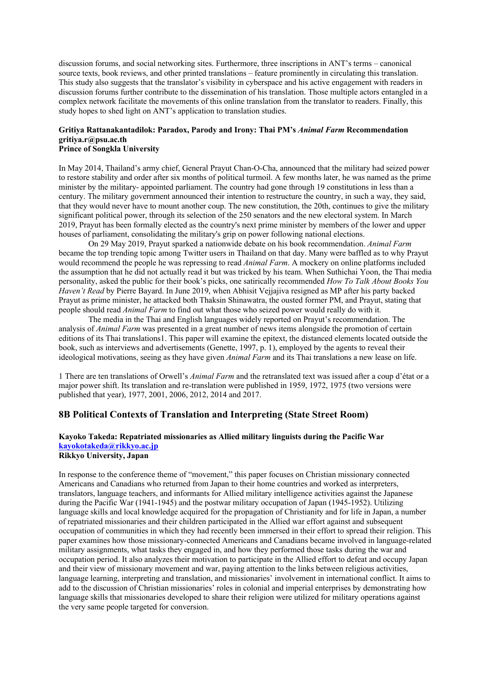discussion forums, and social networking sites. Furthermore, three inscriptions in ANT's terms – canonical source texts, book reviews, and other printed translations – feature prominently in circulating this translation. This study also suggests that the translator's visibility in cyberspace and his active engagement with readers in discussion forums further contribute to the dissemination of his translation. Those multiple actors entangled in a complex network facilitate the movements of this online translation from the translator to readers. Finally, this study hopes to shed light on ANT's application to translation studies.

# **Gritiya Rattanakantadilok: Paradox, Parody and Irony: Thai PM's** *Animal Farm* **Recommendation gritiya.r@psu.ac.th**

## **Prince of Songkla University**

In May 2014, Thailand's army chief, General Prayut Chan-O-Cha, announced that the military had seized power to restore stability and order after six months of political turmoil. A few months later, he was named as the prime minister by the military- appointed parliament. The country had gone through 19 constitutions in less than a century. The military government announced their intention to restructure the country, in such a way, they said, that they would never have to mount another coup. The new constitution, the 20th, continues to give the military significant political power, through its selection of the 250 senators and the new electoral system. In March 2019, Prayut has been formally elected as the country's next prime minister by members of the lower and upper houses of parliament, consolidating the military's grip on power following national elections.

On 29 May 2019, Prayut sparked a nationwide debate on his book recommendation. *Animal Farm*  became the top trending topic among Twitter users in Thailand on that day. Many were baffled as to why Prayut would recommend the people he was repressing to read *Animal Farm*. A mockery on online platforms included the assumption that he did not actually read it but was tricked by his team. When Suthichai Yoon, the Thai media personality, asked the public for their book's picks, one satirically recommended *How To Talk About Books You Haven't Read* by Pierre Bayard. In June 2019, when Abhisit Vejjajiva resigned as MP after his party backed Prayut as prime minister, he attacked both Thaksin Shinawatra, the ousted former PM, and Prayut, stating that people should read *Animal Farm* to find out what those who seized power would really do with it.

The media in the Thai and English languages widely reported on Prayut's recommendation. The analysis of *Animal Farm* was presented in a great number of news items alongside the promotion of certain editions of its Thai translations1. This paper will examine the epitext, the distanced elements located outside the book, such as interviews and advertisements (Genette, 1997, p. 1), employed by the agents to reveal their ideological motivations, seeing as they have given *Animal Farm* and its Thai translations a new lease on life.

1 There are ten translations of Orwell's *Animal Farm* and the retranslated text was issued after a coup d'état or a major power shift. Its translation and re-translation were published in 1959, 1972, 1975 (two versions were published that year), 1977, 2001, 2006, 2012, 2014 and 2017.

## **8B Political Contexts of Translation and Interpreting (State Street Room)**

# **Kayoko Takeda: Repatriated missionaries as Allied military linguists during the Pacific War kayokotakeda@rikkyo.ac.jp**

**Rikkyo University, Japan**

In response to the conference theme of "movement," this paper focuses on Christian missionary connected Americans and Canadians who returned from Japan to their home countries and worked as interpreters, translators, language teachers, and informants for Allied military intelligence activities against the Japanese during the Pacific War (1941-1945) and the postwar military occupation of Japan (1945-1952). Utilizing language skills and local knowledge acquired for the propagation of Christianity and for life in Japan, a number of repatriated missionaries and their children participated in the Allied war effort against and subsequent occupation of communities in which they had recently been immersed in their effort to spread their religion. This paper examines how those missionary-connected Americans and Canadians became involved in language-related military assignments, what tasks they engaged in, and how they performed those tasks during the war and occupation period. It also analyzes their motivation to participate in the Allied effort to defeat and occupy Japan and their view of missionary movement and war, paying attention to the links between religious activities, language learning, interpreting and translation, and missionaries' involvement in international conflict. It aims to add to the discussion of Christian missionaries' roles in colonial and imperial enterprises by demonstrating how language skills that missionaries developed to share their religion were utilized for military operations against the very same people targeted for conversion.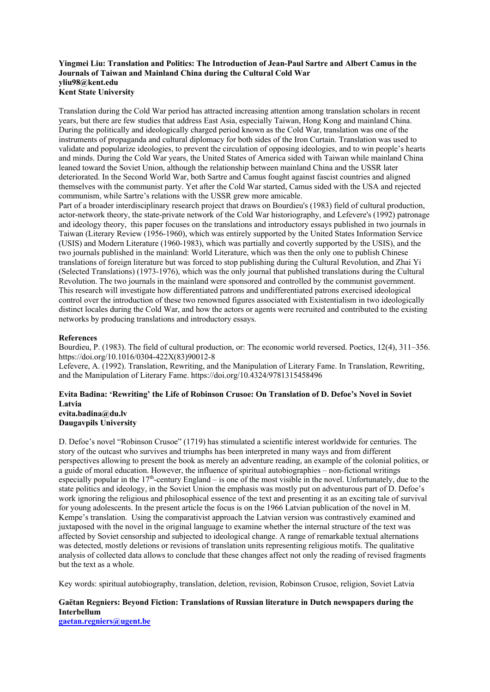### **Yingmei Liu: Translation and Politics: The Introduction of Jean-Paul Sartre and Albert Camus in the Journals of Taiwan and Mainland China during the Cultural Cold War yliu98@kent.edu Kent State University**

Translation during the Cold War period has attracted increasing attention among translation scholars in recent years, but there are few studies that address East Asia, especially Taiwan, Hong Kong and mainland China. During the politically and ideologically charged period known as the Cold War, translation was one of the instruments of propaganda and cultural diplomacy for both sides of the Iron Curtain. Translation was used to validate and popularize ideologies, to prevent the circulation of opposing ideologies, and to win people's hearts and minds. During the Cold War years, the United States of America sided with Taiwan while mainland China leaned toward the Soviet Union, although the relationship between mainland China and the USSR later deteriorated. In the Second World War, both Sartre and Camus fought against fascist countries and aligned themselves with the communist party. Yet after the Cold War started, Camus sided with the USA and rejected communism, while Sartre's relations with the USSR grew more amicable.

Part of a broader interdisciplinary research project that draws on Bourdieu's (1983) field of cultural production, actor-network theory, the state-private network of the Cold War historiography, and Lefevere's (1992) patronage and ideology theory, this paper focuses on the translations and introductory essays published in two journals in Taiwan (Literary Review (1956-1960), which was entirely supported by the United States Information Service (USIS) and Modern Literature (1960-1983), which was partially and covertly supported by the USIS), and the two journals published in the mainland: World Literature, which was then the only one to publish Chinese translations of foreign literature but was forced to stop publishing during the Cultural Revolution, and Zhai Yi (Selected Translations) (1973-1976), which was the only journal that published translations during the Cultural Revolution. The two journals in the mainland were sponsored and controlled by the communist government. This research will investigate how differentiated patrons and undifferentiated patrons exercised ideological control over the introduction of these two renowned figures associated with Existentialism in two ideologically distinct locales during the Cold War, and how the actors or agents were recruited and contributed to the existing networks by producing translations and introductory essays.

### **References**

Bourdieu, P. (1983). The field of cultural production, or: The economic world reversed. Poetics, 12(4), 311–356. https://doi.org/10.1016/0304-422X(83)90012-8

Lefevere, A. (1992). Translation, Rewriting, and the Manipulation of Literary Fame. In Translation, Rewriting, and the Manipulation of Literary Fame. https://doi.org/10.4324/9781315458496

### **Evita Badina: 'Rewriting' the Life of Robinson Crusoe: On Translation of D. Defoe's Novel in Soviet Latvia evita.badina@du.lv**

**Daugavpils University**

D. Defoe's novel "Robinson Crusoe" (1719) has stimulated a scientific interest worldwide for centuries. The story of the outcast who survives and triumphs has been interpreted in many ways and from different perspectives allowing to present the book as merely an adventure reading, an example of the colonial politics, or a guide of moral education. However, the influence of spiritual autobiographies – non-fictional writings especially popular in the  $17<sup>th</sup>$ -century England – is one of the most visible in the novel. Unfortunately, due to the state politics and ideology, in the Soviet Union the emphasis was mostly put on adventurous part of D. Defoe's work ignoring the religious and philosophical essence of the text and presenting it as an exciting tale of survival for young adolescents. In the present article the focus is on the 1966 Latvian publication of the novel in M. Kempe's translation. Using the comparativist approach the Latvian version was contrastively examined and juxtaposed with the novel in the original language to examine whether the internal structure of the text was affected by Soviet censorship and subjected to ideological change. A range of remarkable textual alternations was detected, mostly deletions or revisions of translation units representing religious motifs. The qualitative analysis of collected data allows to conclude that these changes affect not only the reading of revised fragments but the text as a whole.

Key words: spiritual autobiography, translation, deletion, revision, Robinson Crusoe, religion, Soviet Latvia

## **Gaëtan Regniers: Beyond Fiction: Translations of Russian literature in Dutch newspapers during the Interbellum**

**gaetan.regniers@ugent.be**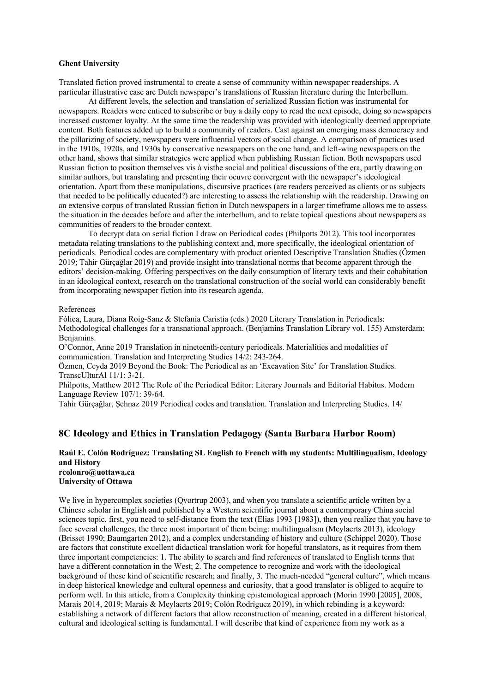#### **Ghent University**

Translated fiction proved instrumental to create a sense of community within newspaper readerships. A particular illustrative case are Dutch newspaper's translations of Russian literature during the Interbellum.

At different levels, the selection and translation of serialized Russian fiction was instrumental for newspapers. Readers were enticed to subscribe or buy a daily copy to read the next episode, doing so newspapers increased customer loyalty. At the same time the readership was provided with ideologically deemed appropriate content. Both features added up to build a community of readers. Cast against an emerging mass democracy and the pillarizing of society, newspapers were influential vectors of social change. A comparison of practices used in the 1910s, 1920s, and 1930s by conservative newspapers on the one hand, and left-wing newspapers on the other hand, shows that similar strategies were applied when publishing Russian fiction. Both newspapers used Russian fiction to position themselves vis à visthe social and political discussions of the era, partly drawing on similar authors, but translating and presenting their oeuvre convergent with the newspaper's ideological orientation. Apart from these manipulations, discursive practices (are readers perceived as clients or as subjects that needed to be politically educated?) are interesting to assess the relationship with the readership. Drawing on an extensive corpus of translated Russian fiction in Dutch newspapers in a larger timeframe allows me to assess the situation in the decades before and after the interbellum, and to relate topical questions about newspapers as communities of readers to the broader context.

To decrypt data on serial fiction I draw on Periodical codes (Philpotts 2012). This tool incorporates metadata relating translations to the publishing context and, more specifically, the ideological orientation of periodicals. Periodical codes are complementary with product oriented Descriptive Translation Studies (Özmen 2019; Tahir Gürçağlar 2019) and provide insight into translational norms that become apparent through the editors' decision-making. Offering perspectives on the daily consumption of literary texts and their cohabitation in an ideological context, research on the translational construction of the social world can considerably benefit from incorporating newspaper fiction into its research agenda.

#### References

Fólica, Laura, Diana Roig-Sanz & Stefania Caristia (eds.) 2020 Literary Translation in Periodicals: Methodological challenges for a transnational approach. (Benjamins Translation Library vol. 155) Amsterdam: Benjamins.

O'Connor, Anne 2019 Translation in nineteenth-century periodicals. Materialities and modalities of communication. Translation and Interpreting Studies 14/2: 243-264.

Özmen, Ceyda 2019 Beyond the Book: The Periodical as an 'Excavation Site' for Translation Studies. TranscUlturAl 11/1: 3-21.

Philpotts, Matthew 2012 The Role of the Periodical Editor: Literary Journals and Editorial Habitus. Modern Language Review 107/1: 39-64.

Tahir Gürçağlar, Şehnaz 2019 Periodical codes and translation. Translation and Interpreting Studies. 14/

### **8C Ideology and Ethics in Translation Pedagogy (Santa Barbara Harbor Room)**

### **Raúl E. Colón Rodríguez: Translating SL English to French with my students: Multilingualism, Ideology and History rcolonro@uottawa.ca**

**University of Ottawa**

We live in hypercomplex societies (Ovortrup 2003), and when you translate a scientific article written by a Chinese scholar in English and published by a Western scientific journal about a contemporary China social sciences topic, first, you need to self-distance from the text (Elias 1993 [1983]), then you realize that you have to face several challenges, the three most important of them being: multilingualism (Meylaerts 2013), ideology (Brisset 1990; Baumgarten 2012), and a complex understanding of history and culture (Schippel 2020). Those are factors that constitute excellent didactical translation work for hopeful translators, as it requires from them three important competencies: 1. The ability to search and find references of translated to English terms that have a different connotation in the West; 2. The competence to recognize and work with the ideological background of these kind of scientific research; and finally, 3. The much-needed "general culture", which means in deep historical knowledge and cultural openness and curiosity, that a good translator is obliged to acquire to perform well. In this article, from a Complexity thinking epistemological approach (Morin 1990 [2005], 2008, Marais 2014, 2019; Marais & Meylaerts 2019; Colón Rodríguez 2019), in which rebinding is a keyword: establishing a network of different factors that allow reconstruction of meaning, created in a different historical, cultural and ideological setting is fundamental. I will describe that kind of experience from my work as a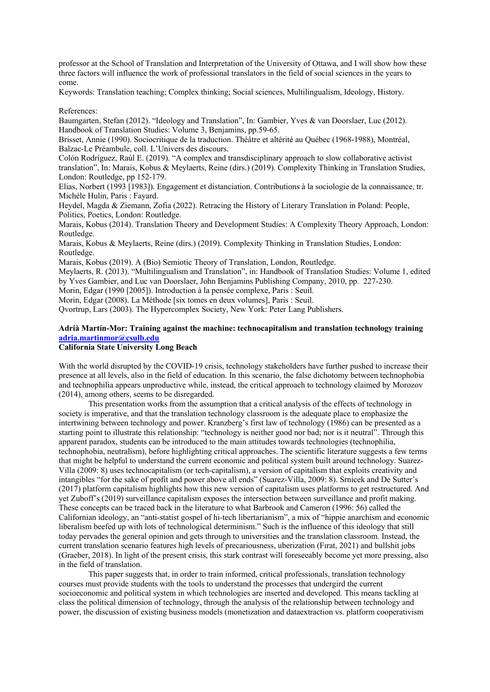professor at the School of Translation and Interpretation of the University of Ottawa, and I will show how these three factors will influence the work of professional translators in the field of social sciences in the years to come.

Keywords: Translation teaching; Complex thinking; Social sciences, Multilingualism, Ideology, History.

References:

Baumgarten, Stefan (2012). "Ideology and Translation", In: Gambier, Yves & van Doorslaer, Luc (2012). Handbook of Translation Studies: Volume 3, Benjamins, pp.59-65.

Brisset, Annie (1990). Sociocritique de la traduction. Théâtre et altérité au Québec (1968-1988), Montréal, Balzac-Le Préambule, coll. L'Univers des discours.

Colón Rodríguez, Raúl E. (2019). "A complex and transdisciplinary approach to slow collaborative activist translation", In: Marais, Kobus & Meylaerts, Reine (dirs.) (2019). Complexity Thinking in Translation Studies, London: Routledge, pp 152-179.

Elias, Norbert (1993 [1983]). Engagement et distanciation. Contributions à la sociologie de la connaissance, tr. Michèle Hulin, Paris : Fayard.

Heydel, Magda & Ziemann, Zofia (2022). Retracing the History of Literary Translation in Poland: People, Politics, Poetics, London: Routledge.

Marais, Kobus (2014). Translation Theory and Development Studies: A Complexity Theory Approach, London: Routledge.

Marais, Kobus & Meylaerts, Reine (dirs.) (2019). Complexity Thinking in Translation Studies, London: Routledge.

Marais, Kobus (2019). A (Bio) Semiotic Theory of Translation, London, Routledge.

Meylaerts, R. (2013). "Multilingualism and Translation", in: Handbook of Translation Studies: Volume 1, edited by Yves Gambier, and Luc van Doorslaer, John Benjamins Publishing Company, 2010, pp. 227-230.

Morin, Edgar (1990 [2005]). Introduction à la pensée complexe, Paris : Seuil.

Morin, Edgar (2008). La Méthode [six tomes en deux volumes], Paris : Seuil.

Qvortrup, Lars (2003). The Hypercomplex Society, New York: Peter Lang Publishers.

## **Adrià Martín-Mor: Training against the machine: technocapitalism and translation technology training adria.martinmor@csulb.edu**

## **California State University Long Beach**

With the world disrupted by the COVID-19 crisis, technology stakeholders have further pushed to increase their presence at all levels, also in the field of education. In this scenario, the false dichotomy between technophobia and technophilia appears unproductive while, instead, the critical approach to technology claimed by Morozov (2014), among others, seems to be disregarded.

This presentation works from the assumption that a critical analysis of the effects of technology in society is imperative, and that the translation technology classroom is the adequate place to emphasize the intertwining between technology and power. Kranzberg's first law of technology (1986) can be presented as a starting point to illustrate this relationship: "technology is neither good nor bad; nor is it neutral". Through this apparent paradox, students can be introduced to the main attitudes towards technologies (technophilia, technophobia, neutralism), before highlighting critical approaches. The scientific literature suggests a few terms that might be helpful to understand the current economic and political system built around technology. Suarez-Villa (2009: 8) uses technocapitalism (or tech-capitalism), a version of capitalism that exploits creativity and intangibles "for the sake of profit and power above all ends" (Suarez-Villa, 2009: 8). Srnicek and De Sutter's (2017) platform capitalism highlights how this new version of capitalism uses platforms to get restructured. And yet Zuboff's (2019) surveillance capitalism exposes the intersection between surveillance and profit making. These concepts can be traced back in the literature to what Barbrook and Cameron (1996: 56) called the Californian ideology, an "anti-statist gospel of hi-tech libertarianism", a mix of "hippie anarchism and economic liberalism beefed up with lots of technological determinism." Such is the influence of this ideology that still today pervades the general opinion and gets through to universities and the translation classroom. Instead, the current translation scenario features high levels of precariousness, uberization (Fırat, 2021) and bullshit jobs (Graeber, 2018). In light of the present crisis, this stark contrast will foreseeably become yet more pressing, also in the field of translation.

This paper suggests that, in order to train informed, critical professionals, translation technology courses must provide students with the tools to understand the processes that undergird the current socioeconomic and political system in which technologies are inserted and developed. This means tackling at class the political dimension of technology, through the analysis of the relationship between technology and power, the discussion of existing business models (monetization and dataextraction vs. platform cooperativism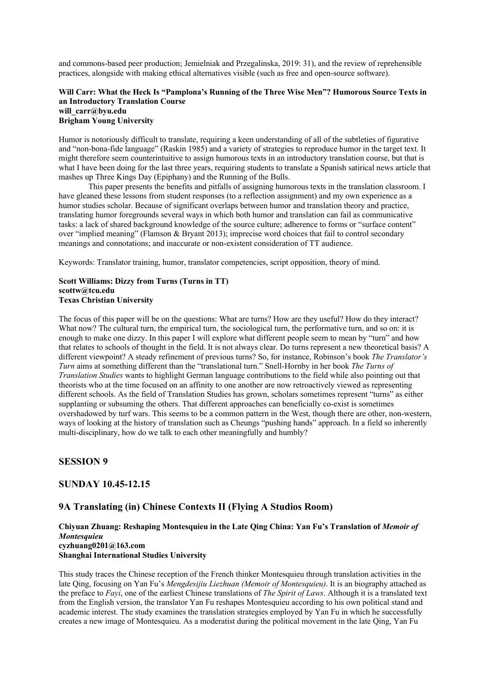and commons-based peer production; Jemielniak and Przegalinska, 2019: 31), and the review of reprehensible practices, alongside with making ethical alternatives visible (such as free and open-source software).

### **Will Carr: What the Heck Is "Pamplona's Running of the Three Wise Men"? Humorous Source Texts in an Introductory Translation Course will\_carr@byu.edu Brigham Young University**

Humor is notoriously difficult to translate, requiring a keen understanding of all of the subtleties of figurative and "non-bona-fide language" (Raskin 1985) and a variety of strategies to reproduce humor in the target text. It might therefore seem counterintuitive to assign humorous texts in an introductory translation course, but that is what I have been doing for the last three years, requiring students to translate a Spanish satirical news article that mashes up Three Kings Day (Epiphany) and the Running of the Bulls.

This paper presents the benefits and pitfalls of assigning humorous texts in the translation classroom. I have gleaned these lessons from student responses (to a reflection assignment) and my own experience as a humor studies scholar. Because of significant overlaps between humor and translation theory and practice, translating humor foregrounds several ways in which both humor and translation can fail as communicative tasks: a lack of shared background knowledge of the source culture; adherence to forms or "surface content" over "implied meaning" (Flamson & Bryant 2013); imprecise word choices that fail to control secondary meanings and connotations; and inaccurate or non-existent consideration of TT audience.

Keywords: Translator training, humor, translator competencies, script opposition, theory of mind.

### **Scott Williams: Dizzy from Turns (Turns in TT) scottw@tcu.edu Texas Christian University**

The focus of this paper will be on the questions: What are turns? How are they useful? How do they interact? What now? The cultural turn, the empirical turn, the sociological turn, the performative turn, and so on: it is enough to make one dizzy. In this paper I will explore what different people seem to mean by "turn" and how that relates to schools of thought in the field. It is not always clear. Do turns represent a new theoretical basis? A different viewpoint? A steady refinement of previous turns? So, for instance, Robinson's book *The Translator's Turn* aims at something different than the "translational turn." Snell-Hornby in her book *The Turns of Translation Studies* wants to highlight German language contributions to the field while also pointing out that theorists who at the time focused on an affinity to one another are now retroactively viewed as representing different schools. As the field of Translation Studies has grown, scholars sometimes represent "turns" as either supplanting or subsuming the others. That different approaches can beneficially co-exist is sometimes overshadowed by turf wars. This seems to be a common pattern in the West, though there are other, non-western, ways of looking at the history of translation such as Cheungs "pushing hands" approach. In a field so inherently multi-disciplinary, how do we talk to each other meaningfully and humbly?

## **SESSION 9**

## **SUNDAY 10.45-12.15**

## **9A Translating (in) Chinese Contexts II (Flying A Studios Room)**

### **Chiyuan Zhuang: Reshaping Montesquieu in the Late Qing China: Yan Fu's Translation of** *Memoir of Montesquieu* **cyzhuang0201@163.com Shanghai International Studies University**

This study traces the Chinese reception of the French thinker Montesquieu through translation activities in the late Qing, focusing on Yan Fu's *Mengdesijiu Liezhuan (Memoir of Montesquieu)*. It is an biography attached as the preface to *Fayi*, one of the earliest Chinese translations of *The Spirit of Laws*. Although it is a translated text from the English version, the translator Yan Fu reshapes Montesquieu according to his own political stand and academic interest. The study examines the translation strategies employed by Yan Fu in which he successfully creates a new image of Montesquieu. As a moderatist during the political movement in the late Qing, Yan Fu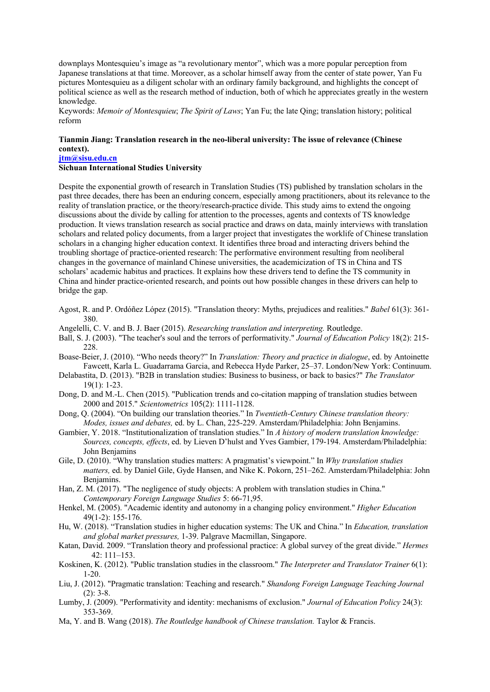downplays Montesquieu's image as "a revolutionary mentor", which was a more popular perception from Japanese translations at that time. Moreover, as a scholar himself away from the center of state power, Yan Fu pictures Montesquieu as a diligent scholar with an ordinary family background, and highlights the concept of political science as well as the research method of induction, both of which he appreciates greatly in the western knowledge.

Keywords: *Memoir of Montesquieu*; *The Spirit of Laws*; Yan Fu; the late Qing; translation history; political reform

### **Tianmin Jiang: Translation research in the neo-liberal university: The issue of relevance (Chinese context).**

**jtm@sisu.edu.cn**

### **Sichuan International Studies University**

Despite the exponential growth of research in Translation Studies (TS) published by translation scholars in the past three decades, there has been an enduring concern, especially among practitioners, about its relevance to the reality of translation practice, or the theory/research-practice divide. This study aims to extend the ongoing discussions about the divide by calling for attention to the processes, agents and contexts of TS knowledge production. It views translation research as social practice and draws on data, mainly interviews with translation scholars and related policy documents, from a larger project that investigates the worklife of Chinese translation scholars in a changing higher education context. It identifies three broad and interacting drivers behind the troubling shortage of practice-oriented research: The performative environment resulting from neoliberal changes in the governance of mainland Chinese universities, the academicization of TS in China and TS scholars' academic habitus and practices. It explains how these drivers tend to define the TS community in China and hinder practice-oriented research, and points out how possible changes in these drivers can help to bridge the gap.

- Agost, R. and P. Ordóñez López (2015). "Translation theory: Myths, prejudices and realities." *Babel* 61(3): 361- 380.
- Angelelli, C. V. and B. J. Baer (2015). *Researching translation and interpreting.* Routledge.
- Ball, S. J. (2003). "The teacher's soul and the terrors of performativity." *Journal of Education Policy* 18(2): 215- 228.
- Boase-Beier, J. (2010). "Who needs theory?" In *Translation: Theory and practice in dialogue*, ed. by Antoinette Fawcett, Karla L. Guadarrama Garcia, and Rebecca Hyde Parker, 25–37. London/New York: Continuum.
- Delabastita, D. (2013). "B2B in translation studies: Business to business, or back to basics?" *The Translator* 19(1): 1-23.
- Dong, D. and M.-L. Chen (2015). "Publication trends and co-citation mapping of translation studies between 2000 and 2015." *Scientometrics* 105(2): 1111-1128.
- Dong, Q. (2004). "On building our translation theories." In *Twentieth-Century Chinese translation theory: Modes, issues and debates,* ed. by L. Chan, 225-229. Amsterdam/Philadelphia: John Benjamins.
- Gambier, Y. 2018. "Institutionalization of translation studies." In *A history of modern translation knowledge: Sources, concepts, effects*, ed. by Lieven D'hulst and Yves Gambier, 179-194. Amsterdam/Philadelphia: John Benjamins
- Gile, D. (2010). "Why translation studies matters: A pragmatist's viewpoint." In *Why translation studies matters,* ed. by Daniel Gile, Gyde Hansen, and Nike K. Pokorn, 251–262. Amsterdam/Philadelphia: John Benjamins.
- Han, Z. M. (2017). "The negligence of study objects: A problem with translation studies in China." *Contemporary Foreign Language Studies* 5: 66-71,95.
- Henkel, M. (2005). "Academic identity and autonomy in a changing policy environment." *Higher Education* 49(1-2): 155-176.
- Hu, W. (2018). "Translation studies in higher education systems: The UK and China." In *Education, translation and global market pressures,* 1-39. Palgrave Macmillan, Singapore.
- Katan, David. 2009. "Translation theory and professional practice: A global survey of the great divide." *Hermes* 42: 111–153.
- Koskinen, K. (2012). "Public translation studies in the classroom." *The Interpreter and Translator Trainer* 6(1): 1-20.
- Liu, J. (2012). "Pragmatic translation: Teaching and research." *Shandong Foreign Language Teaching Journal*  (2): 3-8.
- Lumby, J. (2009). "Performativity and identity: mechanisms of exclusion." *Journal of Education Policy* 24(3): 353-369.
- Ma, Y. and B. Wang (2018). *The Routledge handbook of Chinese translation.* Taylor & Francis.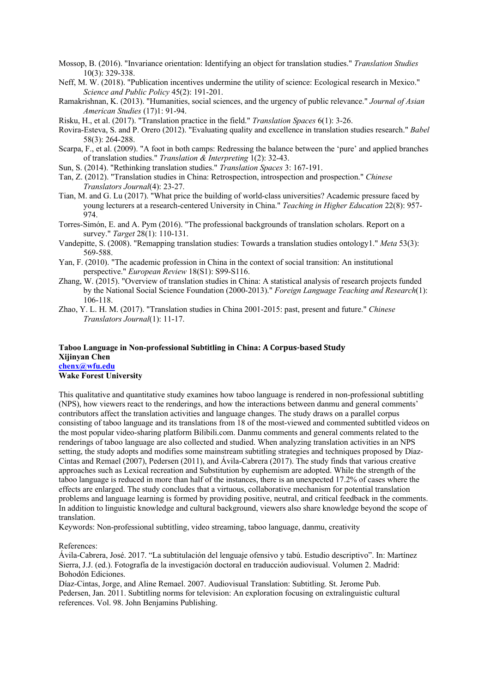- Mossop, B. (2016). "Invariance orientation: Identifying an object for translation studies." *Translation Studies* 10(3): 329-338.
- Neff, M. W. (2018). "Publication incentives undermine the utility of science: Ecological research in Mexico." *Science and Public Policy* 45(2): 191-201.
- Ramakrishnan, K. (2013). "Humanities, social sciences, and the urgency of public relevance." *Journal of Asian American Studies* (17)1: 91-94.
- Risku, H., et al. (2017). "Translation practice in the field." *Translation Spaces* 6(1): 3-26.
- Rovira-Esteva, S. and P. Orero (2012). "Evaluating quality and excellence in translation studies research." *Babel*  58(3): 264-288.
- Scarpa, F., et al. (2009). "A foot in both camps: Redressing the balance between the 'pure' and applied branches of translation studies." *Translation & Interpreting* 1(2): 32-43.
- Sun, S. (2014). "Rethinking translation studies." *Translation Spaces* 3: 167-191.
- Tan, Z. (2012). "Translation studies in China: Retrospection, introspection and prospection." *Chinese Translators Journal*(4): 23-27.
- Tian, M. and G. Lu (2017). "What price the building of world-class universities? Academic pressure faced by young lecturers at a research-centered University in China." *Teaching in Higher Education* 22(8): 957- 974.
- Torres-Simón, E. and A. Pym (2016). "The professional backgrounds of translation scholars. Report on a survey." *Target* 28(1): 110-131.
- Vandepitte, S. (2008). "Remapping translation studies: Towards a translation studies ontology1." *Meta* 53(3): 569-588.
- Yan, F. (2010). "The academic profession in China in the context of social transition: An institutional perspective." *European Review* 18(S1): S99-S116.
- Zhang, W. (2015). "Overview of translation studies in China: A statistical analysis of research projects funded by the National Social Science Foundation (2000-2013)." *Foreign Language Teaching and Research*(1): 106-118.
- Zhao, Y. L. H. M. (2017). "Translation studies in China 2001-2015: past, present and future." *Chinese Translators Journal*(1): 11-17.

### **Taboo Language in Non-professional Subtitling in China: A Corpus-based Study Xijinyan Chen chenx@wfu.edu Wake Forest University**

This qualitative and quantitative study examines how taboo language is rendered in non-professional subtitling (NPS), how viewers react to the renderings, and how the interactions between danmu and general comments' contributors affect the translation activities and language changes. The study draws on a parallel corpus consisting of taboo language and its translations from 18 of the most-viewed and commented subtitled videos on the most popular video-sharing platform Bilibili.com. Danmu comments and general comments related to the renderings of taboo language are also collected and studied. When analyzing translation activities in an NPS setting, the study adopts and modifies some mainstream subtitling strategies and techniques proposed by Díaz-Cintas and Remael (2007), Pedersen (2011), and Ávila-Cabrera (2017). The study finds that various creative approaches such as Lexical recreation and Substitution by euphemism are adopted. While the strength of the taboo language is reduced in more than half of the instances, there is an unexpected 17.2% of cases where the effects are enlarged. The study concludes that a virtuous, collaborative mechanism for potential translation problems and language learning is formed by providing positive, neutral, and critical feedback in the comments. In addition to linguistic knowledge and cultural background, viewers also share knowledge beyond the scope of translation.

Keywords: Non-professional subtitling, video streaming, taboo language, danmu, creativity

References:

Ávila-Cabrera, José. 2017. "La subtitulación del lenguaje ofensivo y tabú. Estudio descriptivo". In: Martínez Sierra, J.J. (ed.). Fotografía de la investigación doctoral en traducción audiovisual. Volumen 2. Madrid: Bohodón Ediciones.

Díaz-Cintas, Jorge, and Aline Remael. 2007. Audiovisual Translation: Subtitling. St. Jerome Pub. Pedersen, Jan. 2011. Subtitling norms for television: An exploration focusing on extralinguistic cultural references. Vol. 98. John Benjamins Publishing.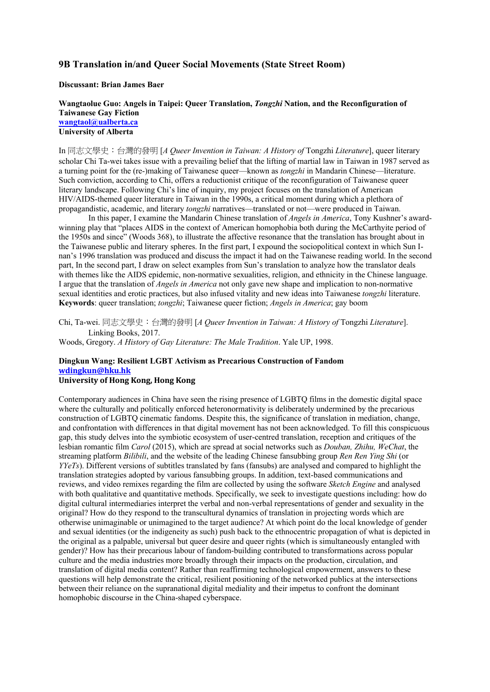### **9B Translation in/and Queer Social Movements (State Street Room)**

### **Discussant: Brian James Baer**

**Wangtaolue Guo: Angels in Taipei: Queer Translation,** *Tongzhi* **Nation, and the Reconfiguration of Taiwanese Gay Fiction wangtaol@ualberta.ca University of Alberta**

In 同志文學史:台灣的發明 [*A Queer Invention in Taiwan: A History of* Tongzhi *Literature*], queer literary scholar Chi Ta-wei takes issue with a prevailing belief that the lifting of martial law in Taiwan in 1987 served as a turning point for the (re-)making of Taiwanese queer—known as *tongzhi* in Mandarin Chinese—literature. Such conviction, according to Chi, offers a reductionist critique of the reconfiguration of Taiwanese queer literary landscape. Following Chi's line of inquiry, my project focuses on the translation of American HIV/AIDS-themed queer literature in Taiwan in the 1990s, a critical moment during which a plethora of propagandistic, academic, and literary *tongzhi* narratives—translated or not—were produced in Taiwan.

In this paper, I examine the Mandarin Chinese translation of *Angels in America*, Tony Kushner's awardwinning play that "places AIDS in the context of American homophobia both during the McCarthyite period of the 1950s and since" (Woods 368), to illustrate the affective resonance that the translation has brought about in the Taiwanese public and literary spheres. In the first part, I expound the sociopolitical context in which Sun Inan's 1996 translation was produced and discuss the impact it had on the Taiwanese reading world. In the second part, In the second part, I draw on select examples from Sun's translation to analyze how the translator deals with themes like the AIDS epidemic, non-normative sexualities, religion, and ethnicity in the Chinese language. I argue that the translation of *Angels in America* not only gave new shape and implication to non-normative sexual identities and erotic practices, but also infused vitality and new ideas into Taiwanese *tongzhi* literature. **Keywords**: queer translation; *tongzhi*; Taiwanese queer fiction; *Angels in America*; gay boom

Chi, Ta-wei. 同志文學史:台灣的發明 [*A Queer Invention in Taiwan: A History of* Tongzhi *Literature*]. Linking Books, 2017.

Woods, Gregory. *A History of Gay Literature: The Male Tradition*. Yale UP, 1998.

## **Dingkun Wang: Resilient LGBT Activism as Precarious Construction of Fandom wdingkun@hku.hk**

### **University of Hong Kong, Hong Kong**

Contemporary audiences in China have seen the rising presence of LGBTQ films in the domestic digital space where the culturally and politically enforced heteronormativity is deliberately undermined by the precarious construction of LGBTQ cinematic fandoms. Despite this, the significance of translation in mediation, change, and confrontation with differences in that digital movement has not been acknowledged. To fill this conspicuous gap, this study delves into the symbiotic ecosystem of user-centred translation, reception and critiques of the lesbian romantic film *Carol* (2015), which are spread at social networks such as *Douban, Zhihu, WeChat*, the streaming platform *Bilibili*, and the website of the leading Chinese fansubbing group *Ren Ren Ying Shi* (or *YYeTs*). Different versions of subtitles translated by fans (fansubs) are analysed and compared to highlight the translation strategies adopted by various fansubbing groups. In addition, text-based communications and reviews, and video remixes regarding the film are collected by using the software *Sketch Engine* and analysed with both qualitative and quantitative methods. Specifically, we seek to investigate questions including: how do digital cultural intermediaries interpret the verbal and non-verbal representations of gender and sexuality in the original? How do they respond to the transcultural dynamics of translation in projecting words which are otherwise unimaginable or unimagined to the target audience? At which point do the local knowledge of gender and sexual identities (or the indigeneity as such) push back to the ethnocentric propagation of what is depicted in the original as a palpable, universal but queer desire and queer rights (which is simultaneously entangled with gender)? How has their precarious labour of fandom-building contributed to transformations across popular culture and the media industries more broadly through their impacts on the production, circulation, and translation of digital media content? Rather than reaffirming technological empowerment, answers to these questions will help demonstrate the critical, resilient positioning of the networked publics at the intersections between their reliance on the supranational digital mediality and their impetus to confront the dominant homophobic discourse in the China-shaped cyberspace.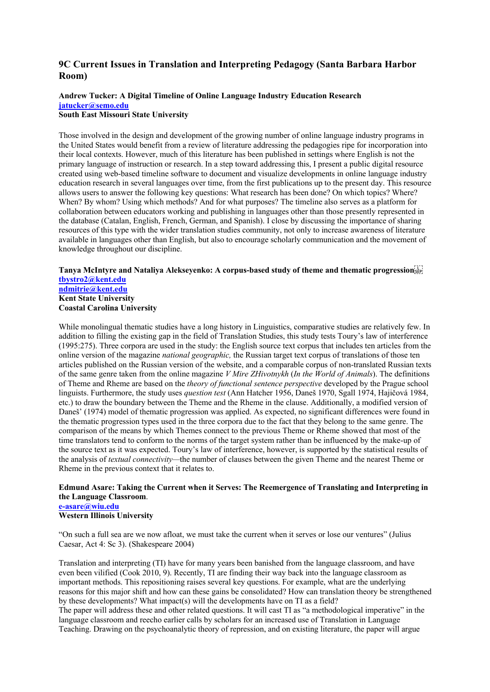## **9C Current Issues in Translation and Interpreting Pedagogy (Santa Barbara Harbor Room)**

# **Andrew Tucker: A Digital Timeline of Online Language Industry Education Research jatucker@semo.edu**

# **South East Missouri State University**

Those involved in the design and development of the growing number of online language industry programs in the United States would benefit from a review of literature addressing the pedagogies ripe for incorporation into their local contexts. However, much of this literature has been published in settings where English is not the primary language of instruction or research. In a step toward addressing this, I present a public digital resource created using web-based timeline software to document and visualize developments in online language industry education research in several languages over time, from the first publications up to the present day. This resource allows users to answer the following key questions: What research has been done? On which topics? Where? When? By whom? Using which methods? And for what purposes? The timeline also serves as a platform for collaboration between educators working and publishing in languages other than those presently represented in the database (Catalan, English, French, German, and Spanish). I close by discussing the importance of sharing resources of this type with the wider translation studies community, not only to increase awareness of literature available in languages other than English, but also to encourage scholarly communication and the movement of knowledge throughout our discipline.

**Tanya McIntyre and Nataliya Alekseyenko: A corpus-based study of theme and thematic progression tbystro2@kent.edu ndmitrie@kent.edu Kent State University Coastal Carolina University**

While monolingual thematic studies have a long history in Linguistics, comparative studies are relatively few. In addition to filling the existing gap in the field of Translation Studies, this study tests Toury's law of interference (1995:275). Three corpora are used in the study: the English source text corpus that includes ten articles from the online version of the magazine *national geographic,* the Russian target text corpus of translations of those ten articles published on the Russian version of the website, and a comparable corpus of non-translated Russian texts of the same genre taken from the online magazine *V Mire ZHivotnykh* (*In the World of Animals*). The definitions of Theme and Rheme are based on the *theory of functional sentence perspective* developed by the Prague school linguists. Furthermore, the study uses *question test* (Ann Hatcher 1956, Daneš 1970, Sgall 1974, Hajičová 1984, etc.) to draw the boundary between the Theme and the Rheme in the clause. Additionally, a modified version of Daneš' (1974) model of thematic progression was applied. As expected, no significant differences were found in the thematic progression types used in the three corpora due to the fact that they belong to the same genre. The comparison of the means by which Themes connect to the previous Theme or Rheme showed that most of the time translators tend to conform to the norms of the target system rather than be influenced by the make-up of the source text as it was expected. Toury's law of interference, however, is supported by the statistical results of the analysis of *textual connectivity—*the number of clauses between the given Theme and the nearest Theme or Rheme in the previous context that it relates to.

## **Edmund Asare: Taking the Current when it Serves: The Reemergence of Translating and Interpreting in the Language Classroom**.

#### **e-asare@wiu.edu Western Illinois University**

"On such a full sea are we now afloat, we must take the current when it serves or lose our ventures" (Julius Caesar, Act 4: Sc 3). (Shakespeare 2004)

Translation and interpreting (TI) have for many years been banished from the language classroom, and have even been vilified (Cook 2010, 9). Recently, TI are finding their way back into the language classroom as important methods. This repositioning raises several key questions. For example, what are the underlying reasons for this major shift and how can these gains be consolidated? How can translation theory be strengthened by these developments? What impact(s) will the developments have on TI as a field?

The paper will address these and other related questions. It will cast TI as "a methodological imperative" in the language classroom and reecho earlier calls by scholars for an increased use of Translation in Language Teaching. Drawing on the psychoanalytic theory of repression, and on existing literature, the paper will argue